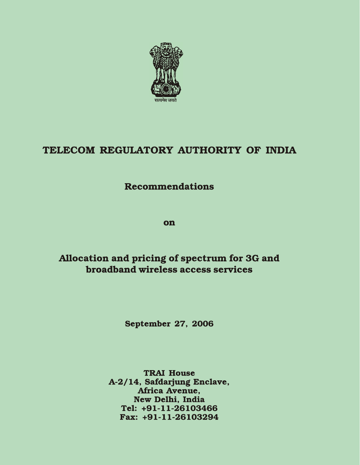

# TELECOM REGULATORY AUTHORITY OF INDIA

# **Recommendations**

**on** 

# Allocation and pricing of spectrum for 3G and broadband wireless access services

**September 27, 2006** 

**TRAI House** A-2/14, Safdarjung Enclave, Africa Avenue, New Delhi, India Tel: +91-11-26103466 Fax: +91-11-26103294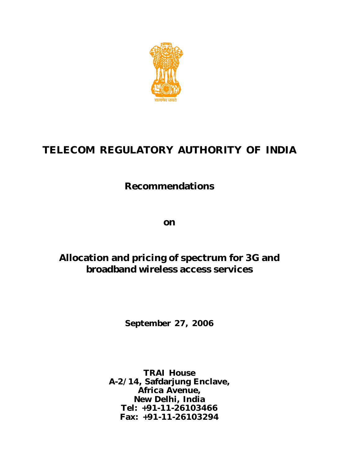

# **TELECOM REGULATORY AUTHORITY OF INDIA**

# **Recommendations**

**on**

# **Allocation and pricing of spectrum for 3G and broadband wireless access services**

**September 27, 2006**

**TRAI House A-2/14, Safdarjung Enclave, Africa Avenue, New Delhi, India Tel: +91-11-26103466 Fax: +91-11-26103294**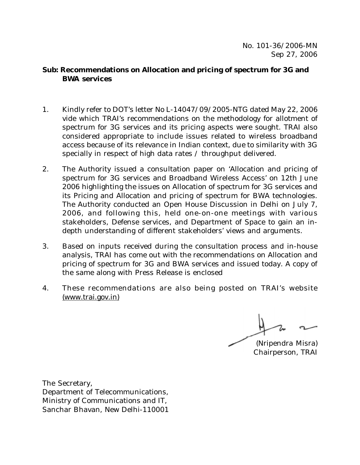#### **Sub: Recommendations on Allocation and pricing of spectrum for 3G and BWA services**

- 1. Kindly refer to DOT's letter No L-14047/09/2005-NTG dated May 22, 2006 vide which TRAI's recommendations on the methodology for allotment of spectrum for 3G services and its pricing aspects were sought. TRAI also considered appropriate to include issues related to wireless broadband access because of its relevance in Indian context, due to similarity with 3G specially in respect of high data rates / throughput delivered.
- 2. The Authority issued a consultation paper on 'Allocation and pricing of spectrum for 3G services and Broadband Wireless Access' on 12th June 2006 highlighting the issues on Allocation of spectrum for 3G services and its Pricing and Allocation and pricing of spectrum for BWA technologies. The Authority conducted an Open House Discussion in Delhi on July 7, 2006, and following this, held one-on-one meetings with various stakeholders, Defense services, and Department of Space to gain an indepth understanding of different stakeholders' views and arguments.
- 3. Based on inputs received during the consultation process and in-house analysis, TRAI has come out with the recommendations on Allocation and pricing of spectrum for 3G and BWA services and issued today. A copy of the same along with Press Release is enclosed
- 4. These recommendations are also being posted on TRAI's website (www.trai.gov.in)

(Nripendra Misra) Chairperson, TRAI

The Secretary, Department of Telecommunications, Ministry of Communications and IT, Sanchar Bhavan, New Delhi-110001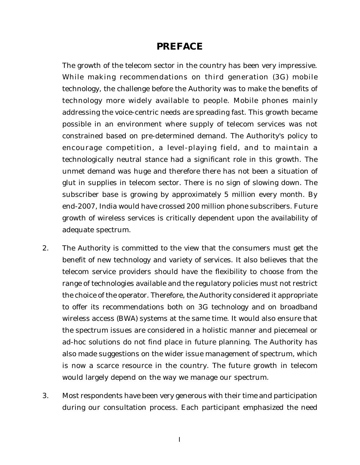#### **PREFACE**

The growth of the telecom sector in the country has been very impressive. While making recommendations on third generation (3G) mobile technology, the challenge before the Authority was to make the benefits of technology more widely available to people. Mobile phones mainly addressing the voice-centric needs are spreading fast. This growth became possible in an environment where supply of telecom services was not constrained based on pre-determined demand. The Authority's policy to encourage competition, a level-playing field, and to maintain a technologically neutral stance had a significant role in this growth. The unmet demand was huge and therefore there has not been a situation of glut in supplies in telecom sector. There is no sign of slowing down. The subscriber base is growing by approximately 5 million every month. By end-2007, India would have crossed 200 million phone subscribers. Future growth of wireless services is critically dependent upon the availability of adequate spectrum.

- 2. The Authority is committed to the view that the consumers must get the benefit of new technology and variety of services. It also believes that the telecom service providers should have the flexibility to choose from the range of technologies available and the regulatory policies must not restrict the choice of the operator. Therefore, the Authority considered it appropriate to offer its recommendations both on 3G technology and on broadband wireless access (BWA) systems at the same time. It would also ensure that the spectrum issues are considered in a holistic manner and piecemeal or ad-hoc solutions do not find place in future planning. The Authority has also made suggestions on the wider issue management of spectrum, which is now a scarce resource in the country. The future growth in telecom would largely depend on the way we manage our spectrum.
- 3. Most respondents have been very generous with their time and participation during our consultation process. Each participant emphasized the need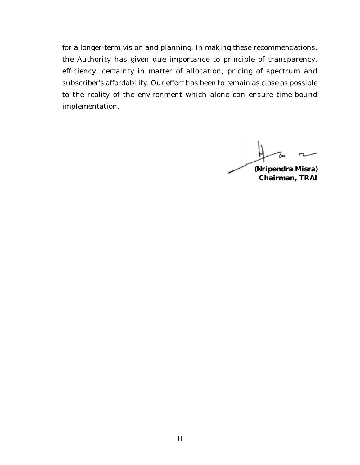for a longer-term vision and planning. In making these recommendations, the Authority has given due importance to principle of transparency, efficiency, certainty in matter of allocation, pricing of spectrum and subscriber's affordability. Our effort has been to remain as close as possible to the reality of the environment which alone can ensure time-bound implementation.

**(Nripendra Misra)**

**Chairman, TRAI**

II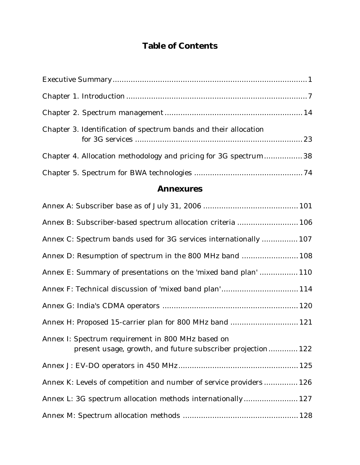# **Table of Contents**

| Chapter 3. Identification of spectrum bands and their allocation |  |
|------------------------------------------------------------------|--|
| Chapter 4. Allocation methodology and pricing for 3G spectrum 38 |  |
|                                                                  |  |

### **Annexures**

| Annex B: Subscriber-based spectrum allocation criteria  106                                                      |
|------------------------------------------------------------------------------------------------------------------|
| Annex C: Spectrum bands used for 3G services internationally  107                                                |
| Annex D: Resumption of spectrum in the 800 MHz band  108                                                         |
| Annex E: Summary of presentations on the 'mixed band plan'  110                                                  |
| Annex F: Technical discussion of 'mixed band plan' 114                                                           |
|                                                                                                                  |
| Annex H: Proposed 15-carrier plan for 800 MHz band  121                                                          |
| Annex I: Spectrum requirement in 800 MHz based on<br>present usage, growth, and future subscriber projection 122 |
|                                                                                                                  |
| Annex K: Levels of competition and number of service providers 126                                               |
| Annex L: 3G spectrum allocation methods internationally 127                                                      |
|                                                                                                                  |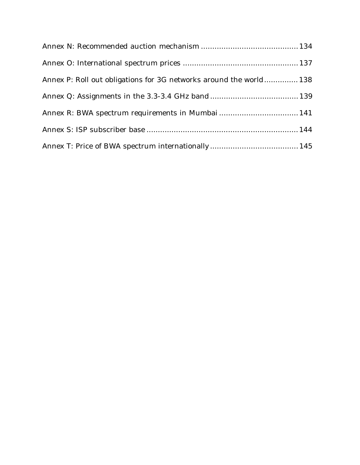| Annex P: Roll out obligations for 3G networks around the world 138 |  |
|--------------------------------------------------------------------|--|
|                                                                    |  |
|                                                                    |  |
|                                                                    |  |
|                                                                    |  |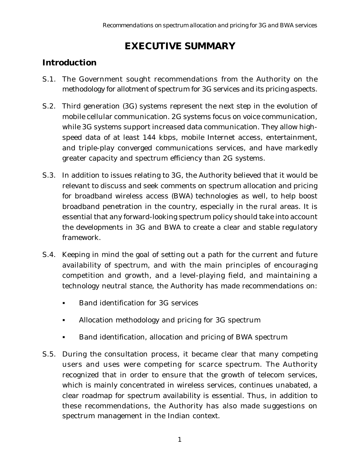# **EXECUTIVE SUMMARY**

## **Introduction**

- S.1. The Government sought recommendations from the Authority on the methodology for allotment of spectrum for 3G services and its pricing aspects.
- S.2. Third generation (3G) systems represent the next step in the evolution of mobile cellular communication. 2G systems focus on voice communication, while 3G systems support increased data communication. They allow highspeed data of at least 144 kbps, mobile Internet access, entertainment, and triple-play converged communications services, and have markedly greater capacity and spectrum efficiency than 2G systems.
- S.3. In addition to issues relating to 3G, the Authority believed that it would be relevant to discuss and seek comments on spectrum allocation and pricing for broadband wireless access (BWA) technologies as well, to help boost broadband penetration in the country, especially in the rural areas. It is essential that any forward-looking spectrum policy should take into account the developments in 3G and BWA to create a clear and stable regulatory framework.
- S.4. Keeping in mind the goal of setting out a path for the current and future availability of spectrum, and with the main principles of encouraging competition and growth, and a level-playing field, and maintaining a technology neutral stance, the Authority has made recommendations on:
	- § Band identification for 3G services
	- Allocation methodology and pricing for 3G spectrum
	- § Band identification, allocation and pricing of BWA spectrum
- S.5. During the consultation process, it became clear that many competing users and uses were competing for scarce spectrum. The Authority recognized that in order to ensure that the growth of telecom services, which is mainly concentrated in wireless services, continues unabated, a clear roadmap for spectrum availability is essential. Thus, in addition to these recommendations, the Authority has also made suggestions on spectrum management in the Indian context.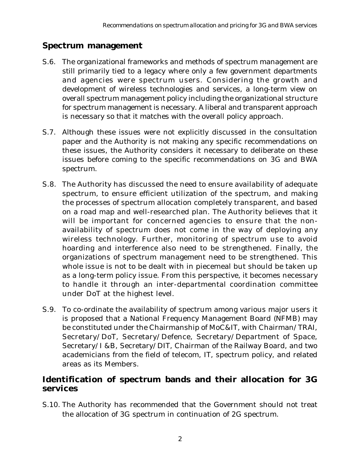### **Spectrum management**

- S.6. The organizational frameworks and methods of spectrum management are still primarily tied to a legacy where only a few government departments and agencies were spectrum users. Considering the growth and development of wireless technologies and services, a long-term view on overall spectrum management policy including the organizational structure for spectrum management is necessary. A liberal and transparent approach is necessary so that it matches with the overall policy approach.
- S.7. Although these issues were not explicitly discussed in the consultation paper and the Authority is not making any specific recommendations on these issues, the Authority considers it necessary to deliberate on these issues before coming to the specific recommendations on 3G and BWA spectrum.
- S.8. The Authority has discussed the need to ensure availability of adequate spectrum, to ensure efficient utilization of the spectrum, and making the processes of spectrum allocation completely transparent, and based on a road map and well-researched plan. The Authority believes that it will be important for concerned agencies to ensure that the nonavailability of spectrum does not come in the way of deploying any wireless technology. Further, monitoring of spectrum use to avoid hoarding and interference also need to be strengthened. Finally, the organizations of spectrum management need to be strengthened. This whole issue is not to be dealt with in piecemeal but should be taken up as a long-term policy issue. From this perspective, it becomes necessary to handle it through an inter-departmental coordination committee under DoT at the highest level.
- S.9. To co-ordinate the availability of spectrum among various major users it is proposed that a National Frequency Management Board (NFMB) may be constituted under the Chairmanship of MoC&IT, with Chairman/TRAI, Secretary/DoT, Secretary/Defence, Secretary/Department of Space, Secretary/I &B, Secretary/DIT, Chairman of the Railway Board, and two academicians from the field of telecom, IT, spectrum policy, and related areas as its Members.

## **Identification of spectrum bands and their allocation for 3G services**

S.10. The Authority has recommended that the Government should not treat the allocation of 3G spectrum in continuation of 2G spectrum.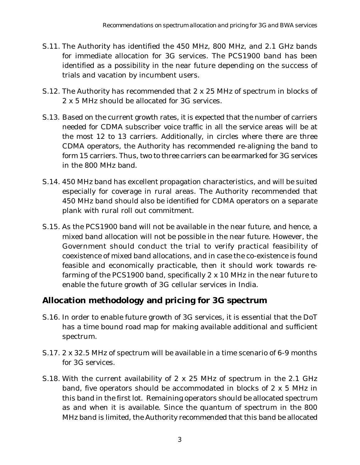- S.11. The Authority has identified the 450 MHz, 800 MHz, and 2.1 GHz bands for immediate allocation for 3G services. The PCS1900 band has been identified as a possibility in the near future depending on the success of trials and vacation by incumbent users.
- S.12. The Authority has recommended that 2 x 25 MHz of spectrum in blocks of 2 x 5 MHz should be allocated for 3G services.
- S.13. Based on the current growth rates, it is expected that the number of carriers needed for CDMA subscriber voice traffic in all the service areas will be at the most 12 to 13 carriers. Additionally, in circles where there are three CDMA operators, the Authority has recommended re-aligning the band to form 15 carriers. Thus, two to three carriers can be earmarked for 3G services in the 800 MHz band.
- S.14. 450 MHz band has excellent propagation characteristics, and will be suited especially for coverage in rural areas. The Authority recommended that 450 MHz band should also be identified for CDMA operators on a separate plank with rural roll out commitment.
- S.15. As the PCS1900 band will not be available in the near future, and hence, a mixed band allocation will not be possible in the near future. However, the Government should conduct the trial to verify practical feasibility of coexistence of mixed band allocations, and in case the co-existence is found feasible and economically practicable, then it should work towards refarming of the PCS1900 band, specifically 2 x 10 MHz in the near future to enable the future growth of 3G cellular services in India.

## **Allocation methodology and pricing for 3G spectrum**

- S.16. In order to enable future growth of 3G services, it is essential that the DoT has a time bound road map for making available additional and sufficient spectrum.
- S.17. 2 x 32.5 MHz of spectrum will be available in a time scenario of 6-9 months for 3G services.
- S.18. With the current availability of 2 x 25 MHz of spectrum in the 2.1 GHz band, five operators should be accommodated in blocks of 2 x 5 MHz in this band in the first lot. Remaining operators should be allocated spectrum as and when it is available. Since the quantum of spectrum in the 800 MHz band is limited, the Authority recommended that this band be allocated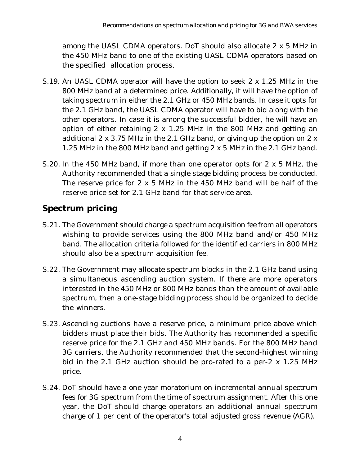among the UASL CDMA operators. DoT should also allocate 2 x 5 MHz in the 450 MHz band to one of the existing UASL CDMA operators based on the specified allocation process.

- S.19. An UASL CDMA operator will have the option to seek 2 x 1.25 MHz in the 800 MHz band at a determined price. Additionally, it will have the option of taking spectrum in either the 2.1 GHz or 450 MHz bands. In case it opts for the 2.1 GHz band, the UASL CDMA operator will have to bid along with the other operators. In case it is among the successful bidder, he will have an option of either retaining 2 x 1.25 MHz in the 800 MHz and getting an additional 2 x 3.75 MHz in the 2.1 GHz band, or giving up the option on 2 x 1.25 MHz in the 800 MHz band and getting 2 x 5 MHz in the 2.1 GHz band.
- S.20. In the 450 MHz band, if more than one operator opts for 2 x 5 MHz, the Authority recommended that a single stage bidding process be conducted. The reserve price for 2 x 5 MHz in the 450 MHz band will be half of the reserve price set for 2.1 GHz band for that service area.

## **Spectrum pricing**

- S.21. The Government should charge a spectrum acquisition fee from all operators wishing to provide services using the 800 MHz band and/or 450 MHz band. The allocation criteria followed for the identified carriers in 800 MHz should also be a spectrum acquisition fee.
- S.22. The Government may allocate spectrum blocks in the 2.1 GHz band using a simultaneous ascending auction system. If there are more operators interested in the 450 MHz or 800 MHz bands than the amount of available spectrum, then a one-stage bidding process should be organized to decide the winners.
- S.23. Ascending auctions have a reserve price, a minimum price above which bidders must place their bids. The Authority has recommended a specific reserve price for the 2.1 GHz and 450 MHz bands. For the 800 MHz band 3G carriers, the Authority recommended that the second-highest winning bid in the 2.1 GHz auction should be pro-rated to a per-2 x 1.25 MHz price.
- S.24. DoT should have a one year moratorium on incremental annual spectrum fees for 3G spectrum from the time of spectrum assignment. After this one year, the DoT should charge operators an additional annual spectrum charge of 1 per cent of the operator's total adjusted gross revenue (AGR).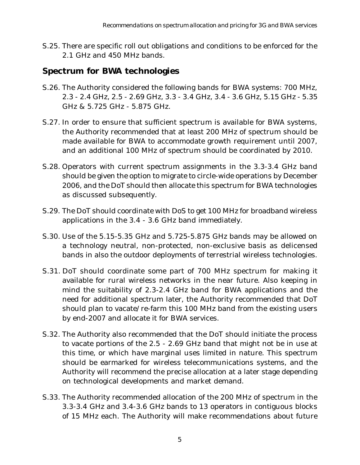S.25. There are specific roll out obligations and conditions to be enforced for the 2.1 GHz and 450 MHz bands.

### **Spectrum for BWA technologies**

- S.26. The Authority considered the following bands for BWA systems: 700 MHz, 2.3 - 2.4 GHz, 2.5 - 2.69 GHz, 3.3 - 3.4 GHz, 3.4 - 3.6 GHz, 5.15 GHz - 5.35 GHz & 5.725 GHz - 5.875 GHz.
- S.27. In order to ensure that sufficient spectrum is available for BWA systems, the Authority recommended that at least 200 MHz of spectrum should be made available for BWA to accommodate growth requirement until 2007, and an additional 100 MHz of spectrum should be coordinated by 2010.
- S.28. Operators with current spectrum assignments in the 3.3-3.4 GHz band should be given the option to migrate to circle-wide operations by December 2006, and the DoT should then allocate this spectrum for BWA technologies as discussed subsequently.
- S.29. The DoT should coordinate with DoS to get 100 MHz for broadband wireless applications in the 3.4 - 3.6 GHz band immediately.
- S.30. Use of the 5.15-5.35 GHz and 5.725-5.875 GHz bands may be allowed on a technology neutral, non-protected, non-exclusive basis as delicensed bands in also the outdoor deployments of terrestrial wireless technologies.
- S.31. DoT should coordinate some part of 700 MHz spectrum for making it available for rural wireless networks in the near future. Also keeping in mind the suitability of 2.3-2.4 GHz band for BWA applications and the need for additional spectrum later, the Authority recommended that DoT should plan to vacate/re-farm this 100 MHz band from the existing users by end-2007 and allocate it for BWA services.
- S.32. The Authority also recommended that the DoT should initiate the process to vacate portions of the 2.5 - 2.69 GHz band that might not be in use at this time, or which have marginal uses limited in nature. This spectrum should be earmarked for wireless telecommunications systems, and the Authority will recommend the precise allocation at a later stage depending on technological developments and market demand.
- S.33. The Authority recommended allocation of the 200 MHz of spectrum in the 3.3-3.4 GHz and 3.4-3.6 GHz bands to 13 operators in contiguous blocks of 15 MHz each. The Authority will make recommendations about future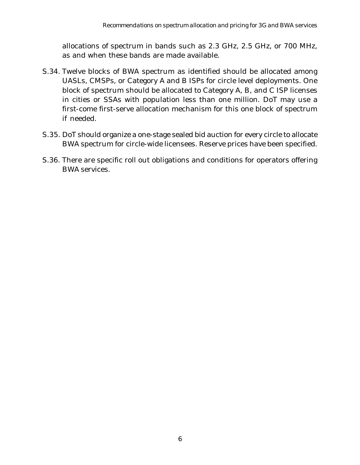allocations of spectrum in bands such as 2.3 GHz, 2.5 GHz, or 700 MHz, as and when these bands are made available.

- S.34. Twelve blocks of BWA spectrum as identified should be allocated among UASLs, CMSPs, or Category A and B ISPs for circle level deployments. One block of spectrum should be allocated to Category A, B, and C ISP licenses in cities or SSAs with population less than one million. DoT may use a first-come first-serve allocation mechanism for this one block of spectrum if needed.
- S.35. DoT should organize a one-stage sealed bid auction for every circle to allocate BWA spectrum for circle-wide licensees. Reserve prices have been specified.
- S.36. There are specific roll out obligations and conditions for operators offering BWA services.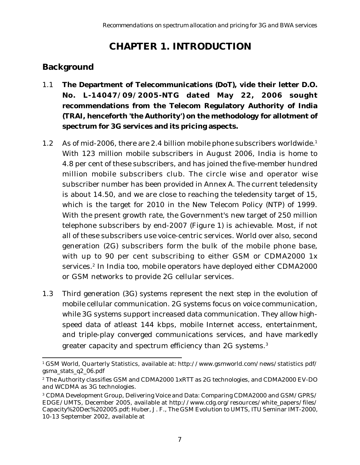# **CHAPTER 1. INTRODUCTION**

# **Background**

- 1.1 **The Department of Telecommunications (DoT), vide their letter D.O. No. L-14047/09/2005-NTG dated May 22, 2006 sought recommendations from the Telecom Regulatory Authority of India (TRAI, henceforth 'the Authority') on the methodology for allotment of spectrum for 3G services and its pricing aspects.**
- 1.2 As of mid-2006, there are 2.4 billion mobile phone subscribers worldwide.<sup>1</sup> With 123 million mobile subscribers in August 2006, India is home to 4.8 per cent of these subscribers, and has joined the five-member hundred million mobile subscribers club. The circle wise and operator wise subscriber number has been provided in Annex A. The current teledensity is about 14.50, and we are close to reaching the teledensity target of 15, which is the target for 2010 in the New Telecom Policy (NTP) of 1999. With the present growth rate, the Government's new target of 250 million telephone subscribers by end-2007 (Figure 1) is achievable. Most, if not all of these subscribers use voice-centric services. World over also, second generation (2G) subscribers form the bulk of the mobile phone base, with up to 90 per cent subscribing to either GSM or CDMA2000 1x services.<sup>2</sup> In India too, mobile operators have deployed either CDMA2000 or GSM networks to provide 2G cellular services.
- 1.3 Third generation (3G) systems represent the next step in the evolution of mobile cellular communication. 2G systems focus on voice communication, while 3G systems support increased data communication. They allow highspeed data of atleast 144 kbps, mobile Internet access, entertainment, and triple-play converged communications services, and have markedly greater capacity and spectrum efficiency than 2G systems.<sup>3</sup>

<sup>1</sup> GSM World, Quarterly Statistics, available at: http://www.gsmworld.com/news/statistics pdf/ gsma\_stats\_q2\_06.pdf

<sup>2</sup> The Authority classifies GSM and CDMA2000 1xRTT as 2G technologies, and CDMA2000 EV-DO and WCDMA as 3G technologies.

<sup>3</sup> CDMA Development Group, Delivering Voice and Data: Comparing CDMA2000 and GSM/GPRS/ EDGE/UMTS, December 2005, available at http://www.cdg.org/resources/white\_papers/files/ Capacity%20Dec%202005.pdf; Huber, J. F., The GSM Evolution to UMTS, ITU Seminar IMT-2000, 10-13 September 2002, available at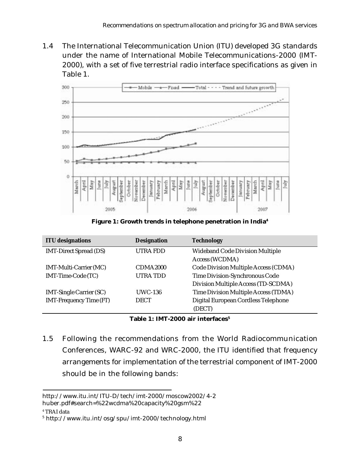1.4 The International Telecommunication Union (ITU) developed 3G standards under the name of International Mobile Telecommunications-2000 (IMT-2000), with a set of five terrestrial radio interface specifications as given in Table 1.



**Figure 1: Growth trends in telephone penetration in India4**

| <b>ITU</b> designations        | <b>Designation</b>   | <b>Technology</b>                      |
|--------------------------------|----------------------|----------------------------------------|
| <b>IMT-Direct Spread (DS)</b>  | <b>UTRAFDD</b>       | <b>Wideband Code Division Multiple</b> |
|                                |                      | Access (WCDMA)                         |
| IMT-Multi-Carrier (MC)         | CDMA <sub>2000</sub> | Code Division Multiple Access (CDMA)   |
| IMT-Time-Code (TC)             | <b>UTRATDD</b>       | Time Division-Synchronous Code         |
|                                |                      | Division Multiple Access (TD-SCDMA)    |
| <b>IMT-Single Carrier (SC)</b> | <b>UWC-136</b>       | Time Division Multiple Access (TDMA)   |
| <b>IMT-Frequency Time (FT)</b> | <b>DECT</b>          | Digital European Cordless Telephone    |
|                                |                      | (DECT)                                 |

**Table 1: IMT-2000 air interfaces5**

1.5 Following the recommendations from the World Radiocommunication Conferences, WARC-92 and WRC-2000, the ITU identified that frequency arrangements for implementation of the terrestrial component of IMT-2000 should be in the following bands:

http://www.itu.int/ITU-D/tech/imt-2000/moscow2002/4-2 huber.pdf#search=%22wcdma%20capacity%20gsm%22

<sup>4</sup> TRAI data

<sup>5</sup> http://www.itu.int/osg/spu/imt-2000/technology.html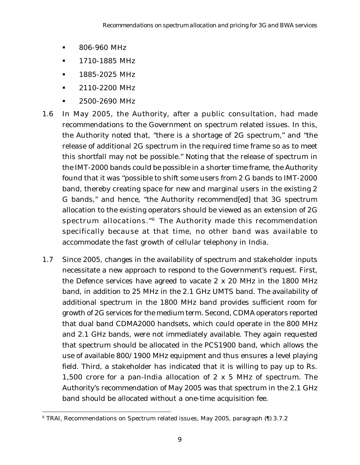- § 806-960 MHz
- § 1710-1885 MHz
- § 1885-2025 MHz
- § 2110-2200 MHz
- § 2500-2690 MHz
- 1.6 In May 2005, the Authority, after a public consultation, had made recommendations to the Government on spectrum related issues. In this, the Authority noted that, "there is a shortage of 2G spectrum," and "the release of additional 2G spectrum in the required time frame so as to meet this shortfall may not be possible." Noting that the release of spectrum in the IMT-2000 bands could be possible in a shorter time frame, the Authority found that it was "possible to shift some users from 2 G bands to IMT-2000 band, thereby creating space for new and marginal users in the existing 2 G bands," and hence, "the Authority recommend[ed] that 3G spectrum allocation to the existing operators should be viewed as an extension of 2G spectrum allocations."6 The Authority made this recommendation specifically because at that time, no other band was available to accommodate the fast growth of cellular telephony in India.
- 1.7 Since 2005, changes in the availability of spectrum and stakeholder inputs necessitate a new approach to respond to the Government's request. First, the Defence services have agreed to vacate 2 x 20 MHz in the 1800 MHz band, in addition to 25 MHz in the 2.1 GHz UMTS band. The availability of additional spectrum in the 1800 MHz band provides sufficient room for growth of 2G services for the medium term. Second, CDMA operators reported that dual band CDMA2000 handsets, which could operate in the 800 MHz and 2.1 GHz bands, were not immediately available. They again requested that spectrum should be allocated in the PCS1900 band, which allows the use of available 800/1900 MHz equipment and thus ensures a level playing field. Third, a stakeholder has indicated that it is willing to pay up to Rs. 1,500 crore for a pan-India allocation of 2 x 5 MHz of spectrum. The Authority's recommendation of May 2005 was that spectrum in the 2.1 GHz band should be allocated without a one-time acquisition fee.

<sup>6</sup> TRAI, Recommendations on Spectrum related issues, May 2005, paragraph (¶) 3.7.2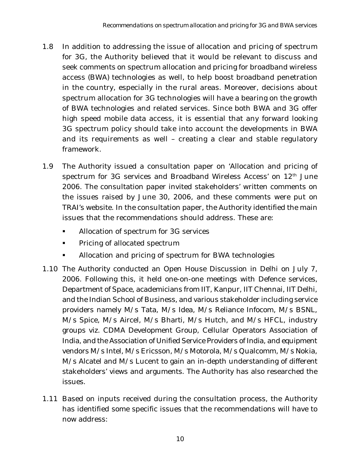- 1.8 In addition to addressing the issue of allocation and pricing of spectrum for 3G, the Authority believed that it would be relevant to discuss and seek comments on spectrum allocation and pricing for broadband wireless access (BWA) technologies as well, to help boost broadband penetration in the country, especially in the rural areas. Moreover, decisions about spectrum allocation for 3G technologies will have a bearing on the growth of BWA technologies and related services. Since both BWA and 3G offer high speed mobile data access, it is essential that any forward looking 3G spectrum policy should take into account the developments in BWA and its requirements as well – creating a clear and stable regulatory framework.
- 1.9 The Authority issued a consultation paper on 'Allocation and pricing of spectrum for 3G services and Broadband Wireless Access' on 12<sup>th</sup> June 2006. The consultation paper invited stakeholders' written comments on the issues raised by June 30, 2006, and these comments were put on TRAI's website. In the consultation paper, the Authority identified the main issues that the recommendations should address. These are:
	- § Allocation of spectrum for 3G services
	- § Pricing of allocated spectrum
	- § Allocation and pricing of spectrum for BWA technologies
- 1.10 The Authority conducted an Open House Discussion in Delhi on July 7, 2006. Following this, it held one-on-one meetings with Defence services, Department of Space, academicians from IIT, Kanpur, IIT Chennai, IIT Delhi, and the Indian School of Business, and various stakeholder including service providers namely M/s Tata, M/s Idea, M/s Reliance Infocom, M/s BSNL, M/s Spice, M/s Aircel, M/s Bharti, M/s Hutch, and M/s HFCL, industry groups viz. CDMA Development Group, Cellular Operators Association of India, and the Association of Unified Service Providers of India, and equipment vendors M/s Intel, M/s Ericsson, M/s Motorola, M/s Qualcomm, M/s Nokia, M/s Alcatel and M/s Lucent to gain an in-depth understanding of different stakeholders' views and arguments. The Authority has also researched the issues.
- 1.11 Based on inputs received during the consultation process, the Authority has identified some specific issues that the recommendations will have to now address: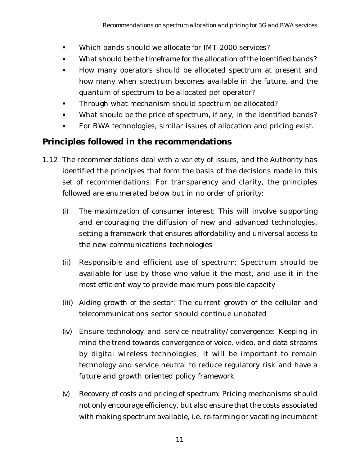- § Which bands should we allocate for IMT-2000 services?
- § What should be the timeframe for the allocation of the identified bands?
- § How many operators should be allocated spectrum at present and how many when spectrum becomes available in the future, and the quantum of spectrum to be allocated per operator?
- Through what mechanism should spectrum be allocated?
- What should be the price of spectrum, if any, in the identified bands?
- **For BWA technologies, similar issues of allocation and pricing exist.**

## **Principles followed in the recommendations**

- 1.12 The recommendations deal with a variety of issues, and the Authority has identified the principles that form the basis of the decisions made in this set of recommendations. For transparency and clarity, the principles followed are enumerated below but in no order of priority:
	- *(i) The maximization of consumer interest*: This will involve supporting and encouraging the diffusion of new and advanced technologies, setting a framework that ensures affordability and universal access to the new communications technologies
	- *(ii) Responsible and efficient use of spectrum*: Spectrum should be available for use by those who value it the most, and use it in the most efficient way to provide maximum possible capacity
	- *(iii) Aiding growth of the sector*: The current growth of the cellular and telecommunications sector should continue unabated
	- *(iv) Ensure technology and service neutrality/convergence*: Keeping in mind the trend towards convergence of voice, video, and data streams by digital wireless technologies, it will be important to remain technology and service neutral to reduce regulatory risk and have a future and growth oriented policy framework
	- *(v) Recovery of costs and pricing of spectrum*: Pricing mechanisms should not only encourage efficiency, but also ensure that the costs associated with making spectrum available, i.e. re-farming or vacating incumbent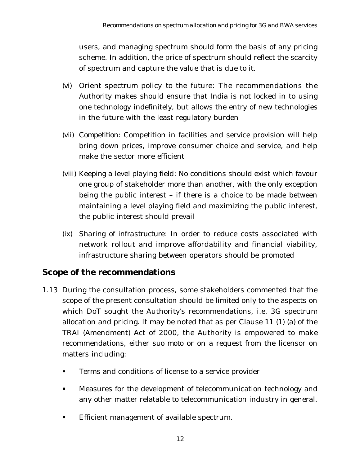users, and managing spectrum should form the basis of any pricing scheme. In addition, the price of spectrum should reflect the scarcity of spectrum and capture the value that is due to it.

- *(vi) Orient spectrum policy to the future*: The recommendations the Authority makes should ensure that India is not locked in to using one technology indefinitely, but allows the entry of new technologies in the future with the least regulatory burden
- *(vii) Competition*: Competition in facilities and service provision will help bring down prices, improve consumer choice and service, and help make the sector more efficient
- *(viii) Keeping a level playing field*: No conditions should exist which favour one group of stakeholder more than another, with the only exception being the public interest – if there is a choice to be made between maintaining a level playing field and maximizing the public interest, the public interest should prevail
- *(ix) Sharing of infrastructure*: In order to reduce costs associated with network rollout and improve affordability and financial viability, infrastructure sharing between operators should be promoted

## **Scope of the recommendations**

- 1.13 During the consultation process, some stakeholders commented that the scope of the present consultation should be limited only to the aspects on which DoT sought the Authority's recommendations, i.e. 3G spectrum allocation and pricing. It may be noted that as per Clause 11 (1) (a) of the TRAI (Amendment) Act of 2000, the Authority is empowered to make recommendations, either *suo moto* or on a request from the licensor on matters including:
	- Terms and conditions of license to a service provider
	- § Measures for the development of telecommunication technology and any other matter relatable to telecommunication industry in general.
	- Efficient management of available spectrum.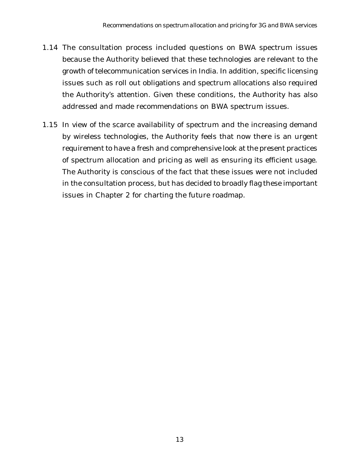- 1.14 The consultation process included questions on BWA spectrum issues because the Authority believed that these technologies are relevant to the growth of telecommunication services in India. In addition, specific licensing issues such as roll out obligations and spectrum allocations also required the Authority's attention. Given these conditions, the Authority has also addressed and made recommendations on BWA spectrum issues.
- 1.15 In view of the scarce availability of spectrum and the increasing demand by wireless technologies, the Authority feels that now there is an urgent requirement to have a fresh and comprehensive look at the present practices of spectrum allocation and pricing as well as ensuring its efficient usage. The Authority is conscious of the fact that these issues were not included in the consultation process, but has decided to broadly flag these important issues in Chapter 2 for charting the future roadmap.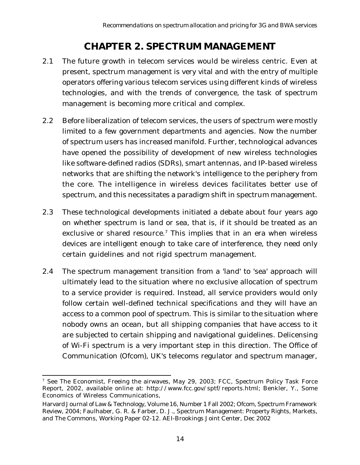# **CHAPTER 2. SPECTRUM MANAGEMENT**

- 2.1 The future growth in telecom services would be wireless centric. Even at present, spectrum management is very vital and with the entry of multiple operators offering various telecom services using different kinds of wireless technologies, and with the trends of convergence, the task of spectrum management is becoming more critical and complex.
- 2.2 Before liberalization of telecom services, the users of spectrum were mostly limited to a few government departments and agencies. Now the number of spectrum users has increased manifold. Further, technological advances have opened the possibility of development of new wireless technologies like software-defined radios (SDRs), smart antennas, and IP-based wireless networks that are shifting the network's intelligence to the periphery from the core. The intelligence in wireless devices facilitates better use of spectrum, and this necessitates a paradigm shift in spectrum management.
- 2.3 These technological developments initiated a debate about four years ago on whether spectrum is land or sea, that is, if it should be treated as an exclusive or shared resource.<sup>7</sup> This implies that in an era when wireless devices are intelligent enough to take care of interference, they need only certain guidelines and not rigid spectrum management.
- 2.4 The spectrum management transition from a 'land' to 'sea' approach will ultimately lead to the situation where no exclusive allocation of spectrum to a service provider is required. Instead, all service providers would only follow certain well-defined technical specifications and they will have an access to a common pool of spectrum. This is similar to the situation where nobody owns an ocean, but all shipping companies that have access to it are subjected to certain shipping and navigational guidelines. Delicensing of Wi-Fi spectrum is a very important step in this direction. The Office of Communication (Ofcom), UK's telecoms regulator and spectrum manager,

<sup>7</sup> *See* The Economist, Freeing the airwaves, May 29, 2003; FCC, Spectrum Policy Task Force Report, 2002, available online at: http://www.fcc.gov/sptf/reports.html; Benkler, Y., Some Economics of Wireless Communications,

Harvard Journal of Law & Technology, Volume 16, Number 1 Fall 2002; Ofcom, Spectrum Framework Review, 2004; Faulhaber, G. R. & Farber, D. J., Spectrum Management: Property Rights, Markets, and The Commons, Working Paper 02-12. AEI-Brookings Joint Center, Dec 2002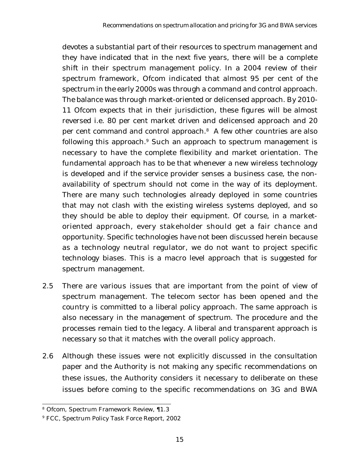devotes a substantial part of their resources to spectrum management and they have indicated that in the next five years, there will be a complete shift in their spectrum management policy. In a 2004 review of their spectrum framework, Ofcom indicated that almost 95 per cent of the spectrum in the early 2000s was through a command and control approach. The balance was through market-oriented or delicensed approach. By 2010- 11 Ofcom expects that in their jurisdiction, these figures will be almost reversed i.e. 80 per cent market driven and delicensed approach and 20 per cent command and control approach.<sup>8</sup> A few other countries are also following this approach. $9$  Such an approach to spectrum management is necessary to have the complete flexibility and market orientation. The fundamental approach has to be that whenever a new wireless technology is developed and if the service provider senses a business case, the nonavailability of spectrum should not come in the way of its deployment. There are many such technologies already deployed in some countries that may not clash with the existing wireless systems deployed, and so they should be able to deploy their equipment. Of course, in a marketoriented approach, every stakeholder should get a fair chance and opportunity. Specific technologies have not been discussed herein because as a technology neutral regulator, we do not want to project specific technology biases. This is a macro level approach that is suggested for spectrum management.

- 2.5 There are various issues that are important from the point of view of spectrum management. The telecom sector has been opened and the country is committed to a liberal policy approach. The same approach is also necessary in the management of spectrum. The procedure and the processes remain tied to the legacy. A liberal and transparent approach is necessary so that it matches with the overall policy approach.
- 2.6 Although these issues were not explicitly discussed in the consultation paper and the Authority is not making any specific recommendations on these issues, the Authority considers it necessary to deliberate on these issues before coming to the specific recommendations on 3G and BWA

<sup>8</sup> Ofcom, Spectrum Framework Review, ¶1.3

<sup>9</sup> FCC, Spectrum Policy Task Force Report, 2002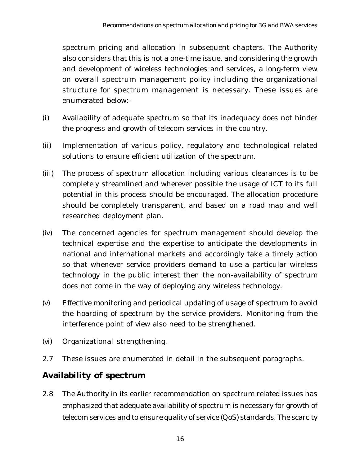spectrum pricing and allocation in subsequent chapters. The Authority also considers that this is not a one-time issue, and considering the growth and development of wireless technologies and services, a long-term view on overall spectrum management policy including the organizational structure for spectrum management is necessary. These issues are enumerated below:-

- (i) Availability of adequate spectrum so that its inadequacy does not hinder the progress and growth of telecom services in the country.
- (ii) Implementation of various policy, regulatory and technological related solutions to ensure efficient utilization of the spectrum.
- (iii) The process of spectrum allocation including various clearances is to be completely streamlined and wherever possible the usage of ICT to its full potential in this process should be encouraged. The allocation procedure should be completely transparent, and based on a road map and well researched deployment plan.
- (iv) The concerned agencies for spectrum management should develop the technical expertise and the expertise to anticipate the developments in national and international markets and accordingly take a timely action so that whenever service providers demand to use a particular wireless technology in the public interest then the non-availability of spectrum does not come in the way of deploying any wireless technology.
- (v) Effective monitoring and periodical updating of usage of spectrum to avoid the hoarding of spectrum by the service providers. Monitoring from the interference point of view also need to be strengthened.
- (vi) Organizational strengthening.
- 2.7 These issues are enumerated in detail in the subsequent paragraphs.

# **Availability of spectrum**

2.8 The Authority in its earlier recommendation on spectrum related issues has emphasized that adequate availability of spectrum is necessary for growth of telecom services and to ensure quality of service (QoS) standards. The scarcity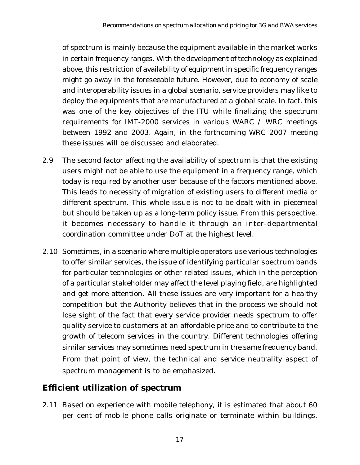of spectrum is mainly because the equipment available in the market works in certain frequency ranges. With the development of technology as explained above, this restriction of availability of equipment in specific frequency ranges might go away in the foreseeable future. However, due to economy of scale and interoperability issues in a global scenario, service providers may like to deploy the equipments that are manufactured at a global scale. In fact, this was one of the key objectives of the ITU while finalizing the spectrum requirements for IMT-2000 services in various WARC / WRC meetings between 1992 and 2003. Again, in the forthcoming WRC 2007 meeting these issues will be discussed and elaborated.

- 2.9 The second factor affecting the availability of spectrum is that the existing users might not be able to use the equipment in a frequency range, which today is required by another user because of the factors mentioned above. This leads to necessity of migration of existing users to different media or different spectrum. This whole issue is not to be dealt with in piecemeal but should be taken up as a long-term policy issue. From this perspective, it becomes necessary to handle it through an inter-departmental coordination committee under DoT at the highest level.
- 2.10 Sometimes, in a scenario where multiple operators use various technologies to offer similar services, the issue of identifying particular spectrum bands for particular technologies or other related issues, which in the perception of a particular stakeholder may affect the level playing field, are highlighted and get more attention. All these issues are very important for a healthy competition but the Authority believes that in the process we should not lose sight of the fact that every service provider needs spectrum to offer quality service to customers at an affordable price and to contribute to the growth of telecom services in the country. Different technologies offering similar services may sometimes need spectrum in the same frequency band. From that point of view, the technical and service neutrality aspect of spectrum management is to be emphasized.

### **Efficient utilization of spectrum**

2.11 Based on experience with mobile telephony, it is estimated that about 60 per cent of mobile phone calls originate or terminate within buildings.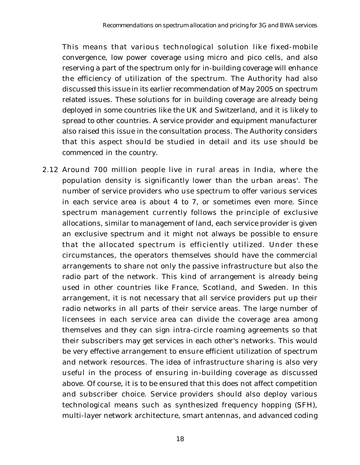This means that various technological solution like fixed-mobile convergence, low power coverage using micro and pico cells, and also reserving a part of the spectrum only for in-building coverage will enhance the efficiency of utilization of the spectrum. The Authority had also discussed this issue in its earlier recommendation of May 2005 on spectrum related issues. These solutions for in building coverage are already being deployed in some countries like the UK and Switzerland, and it is likely to spread to other countries. A service provider and equipment manufacturer also raised this issue in the consultation process. The Authority considers that this aspect should be studied in detail and its use should be commenced in the country.

2.12 Around 700 million people live in rural areas in India, where the population density is significantly lower than the urban areas'. The number of service providers who use spectrum to offer various services in each service area is about 4 to 7, or sometimes even more. Since spectrum management currently follows the principle of exclusive allocations, similar to management of land, each service provider is given an exclusive spectrum and it might not always be possible to ensure that the allocated spectrum is efficiently utilized. Under these circumstances, the operators themselves should have the commercial arrangements to share not only the passive infrastructure but also the radio part of the network. This kind of arrangement is already being used in other countries like France, Scotland, and Sweden. In this arrangement, it is not necessary that all service providers put up their radio networks in all parts of their service areas. The large number of licensees in each service area can divide the coverage area among themselves and they can sign intra-circle roaming agreements so that their subscribers may get services in each other's networks. This would be very effective arrangement to ensure efficient utilization of spectrum and network resources. The idea of infrastructure sharing is also very useful in the process of ensuring in-building coverage as discussed above. Of course, it is to be ensured that this does not affect competition and subscriber choice. Service providers should also deploy various technological means such as synthesized frequency hopping (SFH), multi-layer network architecture, smart antennas, and advanced coding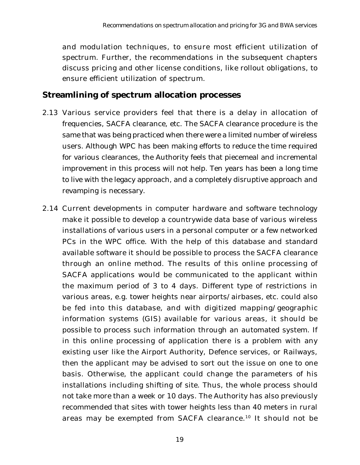and modulation techniques, to ensure most efficient utilization of spectrum. Further, the recommendations in the subsequent chapters discuss pricing and other license conditions, like rollout obligations, to ensure efficient utilization of spectrum.

### **Streamlining of spectrum allocation processes**

- 2.13 Various service providers feel that there is a delay in allocation of frequencies, SACFA clearance, etc. The SACFA clearance procedure is the same that was being practiced when there were a limited number of wireless users. Although WPC has been making efforts to reduce the time required for various clearances, the Authority feels that piecemeal and incremental improvement in this process will not help. Ten years has been a long time to live with the legacy approach, and a completely disruptive approach and revamping is necessary.
- 2.14 Current developments in computer hardware and software technology make it possible to develop a countrywide data base of various wireless installations of various users in a personal computer or a few networked PCs in the WPC office. With the help of this database and standard available software it should be possible to process the SACFA clearance through an online method. The results of this online processing of SACFA applications would be communicated to the applicant within the maximum period of 3 to 4 days. Different type of restrictions in various areas, e.g. tower heights near airports/airbases, etc. could also be fed into this database, and with digitized mapping/geographic information systems (GIS) available for various areas, it should be possible to process such information through an automated system. If in this online processing of application there is a problem with any existing user like the Airport Authority, Defence services, or Railways, then the applicant may be advised to sort out the issue on one to one basis. Otherwise, the applicant could change the parameters of his installations including shifting of site. Thus, the whole process should not take more than a week or 10 days. The Authority has also previously recommended that sites with tower heights less than 40 meters in rural areas may be exempted from SACFA clearance.10 It should not be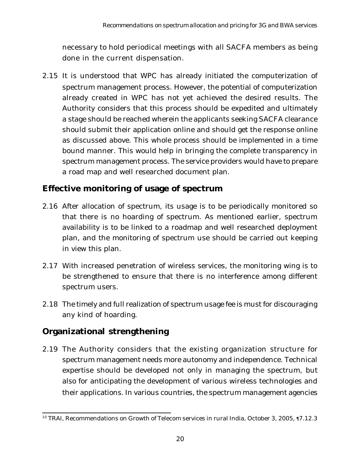necessary to hold periodical meetings with all SACFA members as being done in the current dispensation.

2.15 It is understood that WPC has already initiated the computerization of spectrum management process. However, the potential of computerization already created in WPC has not yet achieved the desired results. The Authority considers that this process should be expedited and ultimately a stage should be reached wherein the applicants seeking SACFA clearance should submit their application online and should get the response online as discussed above. This whole process should be implemented in a time bound manner. This would help in bringing the complete transparency in spectrum management process. The service providers would have to prepare a road map and well researched document plan.

## **Effective monitoring of usage of spectrum**

- 2.16 After allocation of spectrum, its usage is to be periodically monitored so that there is no hoarding of spectrum. As mentioned earlier, spectrum availability is to be linked to a roadmap and well researched deployment plan, and the monitoring of spectrum use should be carried out keeping in view this plan.
- 2.17 With increased penetration of wireless services, the monitoring wing is to be strengthened to ensure that there is no interference among different spectrum users.
- 2.18 The timely and full realization of spectrum usage fee is must for discouraging any kind of hoarding.

## **Organizational strengthening**

2.19 The Authority considers that the existing organization structure for spectrum management needs more autonomy and independence. Technical expertise should be developed not only in managing the spectrum, but also for anticipating the development of various wireless technologies and their applications. In various countries, the spectrum management agencies

<sup>10</sup> TRAI, Recommendations on Growth of Telecom services in rural India, October 3, 2005, ¶7.12.3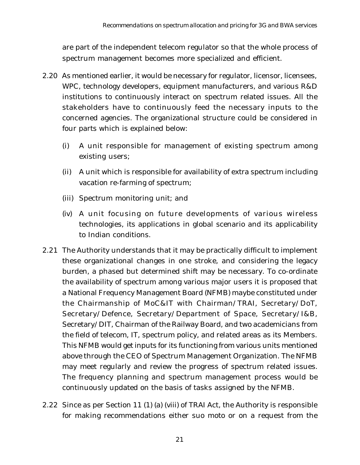are part of the independent telecom regulator so that the whole process of spectrum management becomes more specialized and efficient.

- 2.20 As mentioned earlier, it would be necessary for regulator, licensor, licensees, WPC, technology developers, equipment manufacturers, and various R&D institutions to continuously interact on spectrum related issues. All the stakeholders have to continuously feed the necessary inputs to the concerned agencies. The organizational structure could be considered in four parts which is explained below:
	- (i) A unit responsible for management of existing spectrum among existing users;
	- (ii) A unit which is responsible for availability of extra spectrum including vacation re-farming of spectrum;
	- (iii) Spectrum monitoring unit; and
	- (iv) A unit focusing on future developments of various wireless technologies, its applications in global scenario and its applicability to Indian conditions.
- 2.21 The Authority understands that it may be practically difficult to implement these organizational changes in one stroke, and considering the legacy burden, a phased but determined shift may be necessary. To co-ordinate the availability of spectrum among various major users it is proposed that a National Frequency Management Board (NFMB) maybe constituted under the Chairmanship of MoC&IT with Chairman/TRAI, Secretary/DoT, Secretary/Defence, Secretary/Department of Space, Secretary/I&B, Secretary/DIT, Chairman of the Railway Board, and two academicians from the field of telecom, IT, spectrum policy, and related areas as its Members. This NFMB would get inputs for its functioning from various units mentioned above through the CEO of Spectrum Management Organization. The NFMB may meet regularly and review the progress of spectrum related issues. The frequency planning and spectrum management process would be continuously updated on the basis of tasks assigned by the NFMB.
- 2.22 Since as per Section 11 (1) (a) (viii) of TRAI Act, the Authority is responsible for making recommendations either suo moto or on a request from the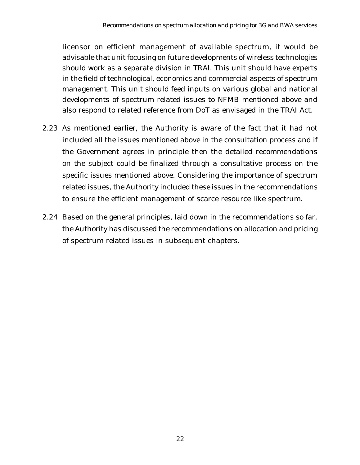licensor on efficient management of available spectrum, it would be advisable that unit focusing on future developments of wireless technologies should work as a separate division in TRAI. This unit should have experts in the field of technological, economics and commercial aspects of spectrum management. This unit should feed inputs on various global and national developments of spectrum related issues to NFMB mentioned above and also respond to related reference from DoT as envisaged in the TRAI Act.

- 2.23 As mentioned earlier, the Authority is aware of the fact that it had not included all the issues mentioned above in the consultation process and if the Government agrees in principle then the detailed recommendations on the subject could be finalized through a consultative process on the specific issues mentioned above. Considering the importance of spectrum related issues, the Authority included these issues in the recommendations to ensure the efficient management of scarce resource like spectrum.
- 2.24 Based on the general principles, laid down in the recommendations so far, the Authority has discussed the recommendations on allocation and pricing of spectrum related issues in subsequent chapters.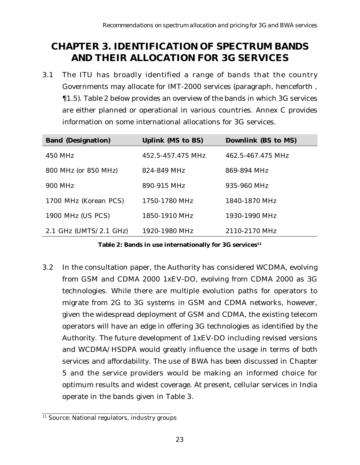# **CHAPTER 3. IDENTIFICATION OF SPECTRUM BANDS AND THEIR ALLOCATION FOR 3G SERVICES**

3.1 The ITU has broadly identified a range of bands that the country Governments may allocate for IMT-2000 services (paragraph, henceforth , ¶1.5). Table 2 below provides an overview of the bands in which 3G services are either planned or operational in various countries. Annex C provides information on some international allocations for 3G services.

| <b>Band (Designation)</b>        | <b>Uplink (MS to BS)</b> | Downlink (BS to MS) |
|----------------------------------|--------------------------|---------------------|
| 450 MHz                          | 452.5-457.475 MHz        | 462.5-467.475 MHz   |
| 800 MHz (or 850 MHz)             | 824-849 MHz              | 869-894 MHz         |
| 900 MHz                          | 890-915 MHz              | 935-960 MHz         |
| 1700 MHz (Korean PCS)            | 1750-1780 MHz            | 1840-1870 MHz       |
| <b>1900 MHz (US PCS)</b>         | 1850-1910 MHz            | 1930-1990 MHz       |
| 2.1 GHz $(UMTS/2.1 \text{ GHz})$ | 1920-1980 MHz            | 2110-2170 MHz       |

Table 2: Bands in use internationally for 3G services<sup>11</sup>

3.2 In the consultation paper, the Authority has considered WCDMA, evolving from GSM and CDMA 2000 1xEV-DO, evolving from CDMA 2000 as 3G technologies. While there are multiple evolution paths for operators to migrate from 2G to 3G systems in GSM and CDMA networks, however, given the widespread deployment of GSM and CDMA, the existing telecom operators will have an edge in offering 3G technologies as identified by the Authority. The future development of 1xEV-DO including revised versions and WCDMA/HSDPA would greatly influence the usage in terms of both services and affordability. The use of BWA has been discussed in Chapter 5 and the service providers would be making an informed choice for optimum results and widest coverage. At present, cellular services in India operate in the bands given in Table 3.

<sup>&</sup>lt;sup>11</sup> Source: National regulators, industry groups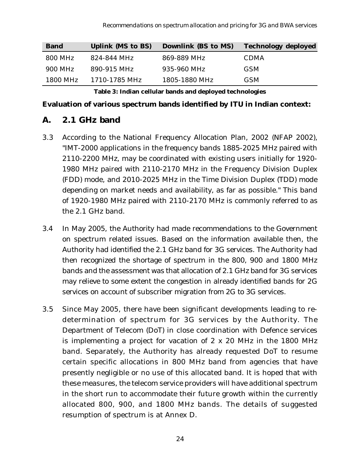| <b>Band</b> | <b>Uplink (MS to BS)</b> | <b>Downlink (BS to MS)</b> | <b>Technology deployed</b> |
|-------------|--------------------------|----------------------------|----------------------------|
| 800 MHz     | 824-844 MHz              | 869-889 MHz                | <b>CDMA</b>                |
| 900 MHz     | 890-915 MHz              | 935-960 MHz                | <b>GSM</b>                 |
| 1800 MHz    | 1710-1785 MHz            | 1805-1880 MHz              | <b>GSM</b>                 |

**Table 3: Indian cellular bands and deployed technologies**

#### **Evaluation of various spectrum bands identified by ITU in Indian context:**

#### **A. 2.1 GHz band**

- 3.3 According to the National Frequency Allocation Plan, 2002 (NFAP 2002), "IMT-2000 applications in the frequency bands 1885-2025 MHz paired with 2110-2200 MHz, may be coordinated with existing users initially for 1920- 1980 MHz paired with 2110-2170 MHz in the Frequency Division Duplex (FDD) mode, and 2010-2025 MHz in the Time Division Duplex (TDD) mode depending on market needs and availability, as far as possible." This band of 1920-1980 MHz paired with 2110-2170 MHz is commonly referred to as the 2.1 GHz band.
- 3.4 In May 2005, the Authority had made recommendations to the Government on spectrum related issues. Based on the information available then, the Authority had identified the 2.1 GHz band for 3G services. The Authority had then recognized the shortage of spectrum in the 800, 900 and 1800 MHz bands and the assessment was that allocation of 2.1 GHz band for 3G services may relieve to some extent the congestion in already identified bands for 2G services on account of subscriber migration from 2G to 3G services.
- 3.5 Since May 2005, there have been significant developments leading to redetermination of spectrum for 3G services by the Authority. The Department of Telecom (DoT) in close coordination with Defence services is implementing a project for vacation of 2 x 20 MHz in the 1800 MHz band. Separately, the Authority has already requested DoT to resume certain specific allocations in 800 MHz band from agencies that have presently negligible or no use of this allocated band. It is hoped that with these measures, the telecom service providers will have additional spectrum in the short run to accommodate their future growth within the currently allocated 800, 900, and 1800 MHz bands. The details of suggested resumption of spectrum is at Annex D.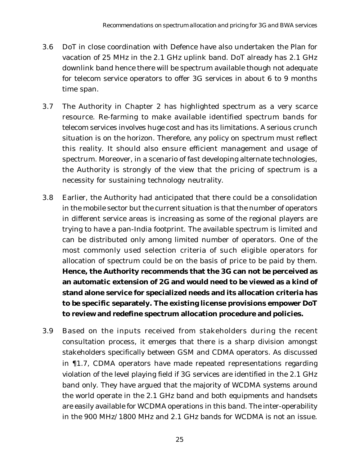- 3.6 DoT in close coordination with Defence have also undertaken the Plan for vacation of 25 MHz in the 2.1 GHz uplink band. DoT already has 2.1 GHz downlink band hence there will be spectrum available though not adequate for telecom service operators to offer 3G services in about 6 to 9 months time span.
- 3.7 The Authority in Chapter 2 has highlighted spectrum as a very scarce resource. Re-farming to make available identified spectrum bands for telecom services involves huge cost and has its limitations. A serious crunch situation is on the horizon. Therefore, any policy on spectrum must reflect this reality. It should also ensure efficient management and usage of spectrum. Moreover, in a scenario of fast developing alternate technologies, the Authority is strongly of the view that the pricing of spectrum is a necessity for sustaining technology neutrality.
- 3.8 Earlier, the Authority had anticipated that there could be a consolidation in the mobile sector but the current situation is that the number of operators in different service areas is increasing as some of the regional players are trying to have a pan-India footprint. The available spectrum is limited and can be distributed only among limited number of operators. One of the most commonly used selection criteria of such eligible operators for allocation of spectrum could be on the basis of price to be paid by them. **Hence, the Authority recommends that the 3G can not be perceived as an automatic extension of 2G and would need to be viewed as a kind of stand alone service for specialized needs and its allocation criteria has to be specific separately. The existing license provisions empower DoT to review and redefine spectrum allocation procedure and policies.**
- 3.9 Based on the inputs received from stakeholders during the recent consultation process, it emerges that there is a sharp division amongst stakeholders specifically between GSM and CDMA operators. As discussed in ¶1.7, CDMA operators have made repeated representations regarding violation of the level playing field if 3G services are identified in the 2.1 GHz band only. They have argued that the majority of WCDMA systems around the world operate in the 2.1 GHz band and both equipments and handsets are easily available for WCDMA operations in this band. The inter-operability in the 900 MHz/1800 MHz and 2.1 GHz bands for WCDMA is not an issue.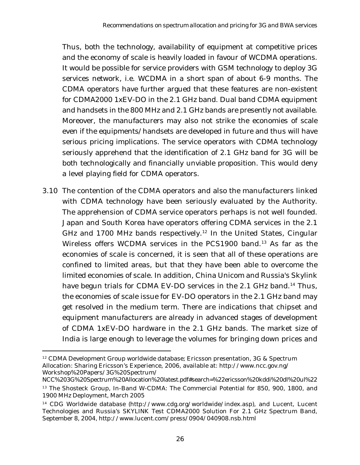Thus, both the technology, availability of equipment at competitive prices and the economy of scale is heavily loaded in favour of WCDMA operations. It would be possible for service providers with GSM technology to deploy 3G services network, i.e. WCDMA in a short span of about 6-9 months. The CDMA operators have further argued that these features are non-existent for CDMA2000 1xEV-DO in the 2.1 GHz band. Dual band CDMA equipment and handsets in the 800 MHz and 2.1 GHz bands are presently not available. Moreover, the manufacturers may also not strike the economies of scale even if the equipments/handsets are developed in future and thus will have serious pricing implications. The service operators with CDMA technology seriously apprehend that the identification of 2.1 GHz band for 3G will be both technologically and financially unviable proposition. This would deny a level playing field for CDMA operators.

3.10 The contention of the CDMA operators and also the manufacturers linked with CDMA technology have been seriously evaluated by the Authority. The apprehension of CDMA service operators perhaps is not well founded. Japan and South Korea have operators offering CDMA services in the 2.1 GHz and 1700 MHz bands respectively.<sup>12</sup> In the United States, Cingular Wireless offers WCDMA services in the PCS1900 band.<sup>13</sup> As far as the economies of scale is concerned, it is seen that all of these operations are confined to limited areas, but that they have been able to overcome the limited economies of scale. In addition, China Unicom and Russia's Skylink have begun trials for CDMA EV-DO services in the 2.1 GHz band.<sup>14</sup> Thus, the economies of scale issue for EV-DO operators in the 2.1 GHz band may get resolved in the medium term. There are indications that chipset and equipment manufacturers are already in advanced stages of development of CDMA 1xEV-DO hardware in the 2.1 GHz bands. The market size of India is large enough to leverage the volumes for bringing down prices and

<sup>&</sup>lt;sup>12</sup> CDMA Development Group worldwide database; Ericsson presentation, 3G & Spectrum Allocation: Sharing Ericsson's Experience, 2006, available at: http://www.ncc.gov.ng/ Workshop%20Papers/3G%20Spectrum/

NCC%203G%20Spectrum%20Allocation%20latest.pdf#search=%22ericsson%20kddi%20dl%20ul%22 <sup>13</sup> The Shosteck Group, In-Band W-CDMA: The Commercial Potential for 850, 900, 1800, and 1900 MHz Deployment, March 2005

<sup>&</sup>lt;sup>14</sup> CDG Worldwide database (http://www.cdg.org/worldwide/index.asp), and Lucent, Lucent Technologies and Russia's SKYLINK Test CDMA2000 Solution For 2.1 GHz Spectrum Band, September 8, 2004, http://www.lucent.com/press/0904/040908.nsb.html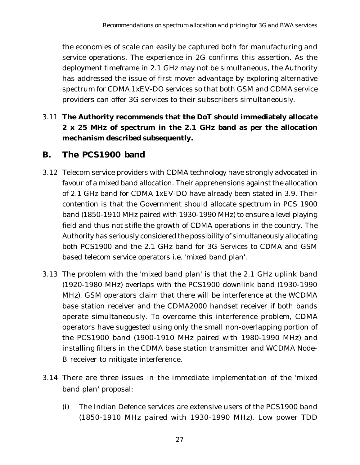the economies of scale can easily be captured both for manufacturing and service operations. The experience in 2G confirms this assertion. As the deployment timeframe in 2.1 GHz may not be simultaneous, the Authority has addressed the issue of first mover advantage by exploring alternative spectrum for CDMA 1xEV-DO services so that both GSM and CDMA service providers can offer 3G services to their subscribers simultaneously.

3.11 **The Authority recommends that the DoT should immediately allocate 2 x 25 MHz of spectrum in the 2.1 GHz band as per the allocation mechanism described subsequently.**

## **B. The PCS1900 band**

- 3.12 Telecom service providers with CDMA technology have strongly advocated in favour of a mixed band allocation. Their apprehensions against the allocation of 2.1 GHz band for CDMA 1xEV-DO have already been stated in 3.9. Their contention is that the Government should allocate spectrum in PCS 1900 band (1850-1910 MHz paired with 1930-1990 MHz) to ensure a level playing field and thus not stifle the growth of CDMA operations in the country. The Authority has seriously considered the possibility of simultaneously allocating both PCS1900 and the 2.1 GHz band for 3G Services to CDMA and GSM based telecom service operators i.e. 'mixed band plan'.
- 3.13 The problem with the 'mixed band plan' is that the 2.1 GHz uplink band (1920-1980 MHz) overlaps with the PCS1900 downlink band (1930-1990 MHz). GSM operators claim that there will be interference at the WCDMA base station receiver and the CDMA2000 handset receiver if both bands operate simultaneously. To overcome this interference problem, CDMA operators have suggested using only the small non-overlapping portion of the PCS1900 band (1900-1910 MHz paired with 1980-1990 MHz) and installing filters in the CDMA base station transmitter and WCDMA Node-B receiver to mitigate interference.
- 3.14 There are three issues in the immediate implementation of the 'mixed band plan' proposal:
	- (i) The Indian Defence services are extensive users of the PCS1900 band (1850-1910 MHz paired with 1930-1990 MHz). Low power TDD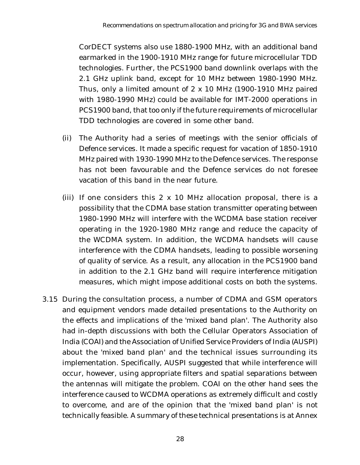CorDECT systems also use 1880-1900 MHz, with an additional band earmarked in the 1900-1910 MHz range for future microcellular TDD technologies. Further, the PCS1900 band downlink overlaps with the 2.1 GHz uplink band, except for 10 MHz between 1980-1990 MHz. Thus, only a limited amount of 2 x 10 MHz (1900-1910 MHz paired with 1980-1990 MHz) could be available for IMT-2000 operations in PCS1900 band, that too only if the future requirements of microcellular TDD technologies are covered in some other band.

- (ii) The Authority had a series of meetings with the senior officials of Defence services. It made a specific request for vacation of 1850-1910 MHz paired with 1930-1990 MHz to the Defence services. The response has not been favourable and the Defence services do not foresee vacation of this band in the near future.
- (iii) If one considers this  $2 \times 10$  MHz allocation proposal, there is a possibility that the CDMA base station transmitter operating between 1980-1990 MHz will interfere with the WCDMA base station receiver operating in the 1920-1980 MHz range and reduce the capacity of the WCDMA system. In addition, the WCDMA handsets will cause interference with the CDMA handsets, leading to possible worsening of quality of service. As a result, any allocation in the PCS1900 band in addition to the 2.1 GHz band will require interference mitigation measures, which might impose additional costs on both the systems.
- 3.15 During the consultation process, a number of CDMA and GSM operators and equipment vendors made detailed presentations to the Authority on the effects and implications of the 'mixed band plan'. The Authority also had in-depth discussions with both the Cellular Operators Association of India (COAI) and the Association of Unified Service Providers of India (AUSPI) about the 'mixed band plan' and the technical issues surrounding its implementation. Specifically, AUSPI suggested that while interference will occur, however, using appropriate filters and spatial separations between the antennas will mitigate the problem. COAI on the other hand sees the interference caused to WCDMA operations as extremely difficult and costly to overcome, and are of the opinion that the 'mixed band plan' is not technically feasible. A summary of these technical presentations is at Annex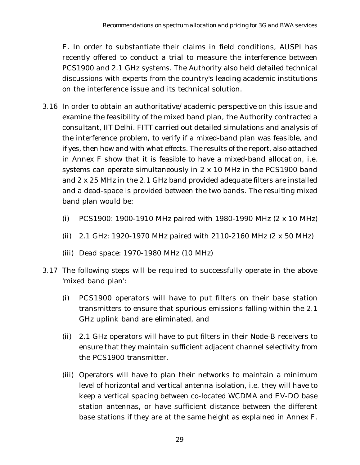E. In order to substantiate their claims in field conditions, AUSPI has recently offered to conduct a trial to measure the interference between PCS1900 and 2.1 GHz systems. The Authority also held detailed technical discussions with experts from the country's leading academic institutions on the interference issue and its technical solution.

- 3.16 In order to obtain an authoritative/academic perspective on this issue and examine the feasibility of the mixed band plan, the Authority contracted a consultant, IIT Delhi. FITT carried out detailed simulations and analysis of the interference problem, to verify if a mixed-band plan was feasible, and if yes, then how and with what effects. The results of the report, also attached in Annex F show that it is feasible to have a mixed-band allocation, i.e. systems can operate simultaneously in 2 x 10 MHz in the PCS1900 band and 2 x 25 MHz in the 2.1 GHz band provided adequate filters are installed and a dead-space is provided between the two bands. The resulting mixed band plan would be:
	- (i) PCS1900: 1900-1910 MHz paired with 1980-1990 MHz (2 x 10 MHz)
	- (ii) 2.1 GHz: 1920-1970 MHz paired with 2110-2160 MHz (2 x 50 MHz)
	- (iii) Dead space: 1970-1980 MHz (10 MHz)
- 3.17 The following steps will be required to successfully operate in the above 'mixed band plan':
	- (i) PCS1900 operators will have to put filters on their base station transmitters to ensure that spurious emissions falling within the 2.1 GHz uplink band are eliminated, and
	- (ii) 2.1 GHz operators will have to put filters in their Node-B receivers to ensure that they maintain sufficient adjacent channel selectivity from the PCS1900 transmitter.
	- (iii) Operators will have to plan their networks to maintain a minimum level of horizontal and vertical antenna isolation, i.e. they will have to keep a vertical spacing between co-located WCDMA and EV-DO base station antennas, or have sufficient distance between the different base stations if they are at the same height as explained in Annex F.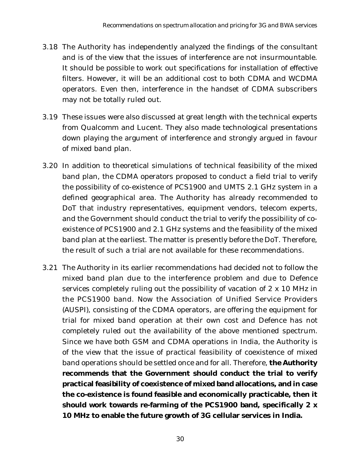- 3.18 The Authority has independently analyzed the findings of the consultant and is of the view that the issues of interference are not insurmountable. It should be possible to work out specifications for installation of effective filters. However, it will be an additional cost to both CDMA and WCDMA operators. Even then, interference in the handset of CDMA subscribers may not be totally ruled out.
- 3.19 These issues were also discussed at great length with the technical experts from Qualcomm and Lucent. They also made technological presentations down playing the argument of interference and strongly argued in favour of mixed band plan.
- 3.20 In addition to theoretical simulations of technical feasibility of the mixed band plan, the CDMA operators proposed to conduct a field trial to verify the possibility of co-existence of PCS1900 and UMTS 2.1 GHz system in a defined geographical area. The Authority has already recommended to DoT that industry representatives, equipment vendors, telecom experts, and the Government should conduct the trial to verify the possibility of coexistence of PCS1900 and 2.1 GHz systems and the feasibility of the mixed band plan at the earliest. The matter is presently before the DoT. Therefore, the result of such a trial are not available for these recommendations.
- 3.21 The Authority in its earlier recommendations had decided not to follow the mixed band plan due to the interference problem and due to Defence services completely ruling out the possibility of vacation of 2 x 10 MHz in the PCS1900 band. Now the Association of Unified Service Providers (AUSPI), consisting of the CDMA operators, are offering the equipment for trial for mixed band operation at their own cost and Defence has not completely ruled out the availability of the above mentioned spectrum. Since we have both GSM and CDMA operations in India, the Authority is of the view that the issue of practical feasibility of coexistence of mixed band operations should be settled once and for all. Therefore, **the Authority recommends that the Government should conduct the trial to verify practical feasibility of coexistence of mixed band allocations, and in case the co-existence is found feasible and economically practicable, then it should work towards re-farming of the PCS1900 band, specifically 2 x 10 MHz to enable the future growth of 3G cellular services in India.**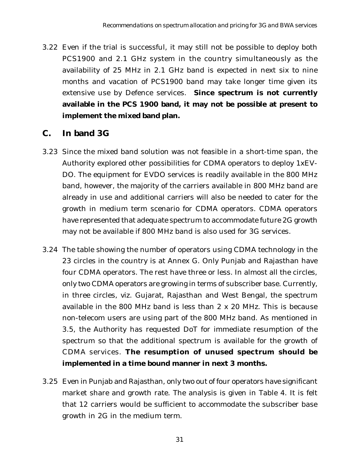3.22 Even if the trial is successful, it may still not be possible to deploy both PCS1900 and 2.1 GHz system in the country simultaneously as the availability of 25 MHz in 2.1 GHz band is expected in next six to nine months and vacation of PCS1900 band may take longer time given its extensive use by Defence services. **Since spectrum is not currently available in the PCS 1900 band, it may not be possible at present to implement the mixed band plan.**

## **C. In band 3G**

- 3.23 Since the mixed band solution was not feasible in a short-time span, the Authority explored other possibilities for CDMA operators to deploy 1xEV-DO. The equipment for EVDO services is readily available in the 800 MHz band, however, the majority of the carriers available in 800 MHz band are already in use and additional carriers will also be needed to cater for the growth in medium term scenario for CDMA operators. CDMA operators have represented that adequate spectrum to accommodate future 2G growth may not be available if 800 MHz band is also used for 3G services.
- 3.24 The table showing the number of operators using CDMA technology in the 23 circles in the country is at Annex G. Only Punjab and Rajasthan have four CDMA operators. The rest have three or less. In almost all the circles, only two CDMA operators are growing in terms of subscriber base. Currently, in three circles, viz. Gujarat, Rajasthan and West Bengal, the spectrum available in the 800 MHz band is less than 2 x 20 MHz. This is because non-telecom users are using part of the 800 MHz band. As mentioned in 3.5, the Authority has requested DoT for immediate resumption of the spectrum so that the additional spectrum is available for the growth of CDMA services. **The resumption of unused spectrum should be implemented in a time bound manner in next 3 months.**
- 3.25 Even in Punjab and Rajasthan, only two out of four operators have significant market share and growth rate. The analysis is given in Table 4. It is felt that 12 carriers would be sufficient to accommodate the subscriber base growth in 2G in the medium term.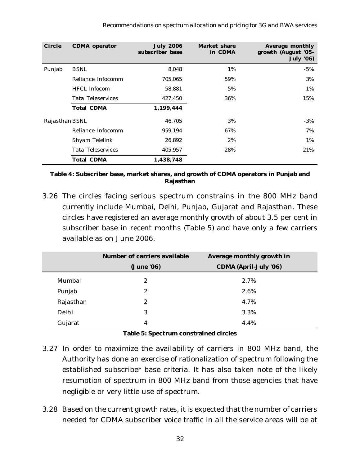| <b>Circle</b>  | <b>CDMA</b> operator     | <b>July 2006</b><br>subscriber base | Market share<br>in CDMA | <b>Average monthly</b><br>growth (August '05-<br><b>July '06)</b> |
|----------------|--------------------------|-------------------------------------|-------------------------|-------------------------------------------------------------------|
| Punjab         | <b>BSNL</b>              | 8,048                               | 1%                      | $-5\%$                                                            |
|                | Reliance Infocomm        | 705,065                             | 59%                     | 3%                                                                |
|                | <b>HFCL</b> Infocom      | 58,881                              | 5%                      | $-1\%$                                                            |
|                | <b>Tata Teleservices</b> | 427,450                             | 36%                     | 15%                                                               |
|                | <b>Total CDMA</b>        | 1,199,444                           |                         |                                                                   |
| Rajasthan BSNL |                          | 46,705                              | 3%                      | $-3%$                                                             |
|                | Reliance Infocomm        | 959,194                             | 67%                     | 7%                                                                |
|                | Shyam Telelink           | 26,892                              | 2%                      | 1%                                                                |
|                | <b>Tata Teleservices</b> | 405,957                             | 28%                     | 21%                                                               |
|                | <b>Total CDMA</b>        | 1,438,748                           |                         |                                                                   |

**Table 4: Subscriber base, market shares, and growth of CDMA operators in Punjab and Rajasthan**

3.26 The circles facing serious spectrum constrains in the 800 MHz band currently include Mumbai, Delhi, Punjab, Gujarat and Rajasthan. These circles have registered an average monthly growth of about 3.5 per cent in subscriber base in recent months (Table 5) and have only a few carriers available as on June 2006.

|           | <b>Number of carriers available</b> | Average monthly growth in    |
|-----------|-------------------------------------|------------------------------|
|           | (June '06)                          | <b>CDMA (April-July '06)</b> |
| Mumbai    | 2                                   | 2.7%                         |
| Punjab    | 2                                   | 2.6%                         |
| Rajasthan | 2                                   | 4.7%                         |
| Delhi     | 3                                   | 3.3%                         |
| Gujarat   | 4                                   | 4.4%                         |

#### **Table 5: Spectrum constrained circles**

- 3.27 In order to maximize the availability of carriers in 800 MHz band, the Authority has done an exercise of rationalization of spectrum following the established subscriber base criteria. It has also taken note of the likely resumption of spectrum in 800 MHz band from those agencies that have negligible or very little use of spectrum.
- 3.28 Based on the current growth rates, it is expected that the number of carriers needed for CDMA subscriber voice traffic in all the service areas will be at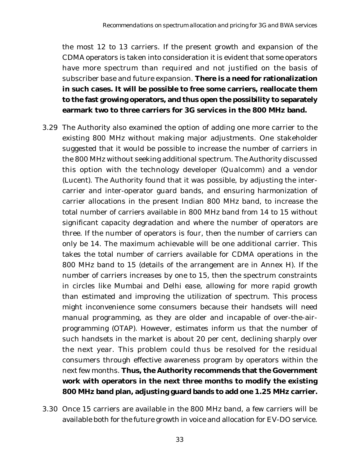the most 12 to 13 carriers. If the present growth and expansion of the CDMA operators is taken into consideration it is evident that some operators have more spectrum than required and not justified on the basis of subscriber base and future expansion. **There is a need for rationalization in such cases. It will be possible to free some carriers, reallocate them to the fast growing operators, and thus open the possibility to separately earmark two to three carriers for 3G services in the 800 MHz band.**

- 3.29 The Authority also examined the option of adding one more carrier to the existing 800 MHz without making major adjustments. One stakeholder suggested that it would be possible to increase the number of carriers in the 800 MHz without seeking additional spectrum. The Authority discussed this option with the technology developer (Qualcomm) and a vendor (Lucent). The Authority found that it was possible, by adjusting the intercarrier and inter-operator guard bands, and ensuring harmonization of carrier allocations in the present Indian 800 MHz band, to increase the total number of carriers available in 800 MHz band from 14 to 15 without significant capacity degradation and where the number of operators are three. If the number of operators is four, then the number of carriers can only be 14. The maximum achievable will be one additional carrier. This takes the total number of carriers available for CDMA operations in the 800 MHz band to 15 (details of the arrangement are in Annex H). If the number of carriers increases by one to 15, then the spectrum constraints in circles like Mumbai and Delhi ease, allowing for more rapid growth than estimated and improving the utilization of spectrum. This process might inconvenience some consumers because their handsets will need manual programming, as they are older and incapable of over-the-airprogramming (OTAP). However, estimates inform us that the number of such handsets in the market is about 20 per cent, declining sharply over the next year. This problem could thus be resolved for the residual consumers through effective awareness program by operators within the next few months. **Thus, the Authority recommends that the Government work with operators in the next three months to modify the existing 800 MHz band plan, adjusting guard bands to add one 1.25 MHz carrier.**
- 3.30 Once 15 carriers are available in the 800 MHz band, a few carriers will be available both for the future growth in voice and allocation for EV-DO service.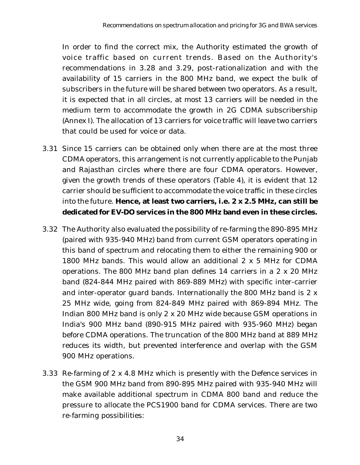In order to find the correct mix, the Authority estimated the growth of voice traffic based on current trends. Based on the Authority's recommendations in 3.28 and 3.29, post-rationalization and with the availability of 15 carriers in the 800 MHz band, we expect the bulk of subscribers in the future will be shared between two operators. As a result, it is expected that in all circles, at most 13 carriers will be needed in the medium term to accommodate the growth in 2G CDMA subscribership (Annex I). The allocation of 13 carriers for voice traffic will leave two carriers that could be used for voice or data.

- 3.31 Since 15 carriers can be obtained only when there are at the most three CDMA operators, this arrangement is not currently applicable to the Punjab and Rajasthan circles where there are four CDMA operators. However, given the growth trends of these operators (Table 4), it is evident that 12 carrier should be sufficient to accommodate the voice traffic in these circles into the future. **Hence, at least two carriers, i.e. 2 x 2.5 MHz, can still be dedicated for EV-DO services in the 800 MHz band even in these circles.**
- 3.32 The Authority also evaluated the possibility of re-farming the 890-895 MHz (paired with 935-940 MHz) band from current GSM operators operating in this band of spectrum and relocating them to either the remaining 900 or 1800 MHz bands. This would allow an additional 2 x 5 MHz for CDMA operations. The 800 MHz band plan defines 14 carriers in a 2 x 20 MHz band (824-844 MHz paired with 869-889 MHz) with specific inter-carrier and inter-operator guard bands. Internationally the 800 MHz band is 2 x 25 MHz wide, going from 824-849 MHz paired with 869-894 MHz. The Indian 800 MHz band is only 2 x 20 MHz wide because GSM operations in India's 900 MHz band (890-915 MHz paired with 935-960 MHz) began before CDMA operations. The truncation of the 800 MHz band at 889 MHz reduces its width, but prevented interference and overlap with the GSM 900 MHz operations.
- 3.33 Re-farming of 2 x 4.8 MHz which is presently with the Defence services in the GSM 900 MHz band from 890-895 MHz paired with 935-940 MHz will make available additional spectrum in CDMA 800 band and reduce the pressure to allocate the PCS1900 band for CDMA services. There are two re-farming possibilities: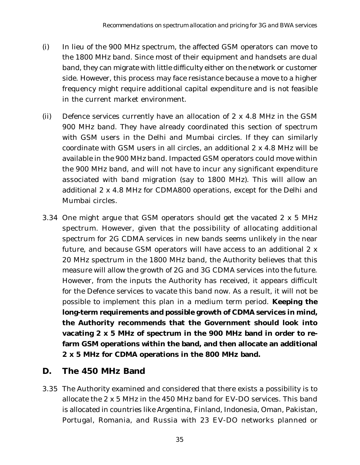- (i) In lieu of the 900 MHz spectrum, the affected GSM operators can move to the 1800 MHz band. Since most of their equipment and handsets are dual band, they can migrate with little difficulty either on the network or customer side. However, this process may face resistance because a move to a higher frequency might require additional capital expenditure and is not feasible in the current market environment.
- (ii) Defence services currently have an allocation of 2 x 4.8 MHz in the GSM 900 MHz band. They have already coordinated this section of spectrum with GSM users in the Delhi and Mumbai circles. If they can similarly coordinate with GSM users in all circles, an additional 2 x 4.8 MHz will be available in the 900 MHz band. Impacted GSM operators could move within the 900 MHz band, and will not have to incur any significant expenditure associated with band migration (say to 1800 MHz). This will allow an additional 2 x 4.8 MHz for CDMA800 operations, except for the Delhi and Mumbai circles.
- 3.34 One might argue that GSM operators should get the vacated 2 x 5 MHz spectrum. However, given that the possibility of allocating additional spectrum for 2G CDMA services in new bands seems unlikely in the near future, and because GSM operators will have access to an additional 2 x 20 MHz spectrum in the 1800 MHz band, the Authority believes that this measure will allow the growth of 2G and 3G CDMA services into the future. However, from the inputs the Authority has received, it appears difficult for the Defence services to vacate this band now. As a result, it will not be possible to implement this plan in a medium term period. **Keeping the long-term requirements and possible growth of CDMA services in mind, the Authority recommends that the Government should look into vacating 2 x 5 MHz of spectrum in the 900 MHz band in order to refarm GSM operations within the band, and then allocate an additional 2 x 5 MHz for CDMA operations in the 800 MHz band.**

#### **D. The 450 MHz Band**

3.35 The Authority examined and considered that there exists a possibility is to allocate the 2 x 5 MHz in the 450 MHz band for EV-DO services. This band is allocated in countries like Argentina, Finland, Indonesia, Oman, Pakistan, Portugal, Romania, and Russia with 23 EV-DO networks planned or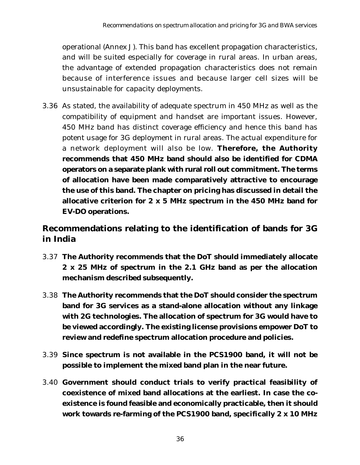operational (Annex J). This band has excellent propagation characteristics, and will be suited especially for coverage in rural areas. In urban areas, the advantage of extended propagation characteristics does not remain because of interference issues and because larger cell sizes will be unsustainable for capacity deployments.

3.36 As stated, the availability of adequate spectrum in 450 MHz as well as the compatibility of equipment and handset are important issues. However, 450 MHz band has distinct coverage efficiency and hence this band has potent usage for 3G deployment in rural areas. The actual expenditure for a network deployment will also be low. **Therefore, the Authority recommends that 450 MHz band should also be identified for CDMA operators on a separate plank with rural roll out commitment. The terms of allocation have been made comparatively attractive to encourage the use of this band. The chapter on pricing has discussed in detail the allocative criterion for 2 x 5 MHz spectrum in the 450 MHz band for EV-DO operations.**

# **Recommendations relating to the identification of bands for 3G in India**

- 3.37 **The Authority recommends that the DoT should immediately allocate 2 x 25 MHz of spectrum in the 2.1 GHz band as per the allocation mechanism described subsequently.**
- 3.38 **The Authority recommends that the DoT should consider the spectrum band for 3G services as a stand-alone allocation without any linkage with 2G technologies. The allocation of spectrum for 3G would have to be viewed accordingly. The existing license provisions empower DoT to review and redefine spectrum allocation procedure and policies.**
- 3.39 **Since spectrum is not available in the PCS1900 band, it will not be possible to implement the mixed band plan in the near future.**
- 3.40 **Government should conduct trials to verify practical feasibility of coexistence of mixed band allocations at the earliest. In case the coexistence is found feasible and economically practicable, then it should work towards re-farming of the PCS1900 band, specifically 2 x 10 MHz**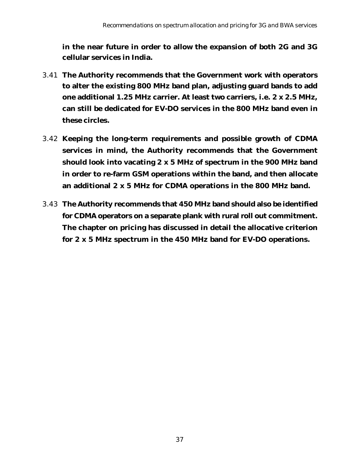**in the near future in order to allow the expansion of both 2G and 3G cellular services in India.**

- 3.41 **The Authority recommends that the Government work with operators to alter the existing 800 MHz band plan, adjusting guard bands to add one additional 1.25 MHz carrier. At least two carriers, i.e. 2 x 2.5 MHz, can still be dedicated for EV-DO services in the 800 MHz band even in these circles.**
- 3.42 **Keeping the long-term requirements and possible growth of CDMA services in mind, the Authority recommends that the Government should look into vacating 2 x 5 MHz of spectrum in the 900 MHz band in order to re-farm GSM operations within the band, and then allocate an additional 2 x 5 MHz for CDMA operations in the 800 MHz band.**
- 3.43 **The Authority recommends that 450 MHz band should also be identified for CDMA operators on a separate plank with rural roll out commitment. The chapter on pricing has discussed in detail the allocative criterion for 2 x 5 MHz spectrum in the 450 MHz band for EV-DO operations.**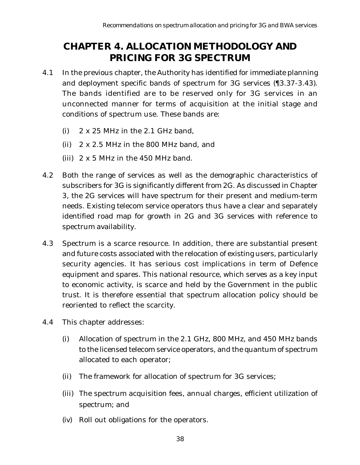# **CHAPTER 4. ALLOCATION METHODOLOGY AND PRICING FOR 3G SPECTRUM**

- 4.1 In the previous chapter, the Authority has identified for immediate planning and deployment specific bands of spectrum for 3G services (¶3.37-3.43). The bands identified are to be reserved only for 3G services in an unconnected manner for terms of acquisition at the initial stage and conditions of spectrum use. These bands are:
	- (i)  $2 \times 25$  MHz in the 2.1 GHz band,
	- (ii) 2 x 2.5 MHz in the 800 MHz band, and
	- (iii)  $2 \times 5$  MHz in the 450 MHz band.
- 4.2 Both the range of services as well as the demographic characteristics of subscribers for 3G is significantly different from 2G. As discussed in Chapter 3, the 2G services will have spectrum for their present and medium-term needs. Existing telecom service operators thus have a clear and separately identified road map for growth in 2G and 3G services with reference to spectrum availability.
- 4.3 Spectrum is a scarce resource. In addition, there are substantial present and future costs associated with the relocation of existing users, particularly security agencies. It has serious cost implications in term of Defence equipment and spares. This national resource, which serves as a key input to economic activity, is scarce and held by the Government in the public trust. It is therefore essential that spectrum allocation policy should be reoriented to reflect the scarcity.
- 4.4 This chapter addresses:
	- (i) Allocation of spectrum in the 2.1 GHz, 800 MHz, and 450 MHz bands to the licensed telecom service operators, and the quantum of spectrum allocated to each operator;
	- (ii) The framework for allocation of spectrum for 3G services;
	- (iii) The spectrum acquisition fees, annual charges, efficient utilization of spectrum; and
	- (iv) Roll out obligations for the operators.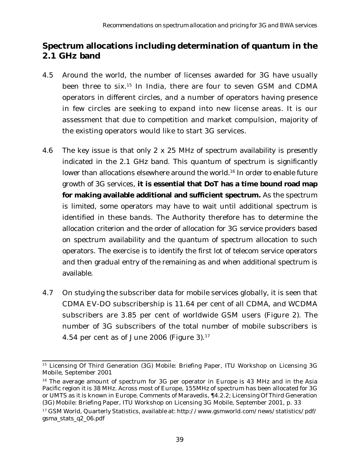## **Spectrum allocations including determination of quantum in the 2.1 GHz band**

- 4.5 Around the world, the number of licenses awarded for 3G have usually been three to six.<sup>15</sup> In India, there are four to seven GSM and CDMA operators in different circles, and a number of operators having presence in few circles are seeking to expand into new license areas. It is our assessment that due to competition and market compulsion, majority of the existing operators would like to start 3G services.
- 4.6 The key issue is that only 2 x 25 MHz of spectrum availability is presently indicated in the 2.1 GHz band. This quantum of spectrum is significantly lower than allocations elsewhere around the world.<sup>16</sup> In order to enable future growth of 3G services, **it is essential that DoT has a time bound road map for making available additional and sufficient spectrum.** As the spectrum is limited, some operators may have to wait until additional spectrum is identified in these bands. The Authority therefore has to determine the allocation criterion and the order of allocation for 3G service providers based on spectrum availability and the quantum of spectrum allocation to such operators. The exercise is to identify the first lot of telecom service operators and then gradual entry of the remaining as and when additional spectrum is available.
- 4.7 On studying the subscriber data for mobile services globally, it is seen that CDMA EV-DO subscribership is 11.64 per cent of all CDMA, and WCDMA subscribers are 3.85 per cent of worldwide GSM users (Figure 2). The number of 3G subscribers of the total number of mobile subscribers is 4.54 per cent as of June 2006 (Figure 3). $17$

<sup>&</sup>lt;sup>15</sup> Licensing Of Third Generation (3G) Mobile: Briefing Paper, ITU Workshop on Licensing 3G Mobile, September 2001

<sup>&</sup>lt;sup>16</sup> The average amount of spectrum for 3G per operator in Europe is 43 MHz and in the Asia Pacific region it is 38 MHz. Across most of Europe, 155MHz of spectrum has been allocated for 3G or UMTS as it is known in Europe. Comments of Maravedis, ¶4.2.2; Licensing Of Third Generation (3G) Mobile: Briefing Paper, ITU Workshop on Licensing 3G Mobile, September 2001, p. 33

<sup>17</sup> GSM World, Quarterly Statistics, available at: http://www.gsmworld.com/news/statistics/pdf/ gsma\_stats\_q2\_06.pdf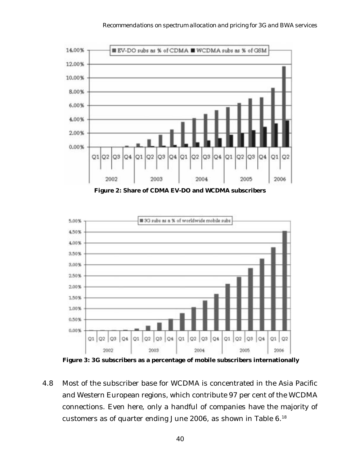

**Figure 2: Share of CDMA EV-DO and WCDMA subscribers**



 **Figure 3: 3G subscribers as a percentage of mobile subscribers internationally**

4.8 Most of the subscriber base for WCDMA is concentrated in the Asia Pacific and Western European regions, which contribute 97 per cent of the WCDMA connections. Even here, only a handful of companies have the majority of customers as of quarter ending June 2006, as shown in Table 6.18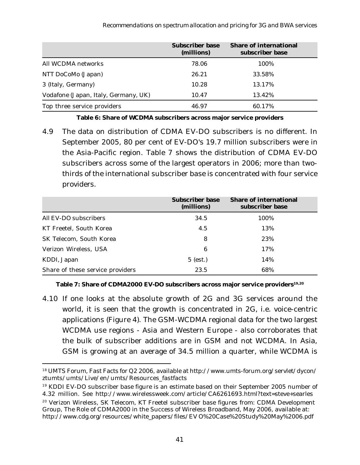|                                      | <b>Subscriber base</b><br>(millions) | <b>Share of international</b><br>subscriber base |
|--------------------------------------|--------------------------------------|--------------------------------------------------|
| All WCDMA networks                   | 78.06                                | 100%                                             |
| NTT DoCoMo (Japan)                   | 26.21                                | 33.58%                                           |
| 3 (Italy, Germany)                   | 10.28                                | 13.17%                                           |
| Vodafone (Japan, Italy, Germany, UK) | 10.47                                | 13.42%                                           |
| Top three service providers          | 46.97                                | 60.17%                                           |

**Table 6: Share of WCDMA subscribers across major service providers**

4.9 The data on distribution of CDMA EV-DO subscribers is no different. In September 2005, 80 per cent of EV-DO's 19.7 million subscribers were in the Asia-Pacific region. Table 7 shows the distribution of CDMA EV-DO subscribers across some of the largest operators in 2006; more than twothirds of the international subscriber base is concentrated with four service providers.

|                                  | <b>Subscriber base</b><br>(millions) | <b>Share of international</b><br>subscriber base |
|----------------------------------|--------------------------------------|--------------------------------------------------|
| All EV-DO subscribers            | 34.5                                 | 100%                                             |
| KT Freetel, South Korea          | 4.5                                  | 13%                                              |
| SK Telecom, South Korea          | 8                                    | 23%                                              |
| Verizon Wireless, USA            | 6                                    | 17%                                              |
| KDDI, Japan                      | $5$ (est.)                           | 14%                                              |
| Share of these service providers | 23.5                                 | 68%                                              |

#### Table 7: Share of CDMA2000 EV-DO subscribers across major service providers<sup>19,20</sup>

4.10 If one looks at the absolute growth of 2G and 3G services around the world, it is seen that the growth is concentrated in 2G, i.e. voice-centric applications (Figure 4). The GSM-WCDMA regional data for the two largest WCDMA use regions - Asia and Western Europe - also corroborates that the bulk of subscriber additions are in GSM and not WCDMA. In Asia, GSM is growing at an average of 34.5 million a quarter, while WCDMA is

<sup>18</sup> UMTS Forum, Fast Facts for Q2 2006, available at http://www.umts-forum.org/servlet/dycon/ ztumts/umts/Live/en/umts/Resources\_fastfacts

<sup>&</sup>lt;sup>19</sup> KDDI EV-DO subscriber base figure is an estimate based on their September 2005 number of 4.32 million. *See* http://www.wirelessweek.com/article/CA6261693.html?text=steve+searles

<sup>20</sup> Verizon Wireless, SK Telecom, KT Freetel subscriber base figures from: CDMA Development Group, The Role of CDMA2000 in the Success of Wireless Broadband, May 2006, available at: http://www.cdg.org/resources/white\_papers/files/EV O%20Case%20Study%20May%2006.pdf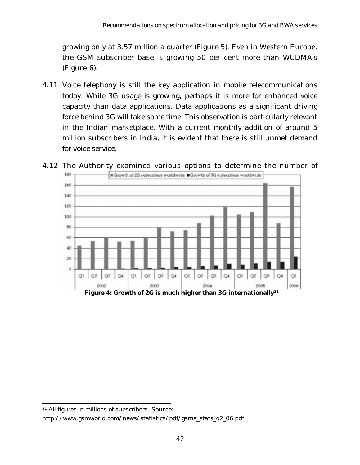growing only at 3.57 million a quarter (Figure 5). Even in Western Europe, the GSM subscriber base is growing 50 per cent more than WCDMA's (Figure 6).

4.11 Voice telephony is still the key application in mobile telecommunications today. While 3G usage is growing, perhaps it is more for enhanced voice capacity than data applications. Data applications as a significant driving force behind 3G will take some time. This observation is particularly relevant in the Indian marketplace. With a current monthly addition of around 5 million subscribers in India, it is evident that there is still unmet demand for voice service.



4.12 The Authority examined various options to determine the number of

<sup>21</sup> *All figures in millions of subscribers*. Source:

http://www.gsmworld.com/news/statistics/pdf/gsma\_stats\_q2\_06.pdf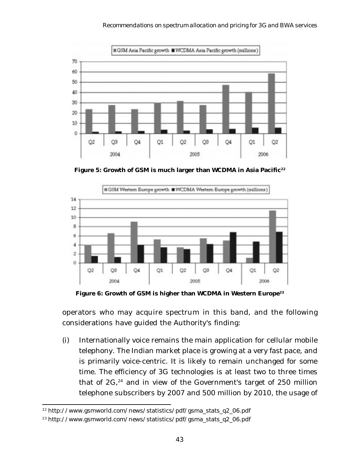

Figure 5: Growth of GSM is much larger than WCDMA in Asia Pacific<sup>22</sup>



Figure 6: Growth of GSM is higher than WCDMA in Western Europe<sup>23</sup>

operators who may acquire spectrum in this band, and the following considerations have guided the Authority's finding:

(i) Internationally voice remains the main application for cellular mobile telephony. The Indian market place is growing at a very fast pace, and is primarily voice-centric. It is likely to remain unchanged for some time. The efficiency of 3G technologies is at least two to three times that of  $2G<sub>1</sub><sup>24</sup>$  and in view of the Government's target of 250 million telephone subscribers by 2007 and 500 million by 2010, the usage of

<sup>&</sup>lt;sup>22</sup> http://www.gsmworld.com/news/statistics/pdf/gsma\_stats\_q2\_06.pdf

<sup>23</sup> http://www.gsmworld.com/news/statistics/pdf/gsma\_stats\_q2\_06.pdf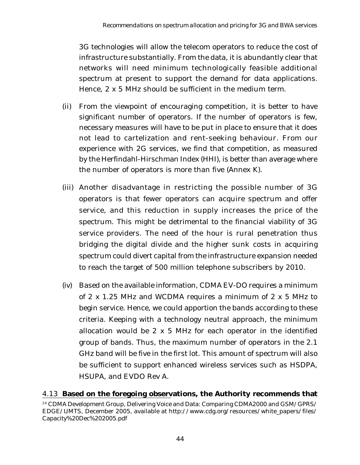3G technologies will allow the telecom operators to reduce the cost of infrastructure substantially. From the data, it is abundantly clear that networks will need minimum technologically feasible additional spectrum at present to support the demand for data applications. Hence, 2 x 5 MHz should be sufficient in the medium term.

- (ii) From the viewpoint of encouraging competition, it is better to have significant number of operators. If the number of operators is few, necessary measures will have to be put in place to ensure that it does not lead to cartelization and rent-seeking behaviour. From our experience with 2G services, we find that competition, as measured by the Herfindahl-Hirschman Index (HHI), is better than average where the number of operators is more than five (Annex K).
- (iii) Another disadvantage in restricting the possible number of 3G operators is that fewer operators can acquire spectrum and offer service, and this reduction in supply increases the price of the spectrum. This might be detrimental to the financial viability of 3G service providers. The need of the hour is rural penetration thus bridging the digital divide and the higher sunk costs in acquiring spectrum could divert capital from the infrastructure expansion needed to reach the target of 500 million telephone subscribers by 2010.
- (iv) Based on the available information, CDMA EV-DO requires a minimum of 2 x 1.25 MHz and WCDMA requires a minimum of 2 x 5 MHz to begin service. Hence, we could apportion the bands according to these criteria. Keeping with a technology neutral approach, the minimum allocation would be 2 x 5 MHz for each operator in the identified group of bands. Thus, the maximum number of operators in the 2.1 GHz band will be five in the first lot. This amount of spectrum will also be sufficient to support enhanced wireless services such as HSDPA, HSUPA, and EVDO Rev A.

#### 4.13 **Based on the foregoing observations, the Authority recommends that**

<sup>&</sup>lt;sup>24</sup> CDMA Development Group, Delivering Voice and Data: Comparing CDMA2000 and GSM/GPRS/ EDGE/UMTS, December 2005, available at http://www.cdg.org/resources/white\_papers/files/ Capacity%20Dec%202005.pdf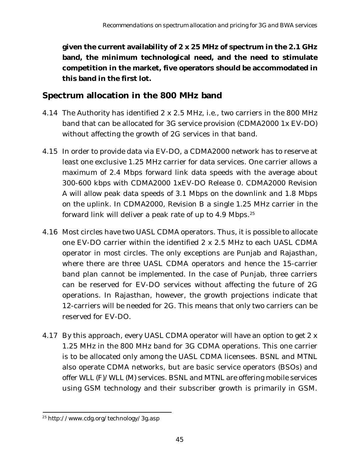**given the current availability of 2 x 25 MHz of spectrum in the 2.1 GHz band, the minimum technological need, and the need to stimulate competition in the market, five operators should be accommodated in this band in the first lot.**

## **Spectrum allocation in the 800 MHz band**

- 4.14 The Authority has identified 2 x 2.5 MHz, i.e., two carriers in the 800 MHz band that can be allocated for 3G service provision (CDMA2000 1x EV-DO) without affecting the growth of 2G services in that band.
- 4.15 In order to provide data via EV-DO, a CDMA2000 network has to reserve at least one exclusive 1.25 MHz carrier for data services. One carrier allows a maximum of 2.4 Mbps forward link data speeds with the average about 300-600 kbps with CDMA2000 1xEV-DO Release 0. CDMA2000 Revision A will allow peak data speeds of 3.1 Mbps on the downlink and 1.8 Mbps on the uplink. In CDMA2000, Revision B a single 1.25 MHz carrier in the forward link will deliver a peak rate of up to 4.9 Mbps.<sup>25</sup>
- 4.16 Most circles have two UASL CDMA operators. Thus, it is possible to allocate one EV-DO carrier within the identified 2 x 2.5 MHz to each UASL CDMA operator in most circles. The only exceptions are Punjab and Rajasthan, where there are three UASL CDMA operators and hence the 15-carrier band plan cannot be implemented. In the case of Punjab, three carriers can be reserved for EV-DO services without affecting the future of 2G operations. In Rajasthan, however, the growth projections indicate that 12-carriers will be needed for 2G. This means that only two carriers can be reserved for EV-DO.
- 4.17 By this approach, every UASL CDMA operator will have an option to get 2 x 1.25 MHz in the 800 MHz band for 3G CDMA operations. This one carrier is to be allocated only among the UASL CDMA licensees. BSNL and MTNL also operate CDMA networks, but are basic service operators (BSOs) and offer WLL (F)/WLL (M) services. BSNL and MTNL are offering mobile services using GSM technology and their subscriber growth is primarily in GSM.

<sup>25</sup> http://www.cdg.org/technology/3g.asp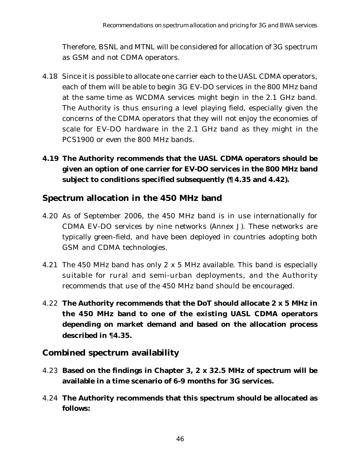Therefore, BSNL and MTNL will be considered for allocation of 3G spectrum as GSM and not CDMA operators.

- 4.18 Since it is possible to allocate one carrier each to the UASL CDMA operators, each of them will be able to begin 3G EV-DO services in the 800 MHz band at the same time as WCDMA services might begin in the 2.1 GHz band. The Authority is thus ensuring a level playing field, especially given the concerns of the CDMA operators that they will not enjoy the economies of scale for EV-DO hardware in the 2.1 GHz band as they might in the PCS1900 or even the 800 MHz bands.
- **4.19 The Authority recommends that the UASL CDMA operators should be given an option of one carrier for EV-DO services in the 800 MHz band subject to conditions specified subsequently (¶4.35 and 4.42).**

## **Spectrum allocation in the 450 MHz band**

- 4.20 As of September 2006, the 450 MHz band is in use internationally for CDMA EV-DO services by nine networks (Annex J). These networks are typically green-field, and have been deployed in countries adopting both GSM and CDMA technologies.
- 4.21 The 450 MHz band has only 2 x 5 MHz available. This band is especially suitable for rural and semi-urban deployments, and the Authority recommends that use of the 450 MHz band should be encouraged.
- 4.22 **The Authority recommends that the DoT should allocate 2 x 5 MHz in the 450 MHz band to one of the existing UASL CDMA operators depending on market demand and based on the allocation process described in** ¶**4.35.**

## **Combined spectrum availability**

- 4.23 **Based on the findings in Chapter 3, 2 x 32.5 MHz of spectrum will be available in a time scenario of 6-9 months for 3G services.**
- 4.24 **The Authority recommends that this spectrum should be allocated as follows:**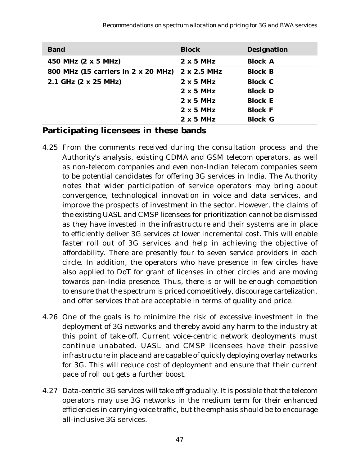| <b>Band</b>                         | <b>Block</b>       | <b>Designation</b> |
|-------------------------------------|--------------------|--------------------|
| 450 MHz (2 x 5 MHz)                 | $2 \times 5$ MHz   | <b>Block A</b>     |
| 800 MHz (15 carriers in 2 x 20 MHz) | $2 \times 2.5$ MHz | <b>Block B</b>     |
| 2.1 GHz (2 x 25 MHz)                | $2 \times 5$ MHz   | <b>Block C</b>     |
|                                     | $2 \times 5$ MHz   | <b>Block D</b>     |
|                                     | $2 \times 5$ MHz   | <b>Block E</b>     |
|                                     | $2 \times 5$ MHz   | <b>Block F</b>     |
|                                     | $2 \times 5$ MHz   | <b>Block G</b>     |

#### **Participating licensees in these bands**

- 4.25 From the comments received during the consultation process and the Authority's analysis, existing CDMA and GSM telecom operators, as well as non-telecom companies and even non-Indian telecom companies seem to be potential candidates for offering 3G services in India. The Authority notes that wider participation of service operators may bring about convergence, technological innovation in voice and data services, and improve the prospects of investment in the sector. However, the claims of the existing UASL and CMSP licensees for prioritization cannot be dismissed as they have invested in the infrastructure and their systems are in place to efficiently deliver 3G services at lower incremental cost. This will enable faster roll out of 3G services and help in achieving the objective of affordability. There are presently four to seven service providers in each circle. In addition, the operators who have presence in few circles have also applied to DoT for grant of licenses in other circles and are moving towards pan-India presence. Thus, there is or will be enough competition to ensure that the spectrum is priced competitively, discourage cartelization, and offer services that are acceptable in terms of quality and price.
- 4.26 One of the goals is to minimize the risk of excessive investment in the deployment of 3G networks and thereby avoid any harm to the industry at this point of take-off. Current voice-centric network deployments must continue unabated. UASL and CMSP licensees have their passive infrastructure in place and are capable of quickly deploying overlay networks for 3G. This will reduce cost of deployment and ensure that their current pace of roll out gets a further boost.
- 4.27 Data-centric 3G services will take off gradually. It is possible that the telecom operators may use 3G networks in the medium term for their enhanced efficiencies in carrying voice traffic, but the emphasis should be to encourage all-inclusive 3G services.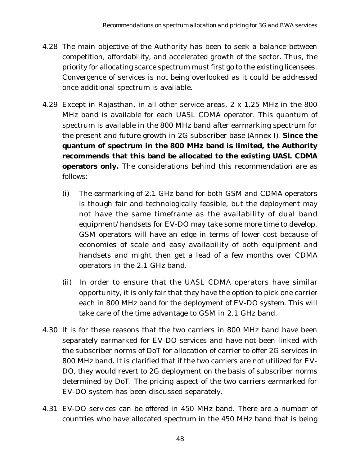- 4.28 The main objective of the Authority has been to seek a balance between competition, affordability, and accelerated growth of the sector. Thus, the priority for allocating scarce spectrum must first go to the existing licensees. Convergence of services is not being overlooked as it could be addressed once additional spectrum is available.
- 4.29 Except in Rajasthan, in all other service areas, 2 x 1.25 MHz in the 800 MHz band is available for each UASL CDMA operator. This quantum of spectrum is available in the 800 MHz band after earmarking spectrum for the present and future growth in 2G subscriber base (Annex I). **Since the quantum of spectrum in the 800 MHz band is limited, the Authority recommends that this band be allocated to the existing UASL CDMA operators only.** The considerations behind this recommendation are as follows:
	- (i) The earmarking of 2.1 GHz band for both GSM and CDMA operators is though fair and technologically feasible, but the deployment may not have the same timeframe as the availability of dual band equipment/handsets for EV-DO may take some more time to develop. GSM operators will have an edge in terms of lower cost because of economies of scale and easy availability of both equipment and handsets and might then get a lead of a few months over CDMA operators in the 2.1 GHz band.
	- (ii) In order to ensure that the UASL CDMA operators have similar opportunity, it is only fair that they have the option to pick one carrier each in 800 MHz band for the deployment of EV-DO system. This will take care of the time advantage to GSM in 2.1 GHz band.
- 4.30 It is for these reasons that the two carriers in 800 MHz band have been separately earmarked for EV-DO services and have not been linked with the subscriber norms of DoT for allocation of carrier to offer 2G services in 800 MHz band. It is clarified that if the two carriers are not utilized for EV-DO, they would revert to 2G deployment on the basis of subscriber norms determined by DoT. The pricing aspect of the two carriers earmarked for EV-DO system has been discussed separately.
- 4.31 EV-DO services can be offered in 450 MHz band. There are a number of countries who have allocated spectrum in the 450 MHz band that is being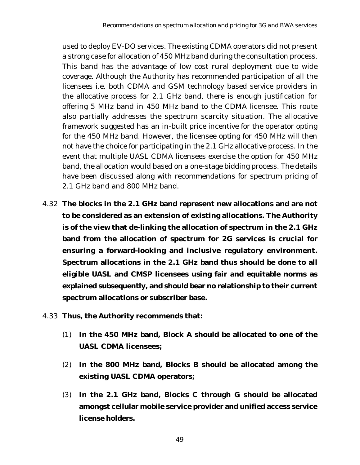used to deploy EV-DO services. The existing CDMA operators did not present a strong case for allocation of 450 MHz band during the consultation process. This band has the advantage of low cost rural deployment due to wide coverage. Although the Authority has recommended participation of all the licensees i.e. both CDMA and GSM technology based service providers in the allocative process for 2.1 GHz band, there is enough justification for offering 5 MHz band in 450 MHz band to the CDMA licensee. This route also partially addresses the spectrum scarcity situation. The allocative framework suggested has an in-built price incentive for the operator opting for the 450 MHz band. However, the licensee opting for 450 MHz will then not have the choice for participating in the 2.1 GHz allocative process. In the event that multiple UASL CDMA licensees exercise the option for 450 MHz band, the allocation would based on a one-stage bidding process. The details have been discussed along with recommendations for spectrum pricing of 2.1 GHz band and 800 MHz band.

- 4.32 **The blocks in the 2.1 GHz band represent new allocations and are not to be considered as an extension of existing allocations. The Authority is of the view that de-linking the allocation of spectrum in the 2.1 GHz band from the allocation of spectrum for 2G services is crucial for ensuring a forward-looking and inclusive regulatory environment. Spectrum allocations in the 2.1 GHz band thus should be done to all eligible UASL and CMSP licensees using fair and equitable norms as explained subsequently, and should bear no relationship to their current spectrum allocations or subscriber base.**
- 4.33 **Thus, the Authority recommends that:**
	- (1) **In the 450 MHz band, Block A should be allocated to one of the UASL CDMA licensees;**
	- (2) **In the 800 MHz band, Blocks B should be allocated among the existing UASL CDMA operators;**
	- (3) **In the 2.1 GHz band, Blocks C through G should be allocated amongst cellular mobile service provider and unified access service license holders.**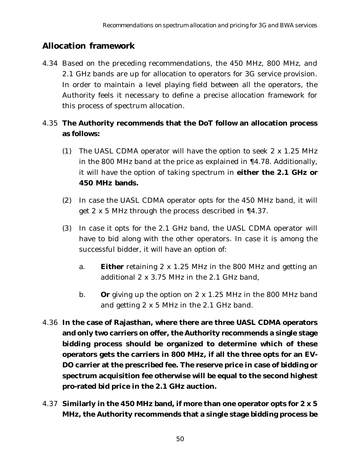## **Allocation framework**

4.34 Based on the preceding recommendations, the 450 MHz, 800 MHz, and 2.1 GHz bands are up for allocation to operators for 3G service provision. In order to maintain a level playing field between all the operators, the Authority feels it necessary to define a precise allocation framework for this process of spectrum allocation.

## 4.35 **The Authority recommends that the DoT follow an allocation process as follows:**

- (1) The UASL CDMA operator will have the option to seek 2 x 1.25 MHz in the 800 MHz band at the price as explained in ¶4.78. Additionally, it will have the option of taking spectrum in **either the 2.1 GHz or 450 MHz bands.**
- (2) In case the UASL CDMA operator opts for the 450 MHz band, it will get 2 x 5 MHz through the process described in ¶4.37.
- (3) In case it opts for the 2.1 GHz band, the UASL CDMA operator will have to bid along with the other operators. In case it is among the successful bidder, it will have an option of:
	- a. **Either** retaining 2 x 1.25 MHz in the 800 MHz and getting an additional 2 x 3.75 MHz in the 2.1 GHz band,
	- b. **Or** giving up the option on 2 x 1.25 MHz in the 800 MHz band and getting 2 x 5 MHz in the 2.1 GHz band.
- 4.36 **In the case of Rajasthan, where there are three UASL CDMA operators and only two carriers on offer, the Authority recommends a single stage bidding process should be organized to determine which of these operators gets the carriers in 800 MHz, if all the three opts for an EV-DO carrier at the prescribed fee. The reserve price in case of bidding or spectrum acquisition fee otherwise will be equal to the second highest pro-rated bid price in the 2.1 GHz auction.**
- 4.37 **Similarly in the 450 MHz band, if more than one operator opts for 2 x 5 MHz, the Authority recommends that a single stage bidding process be**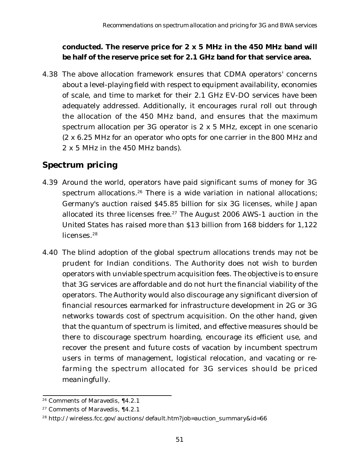#### **conducted. The reserve price for 2 x 5 MHz in the 450 MHz band will be half of the reserve price set for 2.1 GHz band for that service area.**

4.38 The above allocation framework ensures that CDMA operators' concerns about a level-playing field with respect to equipment availability, economies of scale, and time to market for their 2.1 GHz EV-DO services have been adequately addressed. Additionally, it encourages rural roll out through the allocation of the 450 MHz band, and ensures that the maximum spectrum allocation per 3G operator is 2 x 5 MHz, except in one scenario (2 x 6.25 MHz for an operator who opts for one carrier in the 800 MHz and 2 x 5 MHz in the 450 MHz bands).

# **Spectrum pricing**

- 4.39 Around the world, operators have paid significant sums of money for 3G spectrum allocations.<sup>26</sup> There is a wide variation in national allocations; Germany's auction raised \$45.85 billion for six 3G licenses, while Japan allocated its three licenses free.<sup>27</sup> The August 2006 AWS-1 auction in the United States has raised more than \$13 billion from 168 bidders for 1,122 licenses.<sup>28</sup>
- 4.40 The blind adoption of the global spectrum allocations trends may not be prudent for Indian conditions. The Authority does not wish to burden operators with unviable spectrum acquisition fees. The objective is to ensure that 3G services are affordable and do not hurt the financial viability of the operators. The Authority would also discourage any significant diversion of financial resources earmarked for infrastructure development in 2G or 3G networks towards cost of spectrum acquisition. On the other hand, given that the quantum of spectrum is limited, and effective measures should be there to discourage spectrum hoarding, encourage its efficient use, and recover the present and future costs of vacation by incumbent spectrum users in terms of management, logistical relocation, and vacating or refarming the spectrum allocated for 3G services should be priced meaningfully.

<sup>26</sup> Comments of Maravedis, ¶4.2.1

<sup>27</sup> Comments of Maravedis, ¶4.2.1

<sup>28</sup> http://wireless.fcc.gov/auctions/default.htm?job=auction\_summary&id=66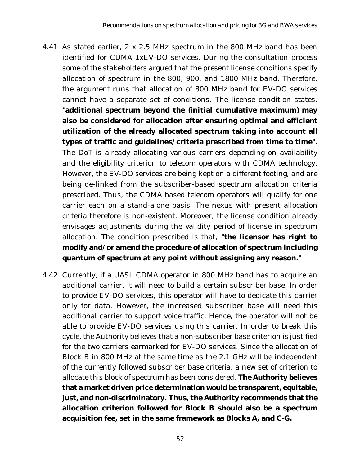- 4.41 As stated earlier, 2 x 2.5 MHz spectrum in the 800 MHz band has been identified for CDMA 1xEV-DO services. During the consultation process some of the stakeholders argued that the present license conditions specify allocation of spectrum in the 800, 900, and 1800 MHz band. Therefore, the argument runs that allocation of 800 MHz band for EV-DO services cannot have a separate set of conditions. The license condition states, **"additional spectrum beyond the (initial cumulative maximum) may also be considered for allocation after ensuring optimal and efficient utilization of the already allocated spectrum taking into account all types of traffic and guidelines/criteria prescribed from time to time".** The DoT is already allocating various carriers depending on availability and the eligibility criterion to telecom operators with CDMA technology. However, the EV-DO services are being kept on a different footing, and are being de-linked from the subscriber-based spectrum allocation criteria prescribed. Thus, the CDMA based telecom operators will qualify for one carrier each on a stand-alone basis. The nexus with present allocation criteria therefore is non-existent. Moreover, the license condition already envisages adjustments during the validity period of license in spectrum allocation. The condition prescribed is that, **"the licensor has right to modify and/or amend the procedure of allocation of spectrum including quantum of spectrum at any point without assigning any reason."**
- 4.42 Currently, if a UASL CDMA operator in 800 MHz band has to acquire an additional carrier, it will need to build a certain subscriber base. In order to provide EV-DO services, this operator will have to dedicate this carrier only for data. However, the increased subscriber base will need this additional carrier to support voice traffic. Hence, the operator will not be able to provide EV-DO services using this carrier. In order to break this cycle, the Authority believes that a non-subscriber base criterion is justified for the two carriers earmarked for EV-DO services. Since the allocation of Block B in 800 MHz at the same time as the 2.1 GHz will be independent of the currently followed subscriber base criteria, a new set of criterion to allocate this block of spectrum has been considered. **The Authority believes that a market driven price determination would be transparent, equitable, just, and non-discriminatory. Thus, the Authority recommends that the allocation criterion followed for Block B should also be a spectrum acquisition fee, set in the same framework as Blocks A, and C-G.**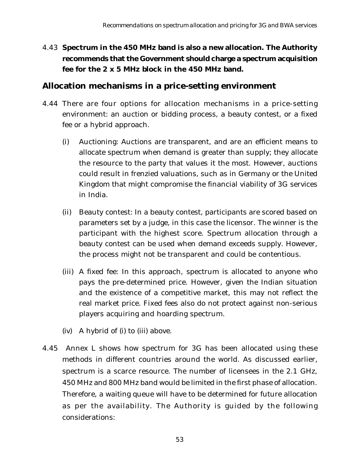4.43 **Spectrum in the 450 MHz band is also a new allocation. The Authority recommends that the Government should charge a spectrum acquisition fee for the 2 x 5 MHz block in the 450 MHz band.**

#### **Allocation mechanisms in a price-setting environment**

- 4.44 There are four options for allocation mechanisms in a price-setting environment: an auction or bidding process, a beauty contest, or a fixed fee or a hybrid approach.
	- (i) Auctioning: Auctions are transparent, and are an efficient means to allocate spectrum when demand is greater than supply; they allocate the resource to the party that values it the most. However, auctions could result in frenzied valuations, such as in Germany or the United Kingdom that might compromise the financial viability of 3G services in India.
	- (ii) Beauty contest: In a beauty contest, participants are scored based on parameters set by a judge, in this case the licensor. The winner is the participant with the highest score. Spectrum allocation through a beauty contest can be used when demand exceeds supply. However, the process might not be transparent and could be contentious.
	- (iii) A fixed fee: In this approach, spectrum is allocated to anyone who pays the pre-determined price. However, given the Indian situation and the existence of a competitive market, this may not reflect the real market price. Fixed fees also do not protect against non-serious players acquiring and hoarding spectrum.
	- (iv) A hybrid of (i) to (iii) above.
- 4.45 Annex L shows how spectrum for 3G has been allocated using these methods in different countries around the world. As discussed earlier, spectrum is a scarce resource. The number of licensees in the 2.1 GHz, 450 MHz and 800 MHz band would be limited in the first phase of allocation. Therefore, a waiting queue will have to be determined for future allocation as per the availability. The Authority is guided by the following considerations: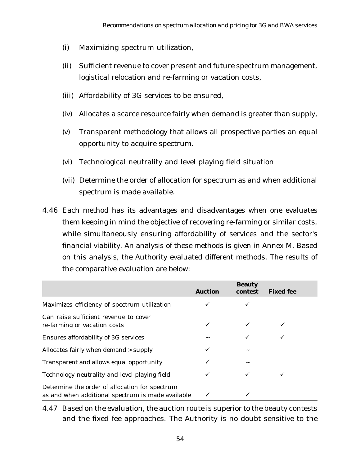- (i) Maximizing spectrum utilization,
- (ii) Sufficient revenue to cover present and future spectrum management, logistical relocation and re-farming or vacation costs,
- (iii) Affordability of 3G services to be ensured,
- (iv) Allocates a scarce resource fairly when demand is greater than supply,
- (v) Transparent methodology that allows all prospective parties an equal opportunity to acquire spectrum.
- (vi) Technological neutrality and level playing field situation
- (vii) Determine the order of allocation for spectrum as and when additional spectrum is made available.
- 4.46 Each method has its advantages and disadvantages when one evaluates them keeping in mind the objective of recovering re-farming or similar costs, while simultaneously ensuring affordability of services and the sector's financial viability. An analysis of these methods is given in Annex M. Based on this analysis, the Authority evaluated different methods. The results of the comparative evaluation are below:

|                                                                                                     | <b>Auction</b> | <b>Beauty</b><br>contest | <b>Fixed fee</b> |
|-----------------------------------------------------------------------------------------------------|----------------|--------------------------|------------------|
| Maximizes efficiency of spectrum utilization                                                        |                |                          |                  |
| Can raise sufficient revenue to cover<br>re-farming or vacation costs                               | ✓              | $\checkmark$             | ✓                |
| <b>Ensures affordability of 3G services</b>                                                         |                |                          |                  |
| Allocates fairly when demand > supply                                                               | ✓              |                          |                  |
| Transparent and allows equal opportunity                                                            |                |                          |                  |
| Technology neutrality and level playing field                                                       | $\checkmark$   |                          |                  |
| Determine the order of allocation for spectrum<br>as and when additional spectrum is made available | ✓              |                          |                  |

4.47 Based on the evaluation, the auction route is superior to the beauty contests and the fixed fee approaches. The Authority is no doubt sensitive to the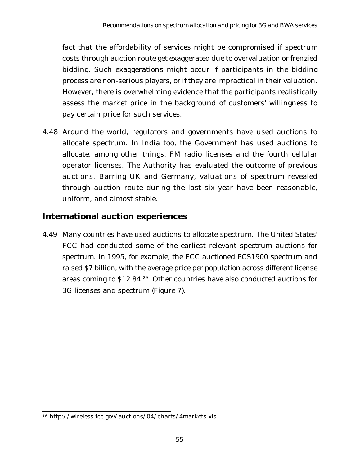fact that the affordability of services might be compromised if spectrum costs through auction route get exaggerated due to overvaluation or frenzied bidding. Such exaggerations might occur if participants in the bidding process are non-serious players, or if they are impractical in their valuation. However, there is overwhelming evidence that the participants realistically assess the market price in the background of customers' willingness to pay certain price for such services.

4.48 Around the world, regulators and governments have used auctions to allocate spectrum. In India too, the Government has used auctions to allocate, among other things, FM radio licenses and the fourth cellular operator licenses. The Authority has evaluated the outcome of previous auctions. Barring UK and Germany, valuations of spectrum revealed through auction route during the last six year have been reasonable, uniform, and almost stable.

## **International auction experiences**

4.49 Many countries have used auctions to allocate spectrum. The United States' FCC had conducted some of the earliest relevant spectrum auctions for spectrum. In 1995, for example, the FCC auctioned PCS1900 spectrum and raised \$7 billion, with the average price per population across different license areas coming to \$12.84.29 Other countries have also conducted auctions for 3G licenses and spectrum (Figure 7).

<sup>29</sup> http://wireless.fcc.gov/auctions/04/charts/4markets.xls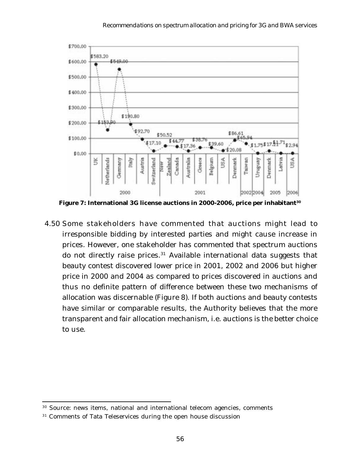

**Figure 7: International 3G license auctions in 2000-2006, price per inhabitant30**

 4.50 Some stakeholders have commented that auctions might lead to irresponsible bidding by interested parties and might cause increase in prices. However, one stakeholder has commented that spectrum auctions do not directly raise prices. $31$  Available international data suggests that beauty contest discovered lower price in 2001, 2002 and 2006 but higher price in 2000 and 2004 as compared to prices discovered in auctions and thus no definite pattern of difference between these two mechanisms of allocation was discernable (Figure 8). If both auctions and beauty contests have similar or comparable results, the Authority believes that the more transparent and fair allocation mechanism, i.e. auctions is the better choice to use.

<sup>30</sup> Source: news items, national and international telecom agencies, comments

<sup>&</sup>lt;sup>31</sup> Comments of Tata Teleservices during the open house discussion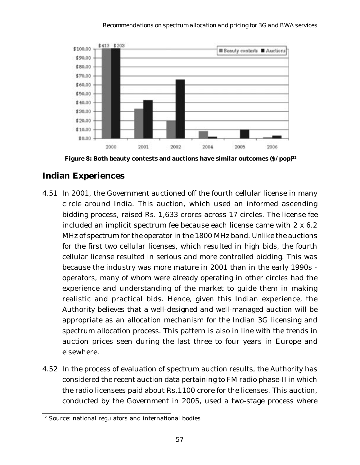

**Figure 8: Both beauty contests and auctions have similar outcomes (\$/pop)32**

#### **Indian Experiences**

- 4.51 In 2001, the Government auctioned off the fourth cellular license in many circle around India. This auction, which used an informed ascending bidding process, raised Rs. 1,633 crores across 17 circles. The license fee included an implicit spectrum fee because each license came with 2 x 6.2 MHz of spectrum for the operator in the 1800 MHz band. Unlike the auctions for the first two cellular licenses, which resulted in high bids, the fourth cellular license resulted in serious and more controlled bidding. This was because the industry was more mature in 2001 than in the early 1990s operators, many of whom were already operating in other circles had the experience and understanding of the market to guide them in making realistic and practical bids. Hence, given this Indian experience, the Authority believes that a well-designed and well-managed auction will be appropriate as an allocation mechanism for the Indian 3G licensing and spectrum allocation process. This pattern is also in line with the trends in auction prices seen during the last three to four years in Europe and elsewhere.
- 4.52 In the process of evaluation of spectrum auction results, the Authority has considered the recent auction data pertaining to FM radio phase-II in which the radio licensees paid about Rs.1100 crore for the licenses. This auction, conducted by the Government in 2005, used a two-stage process where

<sup>&</sup>lt;sup>32</sup> Source: national regulators and international bodies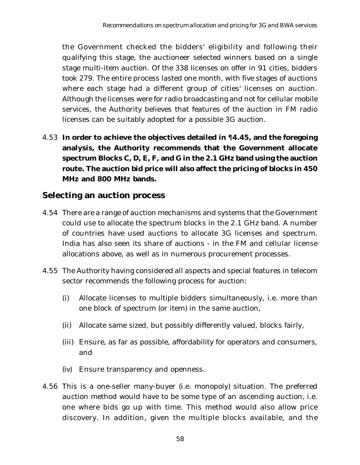the Government checked the bidders' eligibility and following their qualifying this stage, the auctioneer selected winners based on a single stage multi-item auction. Of the 338 licenses on offer in 91 cities, bidders took 279. The entire process lasted one month, with five stages of auctions where each stage had a different group of cities' licenses on auction. Although the licenses were for radio broadcasting and not for cellular mobile services, the Authority believes that features of the auction in FM radio licenses can be suitably adopted for a possible 3G auction.

4.53 **In order to achieve the objectives detailed in** ¶**4.45, and the foregoing analysis, the Authority recommends that the Government allocate spectrum Blocks C, D, E, F, and G in the 2.1 GHz band using the auction route. The auction bid price will also affect the pricing of blocks in 450 MHz and 800 MHz bands.**

## **Selecting an auction process**

- 4.54 There are a range of auction mechanisms and systems that the Government could use to allocate the spectrum blocks in the 2.1 GHz band. A number of countries have used auctions to allocate 3G licenses and spectrum. India has also seen its share of auctions - in the FM and cellular license allocations above, as well as in numerous procurement processes.
- 4.55 The Authority having considered all aspects and special features in telecom sector recommends the following process for auction:
	- (i) Allocate licenses to multiple bidders simultaneously, i.e. more than one block of spectrum (or item) in the same auction,
	- (ii) Allocate same sized, but possibly differently valued, blocks fairly,
	- (iii) Ensure, as far as possible, affordability for operators and consumers, and
	- (iv) Ensure transparency and openness.
- 4.56 This is a one-seller many-buyer (i.e. monopoly) situation. The preferred auction method would have to be some type of an ascending auction, i.e. one where bids go up with time. This method would also allow price discovery. In addition, given the multiple blocks available, and the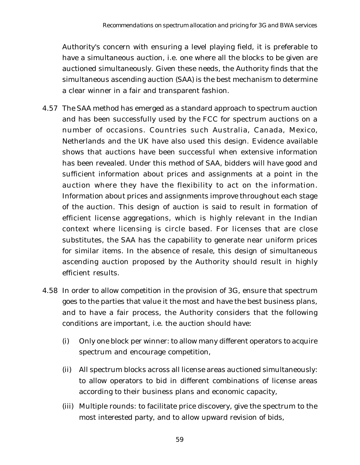Authority's concern with ensuring a level playing field, it is preferable to have a simultaneous auction, i.e. one where all the blocks to be given are auctioned simultaneously. Given these needs, the Authority finds that the simultaneous ascending auction (SAA) is the best mechanism to determine a clear winner in a fair and transparent fashion.

- 4.57 The SAA method has emerged as a standard approach to spectrum auction and has been successfully used by the FCC for spectrum auctions on a number of occasions. Countries such Australia, Canada, Mexico, Netherlands and the UK have also used this design. Evidence available shows that auctions have been successful when extensive information has been revealed. Under this method of SAA, bidders will have good and sufficient information about prices and assignments at a point in the auction where they have the flexibility to act on the information. Information about prices and assignments improve throughout each stage of the auction. This design of auction is said to result in formation of efficient license aggregations, which is highly relevant in the Indian context where licensing is circle based. For licenses that are close substitutes, the SAA has the capability to generate near uniform prices for similar items. In the absence of resale, this design of simultaneous ascending auction proposed by the Authority should result in highly efficient results.
- 4.58 In order to allow competition in the provision of 3G, ensure that spectrum goes to the parties that value it the most and have the best business plans, and to have a fair process, the Authority considers that the following conditions are important, i.e. the auction should have:
	- (i) Only one block per winner: to allow many different operators to acquire spectrum and encourage competition,
	- (ii) All spectrum blocks across all license areas auctioned simultaneously: to allow operators to bid in different combinations of license areas according to their business plans and economic capacity,
	- (iii) Multiple rounds: to facilitate price discovery, give the spectrum to the most interested party, and to allow upward revision of bids,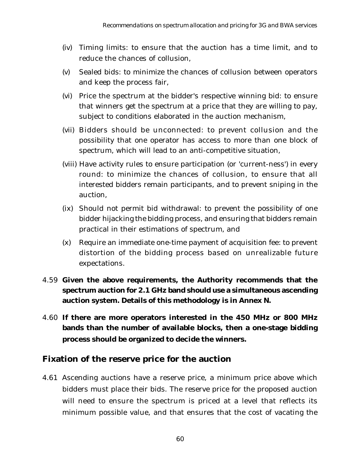- (iv) Timing limits: to ensure that the auction has a time limit, and to reduce the chances of collusion,
- (v) Sealed bids: to minimize the chances of collusion between operators and keep the process fair,
- (vi) Price the spectrum at the bidder's respective winning bid: to ensure that winners get the spectrum at a price that they are willing to pay, subject to conditions elaborated in the auction mechanism,
- (vii) Bidders should be unconnected: to prevent collusion and the possibility that one operator has access to more than one block of spectrum, which will lead to an anti-competitive situation,
- (viii) Have activity rules to ensure participation (or 'current-ness') in every round: to minimize the chances of collusion, to ensure that all interested bidders remain participants, and to prevent sniping in the auction,
- (ix) Should not permit bid withdrawal: to prevent the possibility of one bidder hijacking the bidding process, and ensuring that bidders remain practical in their estimations of spectrum, and
- (x) Require an immediate one-time payment of acquisition fee: to prevent distortion of the bidding process based on unrealizable future expectations.
- 4.59 **Given the above requirements, the Authority recommends that the spectrum auction for 2.1 GHz band should use a simultaneous ascending auction system. Details of this methodology is in Annex N.**
- 4.60 **If there are more operators interested in the 450 MHz or 800 MHz bands than the number of available blocks, then a one-stage bidding process should be organized to decide the winners.**

#### **Fixation of the reserve price for the auction**

4.61 Ascending auctions have a reserve price, a minimum price above which bidders must place their bids. The reserve price for the proposed auction will need to ensure the spectrum is priced at a level that reflects its minimum possible value, and that ensures that the cost of vacating the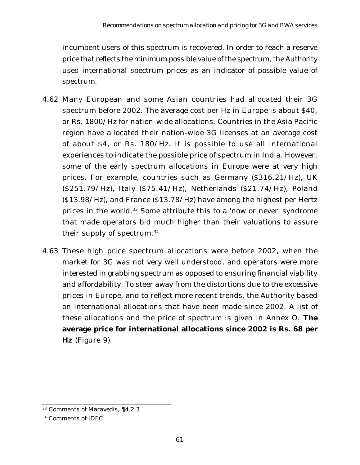incumbent users of this spectrum is recovered. In order to reach a reserve price that reflects the minimum possible value of the spectrum, the Authority used international spectrum prices as an indicator of possible value of spectrum.

- 4.62 Many European and some Asian countries had allocated their 3G spectrum before 2002. The average cost per Hz in Europe is about \$40, or Rs. 1800/Hz for nation-wide allocations. Countries in the Asia Pacific region have allocated their nation-wide 3G licenses at an average cost of about \$4, or Rs. 180/Hz. It is possible to use all international experiences to indicate the possible price of spectrum in India. However, some of the early spectrum allocations in Europe were at very high prices. For example, countries such as Germany (\$316.21/Hz), UK (\$251.79/Hz), Italy (\$75.41/Hz), Netherlands (\$21.74/Hz), Poland (\$13.98/Hz), and France (\$13.78/Hz) have among the highest per Hertz prices in the world.<sup>33</sup> Some attribute this to a 'now or never' syndrome that made operators bid much higher than their valuations to assure their supply of spectrum.34
- 4.63 These high price spectrum allocations were before 2002, when the market for 3G was not very well understood, and operators were more interested in grabbing spectrum as opposed to ensuring financial viability and affordability. To steer away from the distortions due to the excessive prices in Europe, and to reflect more recent trends, the Authority based on international allocations that have been made since 2002. A list of these allocations and the price of spectrum is given in Annex O. **The average price for international allocations since 2002 is Rs. 68 per Hz** (Figure 9).

<sup>33</sup> Comments of Maravedis, ¶4.2.3

<sup>34</sup> Comments of IDFC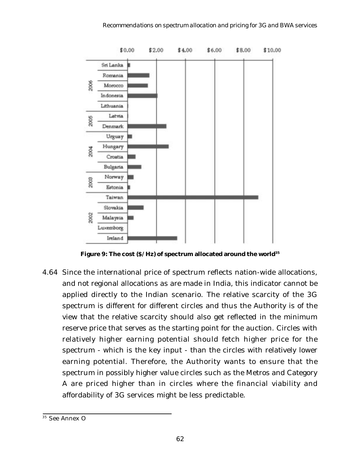

**Figure 9: The cost (\$/Hz) of spectrum allocated around the world35**

4.64 Since the international price of spectrum reflects nation-wide allocations, and not regional allocations as are made in India, this indicator cannot be applied directly to the Indian scenario. The relative scarcity of the 3G spectrum is different for different circles and thus the Authority is of the view that the relative scarcity should also get reflected in the minimum reserve price that serves as the starting point for the auction. Circles with relatively higher earning potential should fetch higher price for the spectrum - which is the key input - than the circles with relatively lower earning potential. Therefore, the Authority wants to ensure that the spectrum in possibly higher value circles such as the Metros and Category A are priced higher than in circles where the financial viability and affordability of 3G services might be less predictable.

<sup>35</sup> See Annex O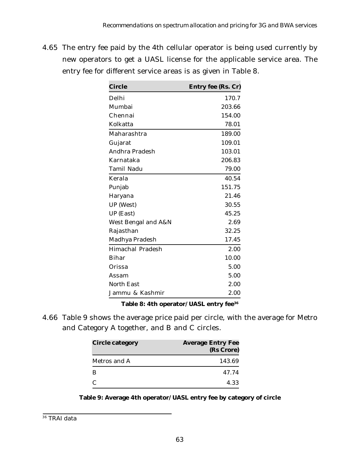4.65 The entry fee paid by the 4th cellular operator is being used currently by new operators to get a UASL license for the applicable service area. The entry fee for different service areas is as given in Table 8.

| <b>Circle</b>         | <b>Entry fee (Rs. Cr)</b> |
|-----------------------|---------------------------|
| Delhi                 | 170.7                     |
| Mumbai                | 203.66                    |
| Chennai               | 154.00                    |
| Kolkatta              | 78.01                     |
| Maharashtra           | 189.00                    |
| Gujarat               | 109.01                    |
| <b>Andhra Pradesh</b> | 103.01                    |
| Karnataka             | 206.83                    |
| Tamil Nadu            | 79.00                     |
| Kerala                | 40.54                     |
| Punjab                | 151.75                    |
| Haryana               | 21.46                     |
| <b>UP</b> (West)      | 30.55                     |
| <b>UP</b> (East)      | 45.25                     |
| West Bengal and A&N   | 2.69                      |
| Rajasthan             | 32.25                     |
| Madhya Pradesh        | 17.45                     |
| Himachal Pradesh      | 2.00                      |
| <b>Bihar</b>          | 10.00                     |
| Orissa                | 5.00                      |
| Assam                 | 5.00                      |
| <b>North East</b>     | 2.00                      |
| Jammu & Kashmir       | 2.00                      |

**Table 8: 4th operator/UASL entry fee36**

4.66 Table 9 shows the average price paid per circle, with the average for Metro and Category A together, and B and C circles.

| <b>Circle category</b> | <b>Average Entry Fee</b><br>(Rs Crore) |
|------------------------|----------------------------------------|
| Metros and A           | 143.69                                 |
| B                      | 47.74                                  |
| C                      | 4.33                                   |

#### **Table 9: Average 4th operator/UASL entry fee by category of circle**

<sup>36</sup> TRAI data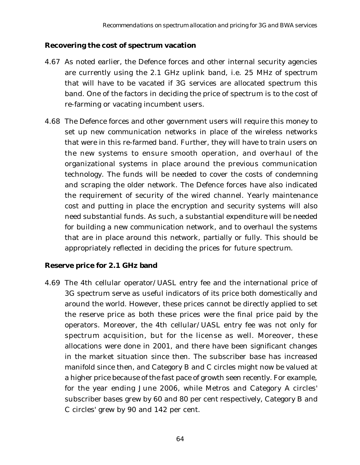#### **Recovering the cost of spectrum vacation**

- 4.67 As noted earlier, the Defence forces and other internal security agencies are currently using the 2.1 GHz uplink band, i.e. 25 MHz of spectrum that will have to be vacated if 3G services are allocated spectrum this band. One of the factors in deciding the price of spectrum is to the cost of re-farming or vacating incumbent users.
- 4.68 The Defence forces and other government users will require this money to set up new communication networks in place of the wireless networks that were in this re-farmed band. Further, they will have to train users on the new systems to ensure smooth operation, and overhaul of the organizational systems in place around the previous communication technology. The funds will be needed to cover the costs of condemning and scraping the older network. The Defence forces have also indicated the requirement of security of the wired channel. Yearly maintenance cost and putting in place the encryption and security systems will also need substantial funds. As such, a substantial expenditure will be needed for building a new communication network, and to overhaul the systems that are in place around this network, partially or fully. This should be appropriately reflected in deciding the prices for future spectrum.

#### **Reserve price for 2.1 GHz band**

4.69 The 4th cellular operator/UASL entry fee and the international price of 3G spectrum serve as useful indicators of its price both domestically and around the world. However, these prices cannot be directly applied to set the reserve price as both these prices were the final price paid by the operators. Moreover, the 4th cellular/UASL entry fee was not only for spectrum acquisition, but for the license as well. Moreover, these allocations were done in 2001, and there have been significant changes in the market situation since then. The subscriber base has increased manifold since then, and Category B and C circles might now be valued at a higher price because of the fast pace of growth seen recently. For example, for the year ending June 2006, while Metros and Category A circles' subscriber bases grew by 60 and 80 per cent respectively, Category B and C circles' grew by 90 and 142 per cent.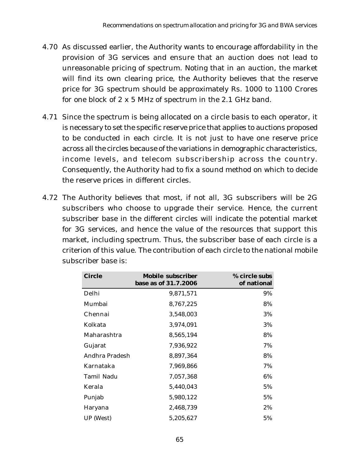- 4.70 As discussed earlier, the Authority wants to encourage affordability in the provision of 3G services and ensure that an auction does not lead to unreasonable pricing of spectrum. Noting that in an auction, the market will find its own clearing price, the Authority believes that the reserve price for 3G spectrum should be approximately Rs. 1000 to 1100 Crores for one block of 2 x 5 MHz of spectrum in the 2.1 GHz band.
- 4.71 Since the spectrum is being allocated on a circle basis to each operator, it is necessary to set the specific reserve price that applies to auctions proposed to be conducted in each circle. It is not just to have one reserve price across all the circles because of the variations in demographic characteristics, income levels, and telecom subscribership across the country. Consequently, the Authority had to fix a sound method on which to decide the reserve prices in different circles.
- 4.72 The Authority believes that most, if not all, 3G subscribers will be 2G subscribers who choose to upgrade their service. Hence, the current subscriber base in the different circles will indicate the potential market for 3G services, and hence the value of the resources that support this market, including spectrum. Thus, the subscriber base of each circle is a criterion of this value. The contribution of each circle to the national mobile subscriber base is:

| <b>Circle</b>    | <b>Mobile subscriber</b><br>base as of 31.7.2006 | % circle subs<br>of national |
|------------------|--------------------------------------------------|------------------------------|
| Delhi            | 9,871,571                                        | 9%                           |
| Mumbai           | 8,767,225                                        | 8%                           |
| Chennai          | 3,548,003                                        | 3%                           |
| Kolkata          | 3,974,091                                        | 3%                           |
| Maharashtra      | 8,565,194                                        | 8%                           |
| Gujarat          | 7,936,922                                        | 7%                           |
| Andhra Pradesh   | 8,897,364                                        | 8%                           |
| Karnataka        | 7,969,866                                        | 7%                           |
| Tamil Nadu       | 7,057,368                                        | 6%                           |
| Kerala           | 5,440,043                                        | 5%                           |
| Punjab           | 5,980,122                                        | 5%                           |
| Haryana          | 2,468,739                                        | 2%                           |
| <b>UP</b> (West) | 5,205,627                                        | 5%                           |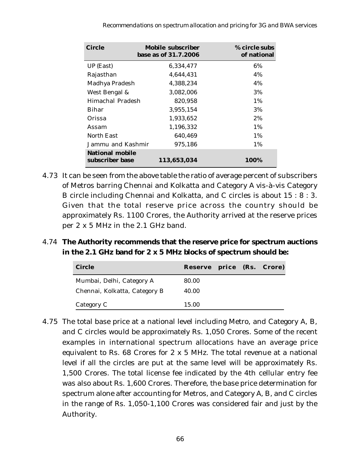| <b>Circle</b>                             | <b>Mobile subscriber</b><br>base as of 31.7.2006 | % circle subs<br>of national |
|-------------------------------------------|--------------------------------------------------|------------------------------|
| UP (East)                                 | 6,334,477                                        | 6%                           |
| Rajasthan                                 | 4,644,431                                        | 4%                           |
| Madhya Pradesh                            | 4,388,234                                        | 4%                           |
| West Bengal &                             | 3,082,006                                        | 3%                           |
| Himachal Pradesh                          | 820.958                                          | $1\%$                        |
| Bihar                                     | 3.955.154                                        | 3%                           |
| Orissa                                    | 1,933,652                                        | 2%                           |
| Assam                                     | 1.196.332                                        | $1\%$                        |
| North East                                | 640,469                                          | $1\%$                        |
| Jammu and Kashmir                         | 975,186                                          | 1%                           |
| <b>National mobile</b><br>subscriber base | 113,653,034                                      | 100%                         |

- 4.73 It can be seen from the above table the ratio of average percent of subscribers of Metros barring Chennai and Kolkatta and Category A vis-à-vis Category B circle including Chennai and Kolkatta, and C circles is about 15 : 8 : 3. Given that the total reserve price across the country should be approximately Rs. 1100 Crores, the Authority arrived at the reserve prices per 2 x 5 MHz in the 2.1 GHz band.
- 4.74 **The Authority recommends that the reserve price for spectrum auctions in the 2.1 GHz band for 2 x 5 MHz blocks of spectrum should be:**

| <b>Circle</b>                 | Reserve price (Rs. Crore) |  |  |
|-------------------------------|---------------------------|--|--|
| Mumbai, Delhi, Category A     | 80.00                     |  |  |
| Chennai, Kolkatta, Category B | 40.00                     |  |  |
| Category C                    | 15.00                     |  |  |

4.75 The total base price at a national level including Metro, and Category A, B, and C circles would be approximately Rs. 1,050 Crores. Some of the recent examples in international spectrum allocations have an average price equivalent to Rs. 68 Crores for 2 x 5 MHz. The total revenue at a national level if all the circles are put at the same level will be approximately Rs. 1,500 Crores. The total license fee indicated by the 4th cellular entry fee was also about Rs. 1,600 Crores. Therefore, the base price determination for spectrum alone after accounting for Metros, and Category A, B, and C circles in the range of Rs. 1,050-1,100 Crores was considered fair and just by the Authority.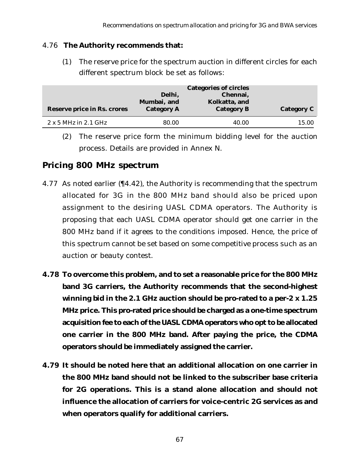#### 4.76 **The Authority recommends that:**

(1) The reserve price for the spectrum auction in different circles for each different spectrum block be set as follows:

|                                    | <b>Categories of circles</b> |                   |                   |
|------------------------------------|------------------------------|-------------------|-------------------|
|                                    | Delhi,                       | Chennai,          |                   |
|                                    | Mumbai, and                  | Kolkatta, and     |                   |
| <b>Reserve price in Rs. crores</b> | <b>Category A</b>            | <b>Category B</b> | <b>Category C</b> |
|                                    |                              |                   |                   |
| $2 \times 5$ MHz in 2.1 GHz        | 80.00                        | 40.00             | 15.00             |

(2) The reserve price form the minimum bidding level for the auction process. Details are provided in Annex N.

#### **Pricing 800 MHz spectrum**

- 4.77 As noted earlier (¶4.42), the Authority is recommending that the spectrum allocated for 3G in the 800 MHz band should also be priced upon assignment to the desiring UASL CDMA operators. The Authority is proposing that each UASL CDMA operator should get one carrier in the 800 MHz band if it agrees to the conditions imposed. Hence, the price of this spectrum cannot be set based on some competitive process such as an auction or beauty contest.
- **4.78 To overcome this problem, and to set a reasonable price for the 800 MHz band 3G carriers, the Authority recommends that the second-highest winning bid in the 2.1 GHz auction should be pro-rated to a per-2 x 1.25 MHz price. This pro-rated price should be charged as a one-time spectrum acquisition fee to each of the UASL CDMA operators who opt to be allocated one carrier in the 800 MHz band. After paying the price, the CDMA operators should be immediately assigned the carrier.**
- **4.79 It should be noted here that an additional allocation on one carrier in the 800 MHz band should not be linked to the subscriber base criteria for 2G operations. This is a stand alone allocation and should not influence the allocation of carriers for voice-centric 2G services as and when operators qualify for additional carriers.**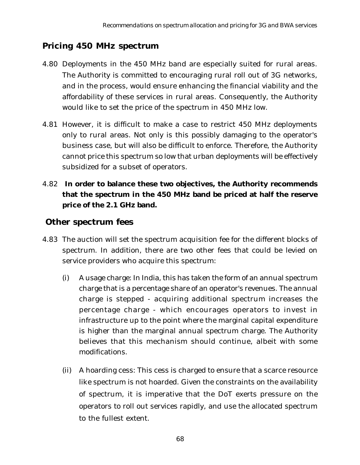## **Pricing 450 MHz spectrum**

- 4.80 Deployments in the 450 MHz band are especially suited for rural areas. The Authority is committed to encouraging rural roll out of 3G networks, and in the process, would ensure enhancing the financial viability and the affordability of these services in rural areas. Consequently, the Authority would like to set the price of the spectrum in 450 MHz low.
- 4.81 However, it is difficult to make a case to restrict 450 MHz deployments only to rural areas. Not only is this possibly damaging to the operator's business case, but will also be difficult to enforce. Therefore, the Authority cannot price this spectrum so low that urban deployments will be effectively subsidized for a subset of operators.
- 4.82 **In order to balance these two objectives, the Authority recommends that the spectrum in the 450 MHz band be priced at half the reserve price of the 2.1 GHz band.**

### **Other spectrum fees**

- 4.83 The auction will set the spectrum acquisition fee for the different blocks of spectrum. In addition, there are two other fees that could be levied on service providers who acquire this spectrum:
	- (i) A usage charge: In India, this has taken the form of an annual spectrum charge that is a percentage share of an operator's revenues. The annual charge is stepped - acquiring additional spectrum increases the percentage charge - which encourages operators to invest in infrastructure up to the point where the marginal capital expenditure is higher than the marginal annual spectrum charge. The Authority believes that this mechanism should continue, albeit with some modifications.
	- (ii) A hoarding cess: This cess is charged to ensure that a scarce resource like spectrum is not hoarded. Given the constraints on the availability of spectrum, it is imperative that the DoT exerts pressure on the operators to roll out services rapidly, and use the allocated spectrum to the fullest extent.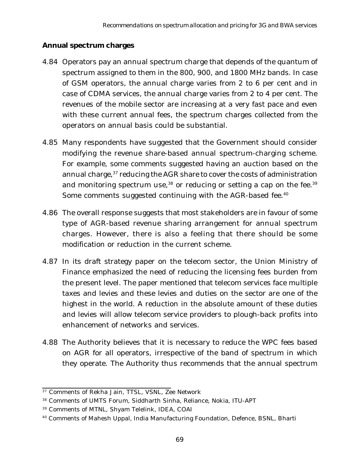#### **Annual spectrum charges**

- 4.84 Operators pay an annual spectrum charge that depends of the quantum of spectrum assigned to them in the 800, 900, and 1800 MHz bands. In case of GSM operators, the annual charge varies from 2 to 6 per cent and in case of CDMA services, the annual charge varies from 2 to 4 per cent. The revenues of the mobile sector are increasing at a very fast pace and even with these current annual fees, the spectrum charges collected from the operators on annual basis could be substantial.
- 4.85 Many respondents have suggested that the Government should consider modifying the revenue share-based annual spectrum-charging scheme. For example, some comments suggested having an auction based on the annual charge,<sup>37</sup> reducing the AGR share to cover the costs of administration and monitoring spectrum use,  $38$  or reducing or setting a cap on the fee.  $39$ Some comments suggested continuing with the AGR-based fee.<sup>40</sup>
- 4.86 The overall response suggests that most stakeholders are in favour of some type of AGR-based revenue sharing arrangement for annual spectrum charges. However, there is also a feeling that there should be some modification or reduction in the current scheme.
- 4.87 In its draft strategy paper on the telecom sector, the Union Ministry of Finance emphasized the need of reducing the licensing fees burden from the present level. The paper mentioned that telecom services face multiple taxes and levies and these levies and duties on the sector are one of the highest in the world. A reduction in the absolute amount of these duties and levies will allow telecom service providers to plough-back profits into enhancement of networks and services.
- 4.88 The Authority believes that it is necessary to reduce the WPC fees based on AGR for all operators, irrespective of the band of spectrum in which they operate. The Authority thus recommends that the annual spectrum

<sup>&</sup>lt;sup>37</sup> Comments of Rekha Jain, TTSL, VSNL, Zee Network

<sup>38</sup> Comments of UMTS Forum, Siddharth Sinha, Reliance, Nokia, ITU-APT

<sup>39</sup> Comments of MTNL, Shyam Telelink, IDEA, COAI

<sup>40</sup> Comments of Mahesh Uppal, India Manufacturing Foundation, Defence, BSNL, Bharti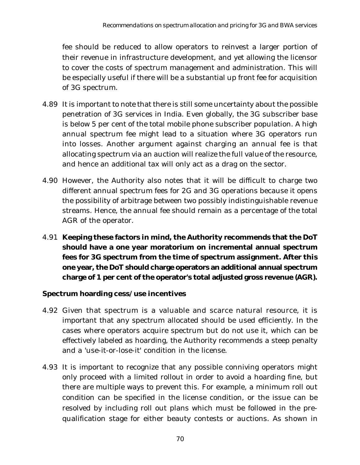fee should be reduced to allow operators to reinvest a larger portion of their revenue in infrastructure development, and yet allowing the licensor to cover the costs of spectrum management and administration. This will be especially useful if there will be a substantial up front fee for acquisition of 3G spectrum.

- 4.89 It is important to note that there is still some uncertainty about the possible penetration of 3G services in India. Even globally, the 3G subscriber base is below 5 per cent of the total mobile phone subscriber population. A high annual spectrum fee might lead to a situation where 3G operators run into losses. Another argument against charging an annual fee is that allocating spectrum via an auction will realize the full value of the resource, and hence an additional tax will only act as a drag on the sector.
- 4.90 However, the Authority also notes that it will be difficult to charge two different annual spectrum fees for 2G and 3G operations because it opens the possibility of arbitrage between two possibly indistinguishable revenue streams. Hence, the annual fee should remain as a percentage of the total AGR of the operator.
- 4.91 **Keeping these factors in mind, the Authority recommends that the DoT should have a one year moratorium on incremental annual spectrum fees for 3G spectrum from the time of spectrum assignment. After this one year, the DoT should charge operators an additional annual spectrum charge of 1 per cent of the operator's total adjusted gross revenue (AGR).**

#### **Spectrum hoarding cess/use incentives**

- 4.92 Given that spectrum is a valuable and scarce natural resource, it is important that any spectrum allocated should be used efficiently. In the cases where operators acquire spectrum but do not use it, which can be effectively labeled as hoarding, the Authority recommends a steep penalty and a 'use-it-or-lose-it' condition in the license.
- 4.93 It is important to recognize that any possible conniving operators might only proceed with a limited rollout in order to avoid a hoarding fine, but there are multiple ways to prevent this. For example, a minimum roll out condition can be specified in the license condition, or the issue can be resolved by including roll out plans which must be followed in the prequalification stage for either beauty contests or auctions. As shown in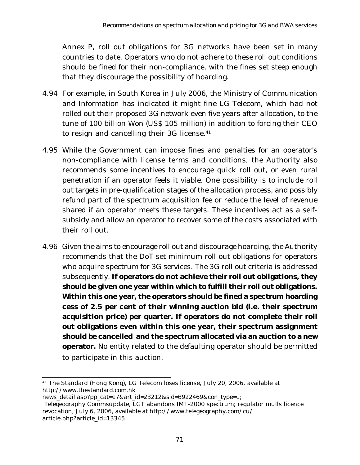Annex P, roll out obligations for 3G networks have been set in many countries to date. Operators who do not adhere to these roll out conditions should be fined for their non-compliance, with the fines set steep enough that they discourage the possibility of hoarding.

- 4.94 For example, in South Korea in July 2006, the Ministry of Communication and Information has indicated it might fine LG Telecom, which had not rolled out their proposed 3G network even five years after allocation, to the tune of 100 billion Won (US\$ 105 million) in addition to forcing their CEO to resign and cancelling their 3G license.<sup>41</sup>
- 4.95 While the Government can impose fines and penalties for an operator's non-compliance with license terms and conditions, the Authority also recommends some incentives to encourage quick roll out, or even rural penetration if an operator feels it viable. One possibility is to include roll out targets in pre-qualification stages of the allocation process, and possibly refund part of the spectrum acquisition fee or reduce the level of revenue shared if an operator meets these targets. These incentives act as a selfsubsidy and allow an operator to recover some of the costs associated with their roll out.
- 4.96 Given the aims to encourage roll out and discourage hoarding, the Authority recommends that the DoT set minimum roll out obligations for operators who acquire spectrum for 3G services. The 3G roll out criteria is addressed subsequently. **If operators do not achieve their roll out obligations, they should be given one year within which to fulfill their roll out obligations. Within this one year, the operators should be fined a spectrum hoarding cess of 2.5 per cent of their winning auction bid (i.e. their spectrum acquisition price) per quarter. If operators do not complete their roll out obligations even within this one year, their spectrum assignment should be cancelled and the spectrum allocated via an auction to a new operator.** No entity related to the defaulting operator should be permitted to participate in this auction.

<sup>41</sup> The Standard (Hong Kong), LG Telecom loses license, July 20, 2006, available at http://www.thestandard.com.hk

news\_detail.asp?pp\_cat=17&art\_id=23212&sid=8922469&con\_type=1;

Telegeography Commsupdate, LGT abandons IMT-2000 spectrum; regulator mulls licence revocation, July 6, 2006, available at http://www.telegeography.com/cu/ article.php?article\_id=13345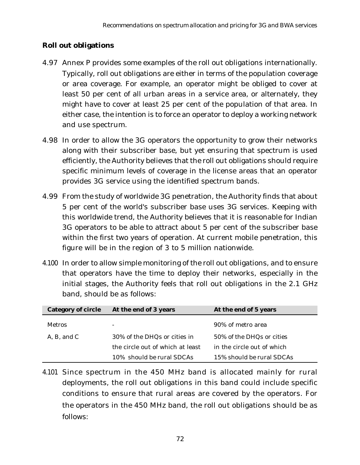#### **Roll out obligations**

- 4.97 Annex P provides some examples of the roll out obligations internationally. Typically, roll out obligations are either in terms of the population coverage or area coverage. For example, an operator might be obliged to cover at least 50 per cent of all urban areas in a service area, or alternately, they might have to cover at least 25 per cent of the population of that area. In either case, the intention is to force an operator to deploy a working network and use spectrum.
- 4.98 In order to allow the 3G operators the opportunity to grow their networks along with their subscriber base, but yet ensuring that spectrum is used efficiently, the Authority believes that the roll out obligations should require specific minimum levels of coverage in the license areas that an operator provides 3G service using the identified spectrum bands.
- 4.99 From the study of worldwide 3G penetration, the Authority finds that about 5 per cent of the world's subscriber base uses 3G services. Keeping with this worldwide trend, the Authority believes that it is reasonable for Indian 3G operators to be able to attract about 5 per cent of the subscriber base within the first two years of operation. At current mobile penetration, this figure will be in the region of 3 to 5 million nationwide.
- 4.100 In order to allow simple monitoring of the roll out obligations, and to ensure that operators have the time to deploy their networks, especially in the initial stages, the Authority feels that roll out obligations in the 2.1 GHz band, should be as follows:

| <b>Category of circle</b> | At the end of 3 years            | At the end of 5 years      |
|---------------------------|----------------------------------|----------------------------|
| <b>Metros</b>             |                                  | 90% of metro area          |
| A, B, and C               | 30% of the DHQs or cities in     | 50% of the DHQs or cities  |
|                           | the circle out of which at least | in the circle out of which |
|                           | 10% should be rural SDCAs        | 15% should be rural SDCAs  |

4.101 Since spectrum in the 450 MHz band is allocated mainly for rural deployments, the roll out obligations in this band could include specific conditions to ensure that rural areas are covered by the operators. For the operators in the 450 MHz band, the roll out obligations should be as follows: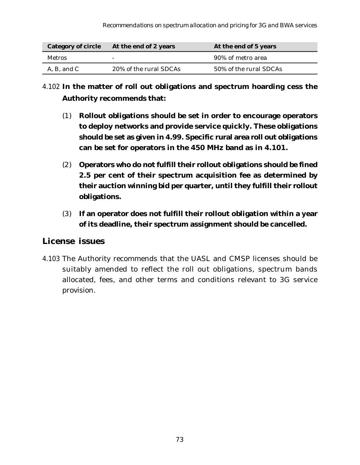| <b>Category of circle</b> | At the end of 2 years  | At the end of 5 years  |  |
|---------------------------|------------------------|------------------------|--|
| <b>Metros</b>             |                        | 90% of metro area      |  |
| A, B, and C               | 20% of the rural SDCAs | 50% of the rural SDCAs |  |

## 4.102 **In the matter of roll out obligations and spectrum hoarding cess the Authority recommends that:**

- (1) **Rollout obligations should be set in order to encourage operators to deploy networks and provide service quickly. These obligations should be set as given in 4.99. Specific rural area roll out obligations can be set for operators in the 450 MHz band as in 4.101.**
- (2) **Operators who do not fulfill their rollout obligations should be fined 2.5 per cent of their spectrum acquisition fee as determined by their auction winning bid per quarter, until they fulfill their rollout obligations.**
- (3) **If an operator does not fulfill their rollout obligation within a year of its deadline, their spectrum assignment should be cancelled.**

#### **License issues**

4.103 The Authority recommends that the UASL and CMSP licenses should be suitably amended to reflect the roll out obligations, spectrum bands allocated, fees, and other terms and conditions relevant to 3G service provision.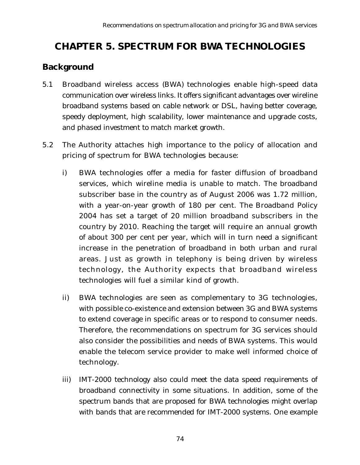# **CHAPTER 5. SPECTRUM FOR BWA TECHNOLOGIES**

## **Background**

- 5.1 Broadband wireless access (BWA) technologies enable high-speed data communication over wireless links. It offers significant advantages over wireline broadband systems based on cable network or DSL, having better coverage, speedy deployment, high scalability, lower maintenance and upgrade costs, and phased investment to match market growth.
- 5.2 The Authority attaches high importance to the policy of allocation and pricing of spectrum for BWA technologies because:
	- i) BWA technologies offer a media for faster diffusion of broadband services, which wireline media is unable to match. The broadband subscriber base in the country as of August 2006 was 1.72 million, with a year-on-year growth of 180 per cent. The Broadband Policy 2004 has set a target of 20 million broadband subscribers in the country by 2010. Reaching the target will require an annual growth of about 300 per cent per year, which will in turn need a significant increase in the penetration of broadband in both urban and rural areas. Just as growth in telephony is being driven by wireless technology, the Authority expects that broadband wireless technologies will fuel a similar kind of growth.
	- ii) BWA technologies are seen as complementary to 3G technologies, with possible co-existence and extension between 3G and BWA systems to extend coverage in specific areas or to respond to consumer needs. Therefore, the recommendations on spectrum for 3G services should also consider the possibilities and needs of BWA systems. This would enable the telecom service provider to make well informed choice of technology.
	- iii) IMT-2000 technology also could meet the data speed requirements of broadband connectivity in some situations. In addition, some of the spectrum bands that are proposed for BWA technologies might overlap with bands that are recommended for IMT-2000 systems. One example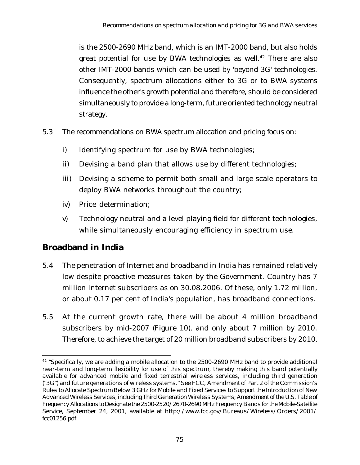is the 2500-2690 MHz band, which is an IMT-2000 band, but also holds great potential for use by BWA technologies as well.<sup>42</sup> There are also other IMT-2000 bands which can be used by 'beyond 3G' technologies. Consequently, spectrum allocations either to 3G or to BWA systems influence the other's growth potential and therefore, should be considered simultaneously to provide a long-term, future oriented technology neutral strategy.

- 5.3 The recommendations on BWA spectrum allocation and pricing focus on:
	- i) Identifying spectrum for use by BWA technologies;
	- ii) Devising a band plan that allows use by different technologies;
	- iii) Devising a scheme to permit both small and large scale operators to deploy BWA networks throughout the country;
	- iv) Price determination;
	- v) Technology neutral and a level playing field for different technologies, while simultaneously encouraging efficiency in spectrum use.

### **Broadband in India**

- 5.4 The penetration of Internet and broadband in India has remained relatively low despite proactive measures taken by the Government. Country has 7 million Internet subscribers as on 30.08.2006. Of these, only 1.72 million, or about 0.17 per cent of India's population, has broadband connections.
- 5.5 At the current growth rate, there will be about 4 million broadband subscribers by mid-2007 (Figure 10), and only about 7 million by 2010. Therefore, to achieve the target of 20 million broadband subscribers by 2010,

<sup>&</sup>lt;sup>42</sup> "Specifically, we are adding a mobile allocation to the 2500-2690 MHz band to provide additional near-term and long-term flexibility for use of this spectrum, thereby making this band potentially available for advanced mobile and fixed terrestrial wireless services, including third generation ("3G") and future generations of wireless systems." See FCC, *Amendment of Part 2 of the Commission's Rules to Allocate Spectrum Below 3 GHz for Mobile and Fixed Services to Support the Introduction of New Advanced Wireless Services, including Third Generation Wireless Systems; Amendment of the U.S. Table of Frequency Allocations to Designate the 2500-2520/2670-2690 MHz Frequency Bands for the Mobile-Satellite Service*, September 24, 2001, available at http://www.fcc.gov/Bureaus/Wireless/Orders/2001/ fcc01256.pdf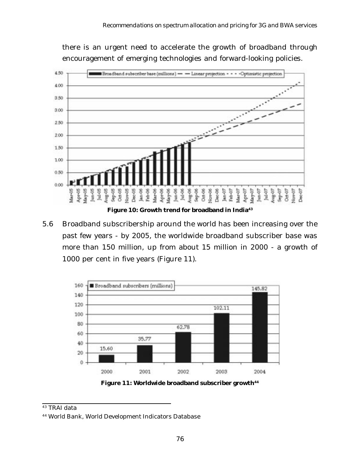there is an urgent need to accelerate the growth of broadband through encouragement of emerging technologies and forward-looking policies.



5.6 Broadband subscribership around the world has been increasing over the past few years - by 2005, the worldwide broadband subscriber base was more than 150 million, up from about 15 million in 2000 - a growth of 1000 per cent in five years (Figure 11).



Figure 11: Worldwide broadband subscriber growth<sup>44</sup>

<sup>43</sup> TRAI data

<sup>44</sup> World Bank, World Development Indicators Database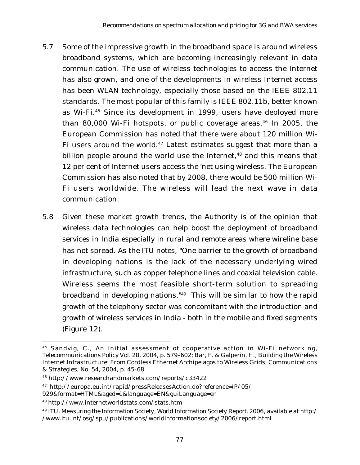- 5.7 Some of the impressive growth in the broadband space is around wireless broadband systems, which are becoming increasingly relevant in data communication. The use of wireless technologies to access the Internet has also grown, and one of the developments in wireless Internet access has been WLAN technology, especially those based on the IEEE 802.11 standards. The most popular of this family is IEEE 802.11b, better known as Wi-Fi.45 Since its development in 1999, users have deployed more than 80,000 Wi-Fi hotspots, or public coverage areas.<sup>46</sup> In 2005, the European Commission has noted that there were about 120 million Wi-Fi users around the world.<sup>47</sup> Latest estimates suggest that more than a billion people around the world use the Internet,<sup>48</sup> and this means that 12 per cent of Internet users access the 'net using wireless. The European Commission has also noted that by 2008, there would be 500 million Wi-Fi users worldwide. The wireless will lead the next wave in data communication.
- 5.8 Given these market growth trends, the Authority is of the opinion that wireless data technologies can help boost the deployment of broadband services in India especially in rural and remote areas where wireline base has not spread. As the ITU notes, "One barrier to the growth of broadband in developing nations is the lack of the necessary underlying wired infrastructure, such as copper telephone lines and coaxial television cable. Wireless seems the most feasible short-term solution to spreading broadband in developing nations."49 This will be similar to how the rapid growth of the telephony sector was concomitant with the introduction and growth of wireless services in India - both in the mobile and fixed segments (Figure 12).

<sup>45</sup> Sandvig, C., An initial assessment of cooperative action in Wi-Fi networking, Telecommunications Policy Vol. 28, 2004, p. 579–602; Bar, F. & Galperin, H., Building the Wireless Internet Infrastructure: From Cordless Ethernet Archipelagos to Wireless Grids, Communications & Strategies, No. 54, 2004, p. 45-68

<sup>46</sup> http://www.researchandmarkets.com/reports/c33422

<sup>47</sup> http://europa.eu.int/rapid/pressReleasesAction.do?reference=IP/05/

<sup>929&</sup>amp;format=HTML&aged=1&language=EN&guiLanguage=en

<sup>48</sup> http://www.internetworldstats.com/stats.htm

<sup>49</sup> ITU, *Measuring the Information Society, World Information Society Report, 2006*, available at http:/ /www.itu.int/osg/spu/publications/worldinformationsociety/2006/report.html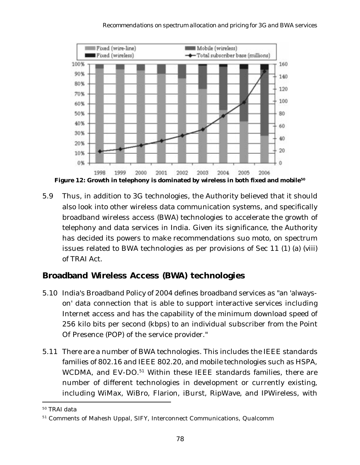

Figure 12: Growth in telephony is dominated by wireless in both fixed and mobile<sup>50</sup>

5.9 Thus, in addition to 3G technologies, the Authority believed that it should also look into other wireless data communication systems, and specifically broadband wireless access (BWA) technologies to accelerate the growth of telephony and data services in India. Given its significance, the Authority has decided its powers to make recommendations suo moto, on spectrum issues related to BWA technologies as per provisions of Sec 11 (1) (a) (viii) of TRAI Act.

## **Broadband Wireless Access (BWA) technologies**

- 5.10 India's Broadband Policy of 2004 defines broadband services as "an 'alwayson' data connection that is able to support interactive services including Internet access and has the capability of the minimum download speed of 256 kilo bits per second (kbps) to an individual subscriber from the Point Of Presence (POP) of the service provider."
- 5.11 There are a number of BWA technologies. This includes the IEEE standards families of 802.16 and IEEE 802.20, and mobile technologies such as HSPA, WCDMA, and EV-DO.<sup>51</sup> Within these IEEE standards families, there are number of different technologies in development or currently existing, including WiMax, WiBro, Flarion, iBurst, RipWave, and IPWireless, with

<sup>50</sup> TRAI data

<sup>51</sup> Comments of Mahesh Uppal, SIFY, Interconnect Communications, Qualcomm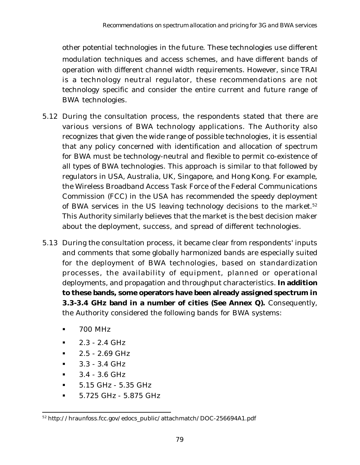other potential technologies in the future. These technologies use different modulation techniques and access schemes, and have different bands of operation with different channel width requirements. However, since TRAI is a technology neutral regulator, these recommendations are not technology specific and consider the entire current and future range of BWA technologies.

- 5.12 During the consultation process, the respondents stated that there are various versions of BWA technology applications. The Authority also recognizes that given the wide range of possible technologies, it is essential that any policy concerned with identification and allocation of spectrum for BWA must be technology-neutral and flexible to permit co-existence of all types of BWA technologies. This approach is similar to that followed by regulators in USA, Australia, UK, Singapore, and Hong Kong. For example, the Wireless Broadband Access Task Force of the Federal Communications Commission (FCC) in the USA has recommended the speedy deployment of BWA services in the US leaving technology decisions to the market.<sup>52</sup> This Authority similarly believes that the market is the best decision maker about the deployment, success, and spread of different technologies.
- 5.13 During the consultation process, it became clear from respondents' inputs and comments that some globally harmonized bands are especially suited for the deployment of BWA technologies, based on standardization processes, the availability of equipment, planned or operational deployments, and propagation and throughput characteristics. **In addition to these bands, some operators have been already assigned spectrum in 3.3-3.4 GHz band in a number of cities (See Annex Q).** Consequently, the Authority considered the following bands for BWA systems:
	- § 700 MHz
	- § 2.3 2.4 GHz
	- § 2.5 2.69 GHz
	- $\blacksquare$  3.3 3.4 GHz
	- $\bullet$  3.4 3.6 GHz
	- § 5.15 GHz 5.35 GHz
	- § 5.725 GHz 5.875 GHz

<sup>52</sup> http://hraunfoss.fcc.gov/edocs\_public/attachmatch/DOC-256694A1.pdf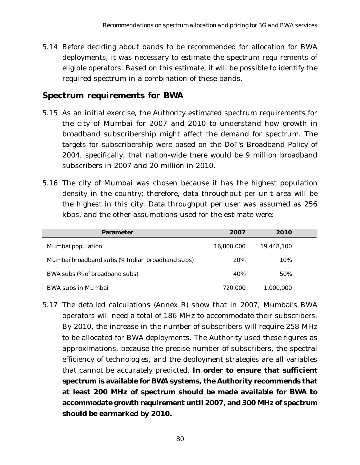5.14 Before deciding about bands to be recommended for allocation for BWA deployments, it was necessary to estimate the spectrum requirements of eligible operators. Based on this estimate, it will be possible to identify the required spectrum in a combination of these bands.

#### **Spectrum requirements for BWA**

- 5.15 As an initial exercise, the Authority estimated spectrum requirements for the city of Mumbai for 2007 and 2010 to understand how growth in broadband subscribership might affect the demand for spectrum. The targets for subscribership were based on the DoT's Broadband Policy of 2004, specifically, that nation-wide there would be 9 million broadband subscribers in 2007 and 20 million in 2010.
- 5.16 The city of Mumbai was chosen because it has the highest population density in the country; therefore, data throughput per unit area will be the highest in this city. Data throughput per user was assumed as 256 kbps, and the other assumptions used for the estimate were:

| <b>Parameter</b>                                | 2007       | 2010       |  |
|-------------------------------------------------|------------|------------|--|
| Mumbai population                               | 16,800,000 | 19,448,100 |  |
| Mumbai broadband subs (% Indian broadband subs) | 20%        | 10%        |  |
| BWA subs (% of broadband subs)                  | 40%        | 50%        |  |
| <b>BWA subs in Mumbai</b>                       | 720,000    | 1,000,000  |  |

5.17 The detailed calculations (Annex R) show that in 2007, Mumbai's BWA operators will need a total of 186 MHz to accommodate their subscribers. By 2010, the increase in the number of subscribers will require 258 MHz to be allocated for BWA deployments. The Authority used these figures as approximations, because the precise number of subscribers, the spectral efficiency of technologies, and the deployment strategies are all variables that cannot be accurately predicted. **In order to ensure that sufficient spectrum is available for BWA systems, the Authority recommends that at least 200 MHz of spectrum should be made available for BWA to accommodate growth requirement until 2007, and 300 MHz of spectrum should be earmarked by 2010.**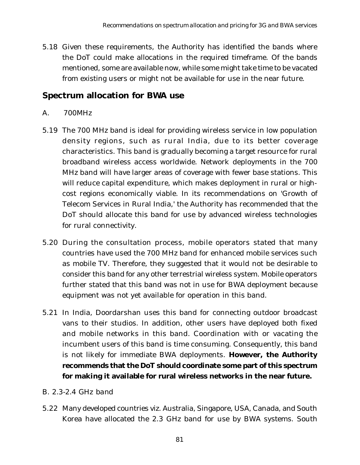5.18 Given these requirements, the Authority has identified the bands where the DoT could make allocations in the required timeframe. Of the bands mentioned, some are available now, while some might take time to be vacated from existing users or might not be available for use in the near future.

## **Spectrum allocation for BWA use**

#### *A. 700MHz*

- 5.19 The 700 MHz band is ideal for providing wireless service in low population density regions, such as rural India, due to its better coverage characteristics. This band is gradually becoming a target resource for rural broadband wireless access worldwide. Network deployments in the 700 MHz band will have larger areas of coverage with fewer base stations. This will reduce capital expenditure, which makes deployment in rural or highcost regions economically viable. In its recommendations on 'Growth of Telecom Services in Rural India,' the Authority has recommended that the DoT should allocate this band for use by advanced wireless technologies for rural connectivity.
- 5.20 During the consultation process, mobile operators stated that many countries have used the 700 MHz band for enhanced mobile services such as mobile TV. Therefore, they suggested that it would not be desirable to consider this band for any other terrestrial wireless system. Mobile operators further stated that this band was not in use for BWA deployment because equipment was not yet available for operation in this band.
- 5.21 In India, Doordarshan uses this band for connecting outdoor broadcast vans to their studios. In addition, other users have deployed both fixed and mobile networks in this band. Coordination with or vacating the incumbent users of this band is time consuming. Consequently, this band is not likely for immediate BWA deployments. **However, the Authority recommends that the DoT should coordinate some part of this spectrum for making it available for rural wireless networks in the near future.**

#### *B. 2.3-2.4 GHz band*

5.22 Many developed countries viz. Australia, Singapore, USA, Canada, and South Korea have allocated the 2.3 GHz band for use by BWA systems. South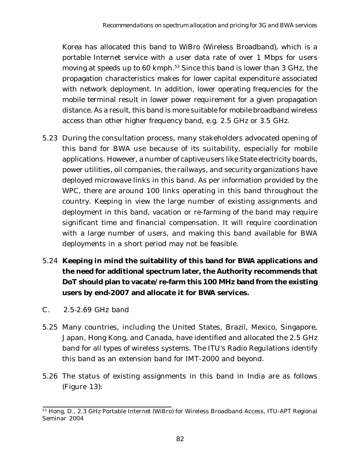Korea has allocated this band to WiBro (Wireless Broadband), which is a portable Internet service with a user data rate of over 1 Mbps for users moving at speeds up to 60 kmph.<sup>53</sup> Since this band is lower than 3 GHz, the propagation characteristics makes for lower capital expenditure associated with network deployment. In addition, lower operating frequencies for the mobile terminal result in lower power requirement for a given propagation distance. As a result, this band is more suitable for mobile broadband wireless access than other higher frequency band, e.g. 2.5 GHz or 3.5 GHz.

- 5.23 During the consultation process, many stakeholders advocated opening of this band for BWA use because of its suitability, especially for mobile applications. However, a number of captive users like State electricity boards, power utilities, oil companies, the railways, and security organizations have deployed microwave links in this band. As per information provided by the WPC, there are around 100 links operating in this band throughout the country. Keeping in view the large number of existing assignments and deployment in this band, vacation or re-farming of the band may require significant time and financial compensation. It will require coordination with a large number of users, and making this band available for BWA deployments in a short period may not be feasible.
- 5.24 **Keeping in mind the suitability of this band for BWA applications and the need for additional spectrum later, the Authority recommends that DoT should plan to vacate/re-farm this 100 MHz band from the existing users by end-2007 and allocate it for BWA services.**
- *C. 2.5-2.69 GHz band*
- 5.25 Many countries, including the United States, Brazil, Mexico, Singapore, Japan, Hong Kong, and Canada, have identified and allocated the 2.5 GHz band for all types of wireless systems. The ITU's Radio Regulations identify this band as an extension band for IMT-2000 and beyond.
- 5.26 The status of existing assignments in this band in India are as follows (Figure 13):

<sup>53</sup> Hong, D., 2.3 GHz Portable Internet (WiBro) for Wireless Broadband Access, ITU-APT Regional Seminar 2004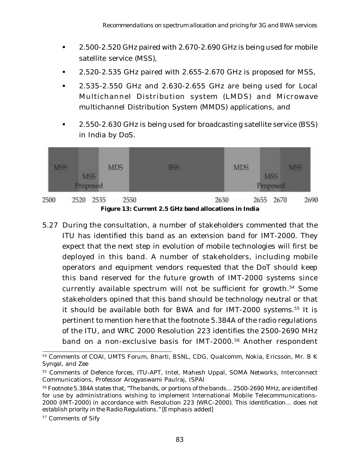- § 2.500-2.520 GHz paired with 2.670-2.690 GHz is being used for mobile satellite service (MSS),
- § 2.520-2.535 GHz paired with 2.655-2.670 GHz is proposed for MSS,
- § 2.535-2.550 GHz and 2.630-2.655 GHz are being used for Local Multichannel Distribution system (LMDS) and Microwave multichannel Distribution System (MMDS) applications, and
- 2.550-2.630 GHz is being used for broadcasting satellite service (BSS) in India by DoS.



**Figure 13: Current 2.5 GHz band allocations in India**

5.27 During the consultation, a number of stakeholders commented that the ITU has identified this band as an extension band for IMT-2000. They expect that the next step in evolution of mobile technologies will first be deployed in this band. A number of stakeholders, including mobile operators and equipment vendors requested that the DoT should keep this band reserved for the future growth of IMT-2000 systems since currently available spectrum will not be sufficient for growth.54 Some stakeholders opined that this band should be technology neutral or that it should be available both for BWA and for IMT-2000 systems.<sup>55</sup> It is pertinent to mention here that the footnote 5.384A of the radio regulations of the ITU, and WRC 2000 Resolution 223 identifies the 2500-2690 MHz band on a non-exclusive basis for IMT-2000.<sup>56</sup> Another respondent

<sup>54</sup> Comments of COAI, UMTS Forum, Bharti, BSNL, CDG, Qualcomm, Nokia, Ericsson, Mr. B K Syngal, and Zee

<sup>55</sup> Comments of Defence forces, ITU-APT, Intel, Mahesh Uppal, SOMA Networks, Interconnect Communications, Professor Arogyaswami Paulraj, ISPAI

<sup>56</sup> Footnote 5.384A states that, "The bands, or portions of the bands… 2500-2690 MHz, are identified for use by administrations wishing to implement International Mobile Telecommunications-2000 (IMT-2000) in accordance with Resolution 223 (WRC-2000). *This identification*… *does not establish priority in the Radio Regulations*." [Emphasis added]

<sup>57</sup> Comments of Sify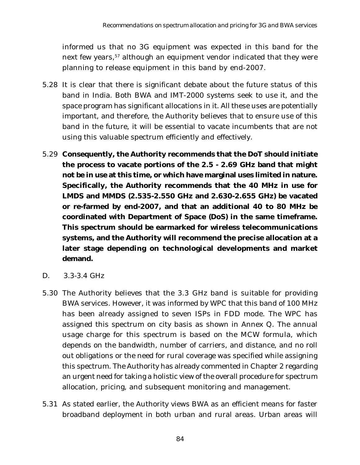informed us that no 3G equipment was expected in this band for the next few years,<sup>57</sup> although an equipment vendor indicated that they were planning to release equipment in this band by end-2007.

- 5.28 It is clear that there is significant debate about the future status of this band in India. Both BWA and IMT-2000 systems seek to use it, and the space program has significant allocations in it. All these uses are potentially important, and therefore, the Authority believes that to ensure use of this band in the future, it will be essential to vacate incumbents that are not using this valuable spectrum efficiently and effectively.
- 5.29 **Consequently, the Authority recommends that the DoT should initiate the process to vacate portions of the 2.5 - 2.69 GHz band that might not be in use at this time, or which have marginal uses limited in nature. Specifically, the Authority recommends that the 40 MHz in use for LMDS and MMDS (2.535-2.550 GHz and 2.630-2.655 GHz) be vacated or re-farmed by end-2007, and that an additional 40 to 80 MHz be coordinated with Department of Space (DoS) in the same timeframe. This spectrum should be earmarked for wireless telecommunications systems, and the Authority will recommend the precise allocation at a later stage depending on technological developments and market demand.**
- *D. 3.3-3.4 GHz*
- 5.30 The Authority believes that the 3.3 GHz band is suitable for providing BWA services. However, it was informed by WPC that this band of 100 MHz has been already assigned to seven ISPs in FDD mode. The WPC has assigned this spectrum on city basis as shown in Annex Q. The annual usage charge for this spectrum is based on the MCW formula, which depends on the bandwidth, number of carriers, and distance, and no roll out obligations or the need for rural coverage was specified while assigning this spectrum. The Authority has already commented in Chapter 2 regarding an urgent need for taking a holistic view of the overall procedure for spectrum allocation, pricing, and subsequent monitoring and management.
- 5.31 As stated earlier, the Authority views BWA as an efficient means for faster broadband deployment in both urban and rural areas. Urban areas will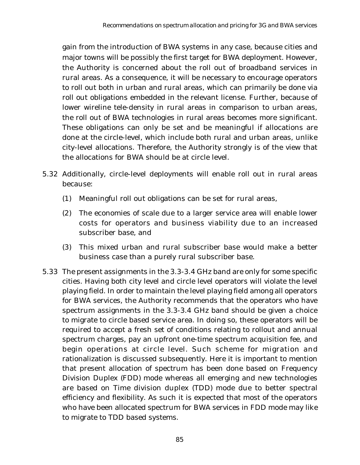gain from the introduction of BWA systems in any case, because cities and major towns will be possibly the first target for BWA deployment. However, the Authority is concerned about the roll out of broadband services in rural areas. As a consequence, it will be necessary to encourage operators to roll out both in urban and rural areas, which can primarily be done via roll out obligations embedded in the relevant license. Further, because of lower wireline tele-density in rural areas in comparison to urban areas, the roll out of BWA technologies in rural areas becomes more significant. These obligations can only be set and be meaningful if allocations are done at the circle-level, which include both rural and urban areas, unlike city-level allocations. Therefore, the Authority strongly is of the view that the allocations for BWA should be at circle level.

- 5.32 Additionally, circle-level deployments will enable roll out in rural areas because:
	- (1) Meaningful roll out obligations can be set for rural areas,
	- (2) The economies of scale due to a larger service area will enable lower costs for operators and business viability due to an increased subscriber base, and
	- (3) This mixed urban and rural subscriber base would make a better business case than a purely rural subscriber base.
- 5.33 The present assignments in the 3.3-3.4 GHz band are only for some specific cities. Having both city level and circle level operators will violate the level playing field. In order to maintain the level playing field among all operators for BWA services, the Authority recommends that the operators who have spectrum assignments in the 3.3-3.4 GHz band should be given a choice to migrate to circle based service area. In doing so, these operators will be required to accept a fresh set of conditions relating to rollout and annual spectrum charges, pay an upfront one-time spectrum acquisition fee, and begin operations at circle level. Such scheme for migration and rationalization is discussed subsequently. Here it is important to mention that present allocation of spectrum has been done based on Frequency Division Duplex (FDD) mode whereas all emerging and new technologies are based on Time division duplex (TDD) mode due to better spectral efficiency and flexibility. As such it is expected that most of the operators who have been allocated spectrum for BWA services in FDD mode may like to migrate to TDD based systems.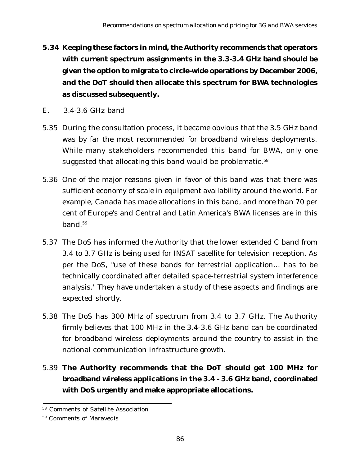- **5.34 Keeping these factors in mind, the Authority recommends that operators with current spectrum assignments in the 3.3-3.4 GHz band should be given the option to migrate to circle-wide operations by December 2006, and the DoT should then allocate this spectrum for BWA technologies as discussed subsequently.**
- *E. 3.4-3.6 GHz band*
- 5.35 During the consultation process, it became obvious that the 3.5 GHz band was by far the most recommended for broadband wireless deployments. While many stakeholders recommended this band for BWA, only one suggested that allocating this band would be problematic.<sup>58</sup>
- 5.36 One of the major reasons given in favor of this band was that there was sufficient economy of scale in equipment availability around the world. For example, Canada has made allocations in this band, and more than 70 per cent of Europe's and Central and Latin America's BWA licenses are in this band.59
- 5.37 The DoS has informed the Authority that the lower extended C band from 3.4 to 3.7 GHz is being used for INSAT satellite for television reception. As per the DoS, "use of these bands for terrestrial application… has to be technically coordinated after detailed space-terrestrial system interference analysis." They have undertaken a study of these aspects and findings are expected shortly.
- 5.38 The DoS has 300 MHz of spectrum from 3.4 to 3.7 GHz. The Authority firmly believes that 100 MHz in the 3.4-3.6 GHz band can be coordinated for broadband wireless deployments around the country to assist in the national communication infrastructure growth.
- 5.39 **The Authority recommends that the DoT should get 100 MHz for broadband wireless applications in the 3.4 - 3.6 GHz band, coordinated with DoS urgently and make appropriate allocations.**

<sup>58</sup> Comments of Satellite Association

<sup>59</sup> Comments of Maravedis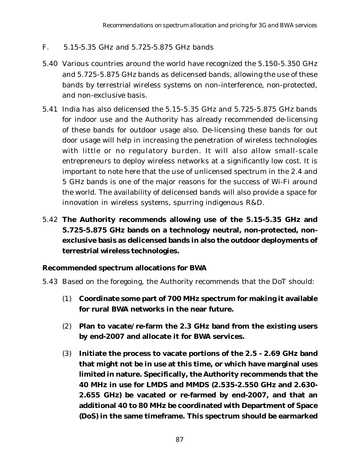#### *F. 5.15-5.35 GHz and 5.725-5.875 GHz bands*

- 5.40 Various countries around the world have recognized the 5.150-5.350 GHz and 5.725-5.875 GHz bands as delicensed bands, allowing the use of these bands by terrestrial wireless systems on non-interference, non-protected, and non-exclusive basis.
- 5.41 India has also delicensed the 5.15-5.35 GHz and 5.725-5.875 GHz bands for indoor use and the Authority has already recommended de-licensing of these bands for outdoor usage also. De-licensing these bands for out door usage will help in increasing the penetration of wireless technologies with little or no regulatory burden. It will also allow small-scale entrepreneurs to deploy wireless networks at a significantly low cost. It is important to note here that the use of unlicensed spectrum in the 2.4 and 5 GHz bands is one of the major reasons for the success of Wi-Fi around the world. The availability of delicensed bands will also provide a space for innovation in wireless systems, spurring indigenous R&D.
- 5.42 **The Authority recommends allowing use of the 5.15-5.35 GHz and 5.725-5.875 GHz bands on a technology neutral, non-protected, nonexclusive basis as delicensed bands in also the outdoor deployments of terrestrial wireless technologies.**

#### **Recommended spectrum allocations for BWA**

- 5.43 Based on the foregoing, the Authority recommends that the DoT should:
	- (1) **Coordinate some part of 700 MHz spectrum for making it available for rural BWA networks in the near future.**
	- (2) **Plan to vacate/re-farm the 2.3 GHz band from the existing users by end-2007 and allocate it for BWA services.**
	- (3) **Initiate the process to vacate portions of the 2.5 2.69 GHz band that might not be in use at this time, or which have marginal uses limited in nature. Specifically, the Authority recommends that the 40 MHz in use for LMDS and MMDS (2.535-2.550 GHz and 2.630- 2.655 GHz) be vacated or re-farmed by end-2007, and that an additional 40 to 80 MHz be coordinated with Department of Space (DoS) in the same timeframe. This spectrum should be earmarked**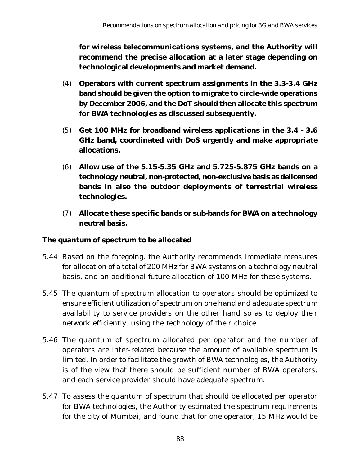**for wireless telecommunications systems, and the Authority will recommend the precise allocation at a later stage depending on technological developments and market demand.**

- (4) **Operators with current spectrum assignments in the 3.3-3.4 GHz band should be given the option to migrate to circle-wide operations by December 2006, and the DoT should then allocate this spectrum for BWA technologies as discussed subsequently.**
- (5) **Get 100 MHz for broadband wireless applications in the 3.4 3.6 GHz band, coordinated with DoS urgently and make appropriate allocations.**
- (6) **Allow use of the 5.15-5.35 GHz and 5.725-5.875 GHz bands on a technology neutral, non-protected, non-exclusive basis as delicensed bands in also the outdoor deployments of terrestrial wireless technologies.**
- (7) **Allocate these specific bands or sub-bands for BWA on a technology neutral basis.**

#### **The quantum of spectrum to be allocated**

- 5.44 Based on the foregoing, the Authority recommends immediate measures for allocation of a total of 200 MHz for BWA systems on a technology neutral basis, and an additional future allocation of 100 MHz for these systems.
- 5.45 The quantum of spectrum allocation to operators should be optimized to ensure efficient utilization of spectrum on one hand and adequate spectrum availability to service providers on the other hand so as to deploy their network efficiently, using the technology of their choice.
- 5.46 The quantum of spectrum allocated per operator and the number of operators are inter-related because the amount of available spectrum is limited. In order to facilitate the growth of BWA technologies, the Authority is of the view that there should be sufficient number of BWA operators, and each service provider should have adequate spectrum.
- 5.47 To assess the quantum of spectrum that should be allocated per operator for BWA technologies, the Authority estimated the spectrum requirements for the city of Mumbai, and found that for one operator, 15 MHz would be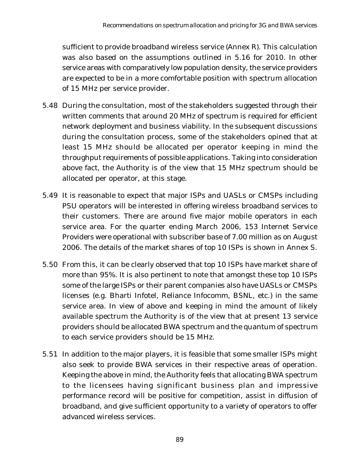sufficient to provide broadband wireless service (Annex R). This calculation was also based on the assumptions outlined in 5.16 for 2010. In other service areas with comparatively low population density, the service providers are expected to be in a more comfortable position with spectrum allocation of 15 MHz per service provider.

- 5.48 During the consultation, most of the stakeholders suggested through their written comments that around 20 MHz of spectrum is required for efficient network deployment and business viability. In the subsequent discussions during the consultation process, some of the stakeholders opined that at least 15 MHz should be allocated per operator keeping in mind the throughput requirements of possible applications. Taking into consideration above fact, the Authority is of the view that 15 MHz spectrum should be allocated per operator, at this stage.
- 5.49 It is reasonable to expect that major ISPs and UASLs or CMSPs including PSU operators will be interested in offering wireless broadband services to their customers. There are around five major mobile operators in each service area. For the quarter ending March 2006, 153 Internet Service Providers were operational with subscriber base of 7.00 million as on August 2006. The details of the market shares of top 10 ISPs is shown in Annex S.
- 5.50 From this, it can be clearly observed that top 10 ISPs have market share of more than 95%. It is also pertinent to note that amongst these top 10 ISPs some of the large ISPs or their parent companies also have UASLs or CMSPs licenses (e.g. Bharti Infotel, Reliance Infocomm, BSNL, etc.) in the same service area. In view of above and keeping in mind the amount of likely available spectrum the Authority is of the view that at present 13 service providers should be allocated BWA spectrum and the quantum of spectrum to each service providers should be 15 MHz.
- 5.51 In addition to the major players, it is feasible that some smaller ISPs might also seek to provide BWA services in their respective areas of operation. Keeping the above in mind, the Authority feels that allocating BWA spectrum to the licensees having significant business plan and impressive performance record will be positive for competition, assist in diffusion of broadband, and give sufficient opportunity to a variety of operators to offer advanced wireless services.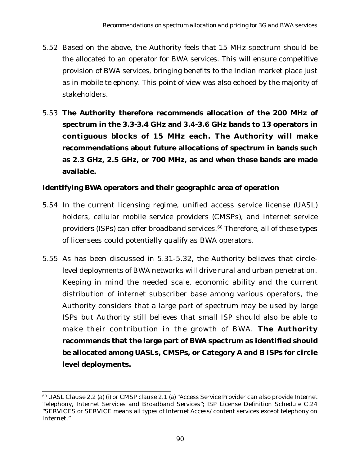- 5.52 Based on the above, the Authority feels that 15 MHz spectrum should be the allocated to an operator for BWA services. This will ensure competitive provision of BWA services, bringing benefits to the Indian market place just as in mobile telephony. This point of view was also echoed by the majority of stakeholders.
- 5.53 **The Authority therefore recommends allocation of the 200 MHz of spectrum in the 3.3-3.4 GHz and 3.4-3.6 GHz bands to 13 operators in contiguous blocks of 15 MHz each. The Authority will make recommendations about future allocations of spectrum in bands such as 2.3 GHz, 2.5 GHz, or 700 MHz, as and when these bands are made available.**

#### **Identifying BWA operators and their geographic area of operation**

- 5.54 In the current licensing regime, unified access service license (UASL) holders, cellular mobile service providers (CMSPs), and internet service providers (ISPs) can offer broadband services.<sup>60</sup> Therefore, all of these types of licensees could potentially qualify as BWA operators.
- 5.55 As has been discussed in 5.31-5.32, the Authority believes that circlelevel deployments of BWA networks will drive rural and urban penetration. Keeping in mind the needed scale, economic ability and the current distribution of internet subscriber base among various operators, the Authority considers that a large part of spectrum may be used by large ISPs but Authority still believes that small ISP should also be able to make their contribution in the growth of BWA. **The Authority recommends that the large part of BWA spectrum as identified should be allocated among UASLs, CMSPs, or Category A and B ISPs for circle level deployments.**

<sup>60</sup> UASL Clause 2.2 (a) (i) or CMSP clause 2.1 (a) "Access Service Provider can also provide Internet Telephony, Internet Services and Broadband Services"; ISP License Definition Schedule C.24 "SERVICES or SERVICE means all types of Internet Access/content services except telephony on Internet."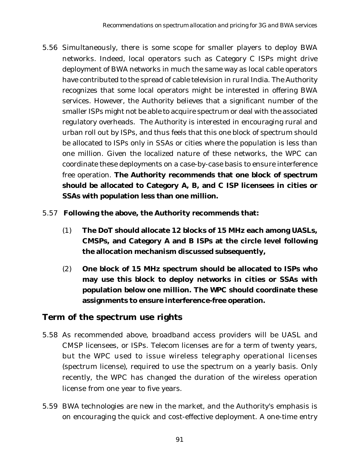- 5.56 Simultaneously, there is some scope for smaller players to deploy BWA networks. Indeed, local operators such as Category C ISPs might drive deployment of BWA networks in much the same way as local cable operators have contributed to the spread of cable television in rural India. The Authority recognizes that some local operators might be interested in offering BWA services. However, the Authority believes that a significant number of the smaller ISPs might not be able to acquire spectrum or deal with the associated regulatory overheads. The Authority is interested in encouraging rural and urban roll out by ISPs, and thus feels that this one block of spectrum should be allocated to ISPs only in SSAs or cities where the population is less than one million. Given the localized nature of these networks, the WPC can coordinate these deployments on a case-by-case basis to ensure interference free operation. **The Authority recommends that one block of spectrum should be allocated to Category A, B, and C ISP licensees in cities or SSAs with population less than one million.**
- 5.57 **Following the above, the Authority recommends that:**
	- (1) **The DoT should allocate 12 blocks of 15 MHz each among UASLs, CMSPs, and Category A and B ISPs at the circle level following the allocation mechanism discussed subsequently,**
	- (2) **One block of 15 MHz spectrum should be allocated to ISPs who may use this block to deploy networks in cities or SSAs with population below one million. The WPC should coordinate these assignments to ensure interference-free operation.**

#### **Term of the spectrum use rights**

- 5.58 As recommended above, broadband access providers will be UASL and CMSP licensees, or ISPs. Telecom licenses are for a term of twenty years, but the WPC used to issue wireless telegraphy operational licenses (spectrum license), required to use the spectrum on a yearly basis. Only recently, the WPC has changed the duration of the wireless operation license from one year to five years.
- 5.59 BWA technologies are new in the market, and the Authority's emphasis is on encouraging the quick and cost-effective deployment. A one-time entry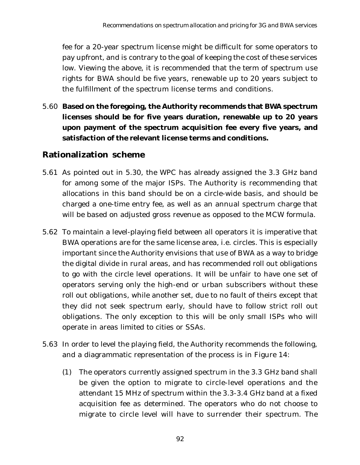fee for a 20-year spectrum license might be difficult for some operators to pay upfront, and is contrary to the goal of keeping the cost of these services low. Viewing the above, it is recommended that the term of spectrum use rights for BWA should be five years, renewable up to 20 years subject to the fulfillment of the spectrum license terms and conditions.

5.60 **Based on the foregoing, the Authority recommends that BWA spectrum licenses should be for five years duration, renewable up to 20 years upon payment of the spectrum acquisition fee every five years, and satisfaction of the relevant license terms and conditions.**

### **Rationalization scheme**

- 5.61 As pointed out in 5.30, the WPC has already assigned the 3.3 GHz band for among some of the major ISPs. The Authority is recommending that allocations in this band should be on a circle-wide basis, and should be charged a one-time entry fee, as well as an annual spectrum charge that will be based on adjusted gross revenue as opposed to the MCW formula.
- 5.62 To maintain a level-playing field between all operators it is imperative that BWA operations are for the same license area, i.e. circles. This is especially important since the Authority envisions that use of BWA as a way to bridge the digital divide in rural areas, and has recommended roll out obligations to go with the circle level operations. It will be unfair to have one set of operators serving only the high-end or urban subscribers without these roll out obligations, while another set, due to no fault of theirs except that they did not seek spectrum early, should have to follow strict roll out obligations. The only exception to this will be only small ISPs who will operate in areas limited to cities or SSAs.
- 5.63 In order to level the playing field, the Authority recommends the following, and a diagrammatic representation of the process is in Figure 14:
	- (1) The operators currently assigned spectrum in the 3.3 GHz band shall be given the option to migrate to circle-level operations and the attendant 15 MHz of spectrum within the 3.3-3.4 GHz band at a fixed acquisition fee as determined. The operators who do not choose to migrate to circle level will have to surrender their spectrum. The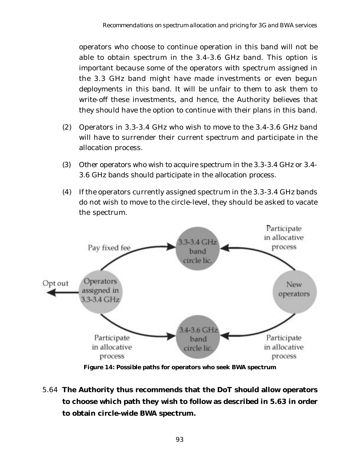operators who choose to continue operation in this band will not be able to obtain spectrum in the 3.4-3.6 GHz band. This option is important because some of the operators with spectrum assigned in the 3.3 GHz band might have made investments or even begun deployments in this band. It will be unfair to them to ask them to write-off these investments, and hence, the Authority believes that they should have the option to continue with their plans in this band.

- (2) Operators in 3.3-3.4 GHz who wish to move to the 3.4-3.6 GHz band will have to surrender their current spectrum and participate in the allocation process.
- (3) Other operators who wish to acquire spectrum in the 3.3-3.4 GHz or 3.4- 3.6 GHz bands should participate in the allocation process.
- (4) If the operators currently assigned spectrum in the 3.3-3.4 GHz bands do not wish to move to the circle-level, they should be asked to vacate the spectrum.



**Figure 14: Possible paths for operators who seek BWA spectrum**

5.64 **The Authority thus recommends that the DoT should allow operators to choose which path they wish to follow as described in 5.63 in order to obtain circle-wide BWA spectrum.**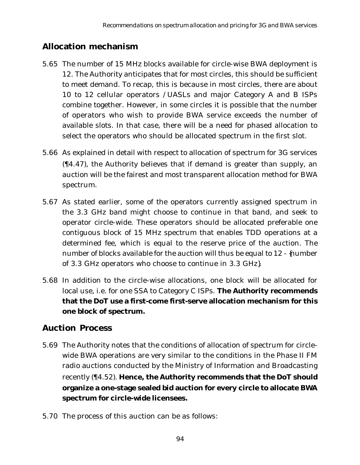## **Allocation mechanism**

- 5.65 The number of 15 MHz blocks available for circle-wise BWA deployment is 12. The Authority anticipates that for most circles, this should be sufficient to meet demand. To recap, this is because in most circles, there are about 10 to 12 cellular operators /UASLs and major Category A and B ISPs combine together. However, in some circles it is possible that the number of operators who wish to provide BWA service exceeds the number of available slots. In that case, there will be a need for phased allocation to select the operators who should be allocated spectrum in the first slot.
- 5.66 As explained in detail with respect to allocation of spectrum for 3G services (¶4.47), the Authority believes that if demand is greater than supply, an auction will be the fairest and most transparent allocation method for BWA spectrum.
- 5.67 As stated earlier, some of the operators currently assigned spectrum in the 3.3 GHz band might choose to continue in that band, and seek to operator circle-wide. These operators should be allocated preferable one contiguous block of 15 MHz spectrum that enables TDD operations at a determined fee, which is equal to the reserve price of the auction. The number of blocks available for the auction will thus be equal to 12 - {number of 3.3 GHz operators who choose to continue in 3.3 GHz}.
- 5.68 In addition to the circle-wise allocations, one block will be allocated for local use, i.e. for one SSA to Category C ISPs. **The Authority recommends that the DoT use a first-come first-serve allocation mechanism for this one block of spectrum.**

### **Auction Process**

- 5.69 The Authority notes that the conditions of allocation of spectrum for circlewide BWA operations are very similar to the conditions in the Phase II FM radio auctions conducted by the Ministry of Information and Broadcasting recently (¶4.52). **Hence, the Authority recommends that the DoT should organize a one-stage sealed bid auction for every circle to allocate BWA spectrum for circle-wide licensees.**
- 5.70 The process of this auction can be as follows: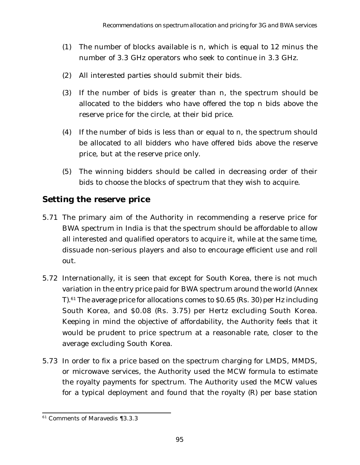- (1) The number of blocks available is n, which is equal to 12 minus the number of 3.3 GHz operators who seek to continue in 3.3 GHz.
- (2) All interested parties should submit their bids.
- (3) If the number of bids is greater than n, the spectrum should be allocated to the bidders who have offered the top n bids above the reserve price for the circle, at their bid price.
- (4) If the number of bids is less than or equal to n, the spectrum should be allocated to all bidders who have offered bids above the reserve price, but at the reserve price only.
- (5) The winning bidders should be called in decreasing order of their bids to choose the blocks of spectrum that they wish to acquire.

### **Setting the reserve price**

- 5.71 The primary aim of the Authority in recommending a reserve price for BWA spectrum in India is that the spectrum should be affordable to allow all interested and qualified operators to acquire it, while at the same time, dissuade non-serious players and also to encourage efficient use and roll out.
- 5.72 Internationally, it is seen that except for South Korea, there is not much variation in the entry price paid for BWA spectrum around the world (Annex  $T$ ).<sup>61</sup> The average price for allocations comes to \$0.65 (Rs. 30) per Hz including South Korea, and \$0.08 (Rs. 3.75) per Hertz excluding South Korea. Keeping in mind the objective of affordability, the Authority feels that it would be prudent to price spectrum at a reasonable rate, closer to the average excluding South Korea.
- 5.73 In order to fix a price based on the spectrum charging for LMDS, MMDS, or microwave services, the Authority used the MCW formula to estimate the royalty payments for spectrum. The Authority used the MCW values for a typical deployment and found that the royalty (R) per base station

<sup>61</sup> Comments of Maravedis ¶3.3.3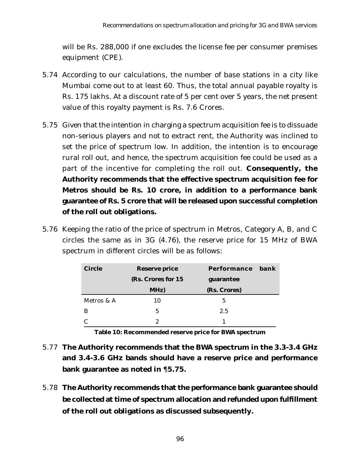will be Rs. 288,000 if one excludes the license fee per consumer premises equipment (CPE).

- 5.74 According to our calculations, the number of base stations in a city like Mumbai come out to at least 60. Thus, the total annual payable royalty is Rs. 175 lakhs. At a discount rate of 5 per cent over 5 years, the net present value of this royalty payment is Rs. 7.6 Crores.
- 5.75 Given that the intention in charging a spectrum acquisition fee is to dissuade non-serious players and not to extract rent, the Authority was inclined to set the price of spectrum low. In addition, the intention is to encourage rural roll out, and hence, the spectrum acquisition fee could be used as a part of the incentive for completing the roll out. **Consequently, the Authority recommends that the effective spectrum acquisition fee for Metros should be Rs. 10 crore, in addition to a performance bank guarantee of Rs. 5 crore that will be released upon successful completion of the roll out obligations.**
- 5.76 Keeping the ratio of the price of spectrum in Metros, Category A, B, and C circles the same as in 3G (4.76), the reserve price for 15 MHz of BWA spectrum in different circles will be as follows:

| <b>Circle</b> | <b>Reserve price</b> | Performance  | hank |
|---------------|----------------------|--------------|------|
|               | (Rs. Crores for 15)  | guarantee    |      |
|               | MHz)                 | (Rs. Crores) |      |
| Metros & A    | 10                   | 5            |      |
| В             | 5                    | 2.5          |      |
|               | 2                    |              |      |

**Table 10: Recommended reserve price for BWA spectrum**

- 5.77 **The Authority recommends that the BWA spectrum in the 3.3-3.4 GHz and 3.4-3.6 GHz bands should have a reserve price and performance bank guarantee as noted in** ¶**5.75.**
- 5.78 **The Authority recommends that the performance bank guarantee should be collected at time of spectrum allocation and refunded upon fulfillment of the roll out obligations as discussed subsequently.**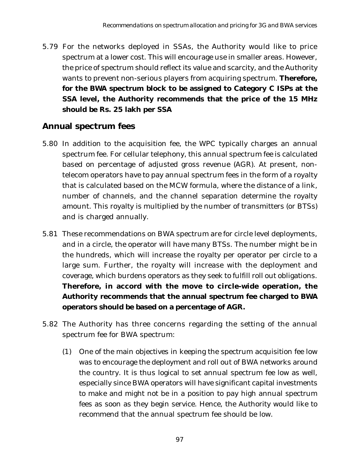5.79 For the networks deployed in SSAs, the Authority would like to price spectrum at a lower cost. This will encourage use in smaller areas. However, the price of spectrum should reflect its value and scarcity, and the Authority wants to prevent non-serious players from acquiring spectrum. **Therefore, for the BWA spectrum block to be assigned to Category C ISPs at the SSA level, the Authority recommends that the price of the 15 MHz should be Rs. 25 lakh per SSA**

### **Annual spectrum fees**

- 5.80 In addition to the acquisition fee, the WPC typically charges an annual spectrum fee. For cellular telephony, this annual spectrum fee is calculated based on percentage of adjusted gross revenue (AGR). At present, nontelecom operators have to pay annual spectrum fees in the form of a royalty that is calculated based on the MCW formula, where the distance of a link, number of channels, and the channel separation determine the royalty amount. This royalty is multiplied by the number of transmitters (or BTSs) and is charged annually.
- 5.81 These recommendations on BWA spectrum are for circle level deployments, and in a circle, the operator will have many BTSs. The number might be in the hundreds, which will increase the royalty per operator per circle to a large sum. Further, the royalty will increase with the deployment and coverage, which burdens operators as they seek to fulfill roll out obligations. **Therefore, in accord with the move to circle-wide operation, the Authority recommends that the annual spectrum fee charged to BWA operators should be based on a percentage of AGR.**
- 5.82 The Authority has three concerns regarding the setting of the annual spectrum fee for BWA spectrum:
	- (1) One of the main objectives in keeping the spectrum acquisition fee low was to encourage the deployment and roll out of BWA networks around the country. It is thus logical to set annual spectrum fee low as well, especially since BWA operators will have significant capital investments to make and might not be in a position to pay high annual spectrum fees as soon as they begin service. Hence, the Authority would like to recommend that the annual spectrum fee should be low.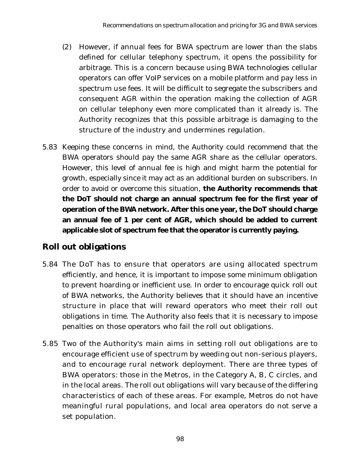- (2) However, if annual fees for BWA spectrum are lower than the slabs defined for cellular telephony spectrum, it opens the possibility for arbitrage. This is a concern because using BWA technologies cellular operators can offer VoIP services on a mobile platform and pay less in spectrum use fees. It will be difficult to segregate the subscribers and consequent AGR within the operation making the collection of AGR on cellular telephony even more complicated than it already is. The Authority recognizes that this possible arbitrage is damaging to the structure of the industry and undermines regulation.
- 5.83 Keeping these concerns in mind, the Authority could recommend that the BWA operators should pay the same AGR share as the cellular operators. However, this level of annual fee is high and might harm the potential for growth, especially since it may act as an additional burden on subscribers. In order to avoid or overcome this situation, **the Authority recommends that the DoT should not charge an annual spectrum fee for the first year of operation of the BWA network. After this one year, the DoT should charge an annual fee of 1 per cent of AGR, which should be added to current applicable slot of spectrum fee that the operator is currently paying.**

## **Roll out obligations**

- 5.84 The DoT has to ensure that operators are using allocated spectrum efficiently, and hence, it is important to impose some minimum obligation to prevent hoarding or inefficient use. In order to encourage quick roll out of BWA networks, the Authority believes that it should have an incentive structure in place that will reward operators who meet their roll out obligations in time. The Authority also feels that it is necessary to impose penalties on those operators who fail the roll out obligations.
- 5.85 Two of the Authority's main aims in setting roll out obligations are to encourage efficient use of spectrum by weeding out non-serious players, and to encourage rural network deployment. There are three types of BWA operators: those in the Metros, in the Category A, B, C circles, and in the local areas. The roll out obligations will vary because of the differing characteristics of each of these areas. For example, Metros do not have meaningful rural populations, and local area operators do not serve a set population.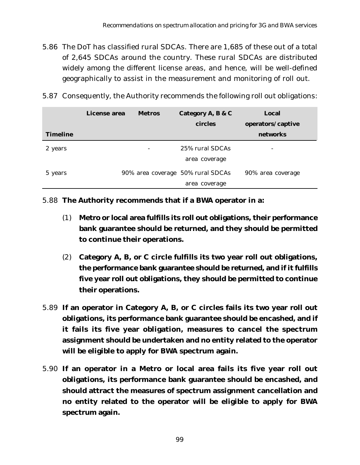- 5.86 The DoT has classified rural SDCAs. There are 1,685 of these out of a total of 2,645 SDCAs around the country. These rural SDCAs are distributed widely among the different license areas, and hence, will be well-defined geographically to assist in the measurement and monitoring of roll out.
- 5.87 Consequently, the Authority recommends the following roll out obligations:

|                 | License area | <b>Metros</b> | Category A, B & C                 | Local             |
|-----------------|--------------|---------------|-----------------------------------|-------------------|
|                 |              |               | <b>circles</b>                    | operators/captive |
| <b>Timeline</b> |              |               |                                   | networks          |
| 2 years         |              |               | 25% rural SDCAs                   | -                 |
|                 |              |               | area coverage                     |                   |
| 5 years         |              |               | 90% area coverage 50% rural SDCAs | 90% area coverage |
|                 |              |               | area coverage                     |                   |

5.88 **The Authority recommends that if a BWA operator in a:**

- (1) **Metro or local area fulfills its roll out obligations, their performance bank guarantee should be returned, and they should be permitted to continue their operations.**
- (2) **Category A, B, or C circle fulfills its two year roll out obligations, the performance bank guarantee should be returned, and if it fulfills five year roll out obligations, they should be permitted to continue their operations.**
- 5.89 **If an operator in Category A, B, or C circles fails its two year roll out obligations, its performance bank guarantee should be encashed, and if it fails its five year obligation, measures to cancel the spectrum assignment should be undertaken and no entity related to the operator will be eligible to apply for BWA spectrum again.**
- 5.90 **If an operator in a Metro or local area fails its five year roll out obligations, its performance bank guarantee should be encashed, and should attract the measures of spectrum assignment cancellation and no entity related to the operator will be eligible to apply for BWA spectrum again.**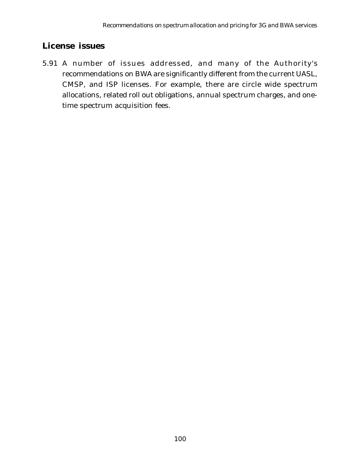## **License issues**

5.91 A number of issues addressed, and many of the Authority's recommendations on BWA are significantly different from the current UASL, CMSP, and ISP licenses. For example, there are circle wide spectrum allocations, related roll out obligations, annual spectrum charges, and onetime spectrum acquisition fees.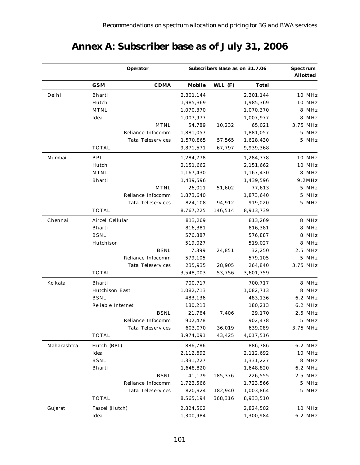|             |                   |                          | Subscribers Base as on 31.7.06 |           |              |          |         |
|-------------|-------------------|--------------------------|--------------------------------|-----------|--------------|----------|---------|
|             | GSM               | <b>CDMA</b>              | Mobile                         | WLL $(F)$ | <b>Total</b> |          |         |
| Delhi       | <b>Bharti</b>     |                          | 2,301,144                      |           | 2,301,144    |          | 10 MHz  |
|             | Hutch             |                          | 1,985,369                      |           | 1,985,369    |          | 10 MHz  |
|             | <b>MTNL</b>       |                          | 1,070,370                      |           | 1,070,370    |          | 8 MHz   |
|             | Idea              |                          | 1,007,977                      |           | 1,007,977    |          | 8 MHz   |
|             |                   | <b>MTNL</b>              | 54,789                         | 10,232    | 65,021       | 3.75 MHz |         |
|             |                   | Reliance Infocomm        | 1,881,057                      |           | 1,881,057    |          | 5 MHz   |
|             |                   | <b>Tata Teleservices</b> | 1,570,865                      | 57,565    | 1,628,430    |          | 5 MHz   |
|             | <b>TOTAL</b>      |                          | 9,871,571                      | 67,797    | 9,939,368    |          |         |
| Mumbai      | <b>BPL</b>        |                          | 1,284,778                      |           | 1,284,778    |          | 10 MHz  |
|             | Hutch             |                          | 2,151,662                      |           | 2,151,662    |          | 10 MHz  |
|             | <b>MTNL</b>       |                          | 1,167,430                      |           | 1,167,430    |          | 8 MHz   |
|             | <b>Bharti</b>     |                          | 1,439,596                      |           | 1,439,596    |          | 9.2MHz  |
|             |                   | <b>MTNL</b>              | 26,011                         | 51,602    | 77,613       |          | 5 MHz   |
|             |                   | Reliance Infocomm        | 1,873,640                      |           | 1,873,640    |          | 5 MHz   |
|             |                   | <b>Tata Teleservices</b> | 824,108                        | 94,912    | 919,020      |          | 5 MHz   |
|             | TOTAL             |                          | 8,767,225                      | 146,514   | 8,913,739    |          |         |
| Chennai     | Aircel Cellular   |                          | 813,269                        |           | 813,269      |          | 8 MHz   |
|             | Bharti            |                          | 816,381                        |           | 816,381      |          | 8 MHz   |
|             | <b>BSNL</b>       |                          | 576,887                        |           | 576,887      |          | 8 MHz   |
|             | Hutchison         |                          | 519,027                        |           | 519,027      |          | 8 MHz   |
|             |                   | <b>BSNL</b>              | 7,399                          | 24,851    | 32,250       |          | 2.5 MHz |
|             |                   | Reliance Infocomm        | 579,105                        |           | 579,105      |          | 5 MHz   |
|             |                   | Tata Teleservices        | 235,935                        | 28,905    | 264,840      | 3.75 MHz |         |
|             | TOTAL             |                          | 3,548,003                      | 53,756    | 3,601,759    |          |         |
| Kolkata     | <b>Bharti</b>     |                          | 700,717                        |           | 700,717      |          | 8 MHz   |
|             | Hutchison East    |                          | 1,082,713                      |           | 1,082,713    |          | 8 MHz   |
|             | <b>BSNL</b>       |                          | 483,136                        |           | 483,136      |          | 6.2 MHz |
|             | Reliable Internet |                          | 180,213                        |           | 180,213      |          | 6.2 MHz |
|             |                   | <b>BSNL</b>              | 21,764                         | 7,406     | 29,170       |          | 2.5 MHz |
|             |                   | Reliance Infocomm        | 902,478                        |           | 902,478      |          | 5 MHz   |
|             |                   | Tata Teleservices        | 603,070                        | 36,019    | 639,089      | 3.75 MHz |         |
|             | <b>TOTAL</b>      |                          | 3,974,091                      | 43,425    | 4,017,516    |          |         |
| Maharashtra | Hutch (BPL)       |                          | 886,786                        |           | 886,786      |          | 6.2 MHz |
|             | Idea              |                          | 2,112,692                      |           | 2,112,692    |          | 10 MHz  |
|             | <b>BSNL</b>       |                          | 1,331,227                      |           | 1,331,227    |          | 8 MHz   |
|             | <b>Bharti</b>     |                          | 1,648,820                      |           | 1,648,820    |          | 6.2 MHz |
|             |                   | <b>BSNL</b>              | 41,179                         | 185,376   | 226,555      |          | 2.5 MHz |
|             |                   | Reliance Infocomm        | 1,723,566                      |           | 1,723,566    |          | 5 MHz   |
|             |                   | Tata Teleservices        | 820,924                        | 182,940   | 1,003,864    |          | 5 MHz   |
|             | TOTAL             |                          | 8,565,194                      | 368,316   | 8,933,510    |          |         |
| Gujarat     | Fascel (Hutch)    |                          | 2,824,502                      |           | 2,824,502    |          | 10 MHz  |
|             | Idea              |                          | 1,300,984                      |           | 1,300,984    |          | 6.2 MHz |

# **Annex A: Subscriber base as of July 31, 2006**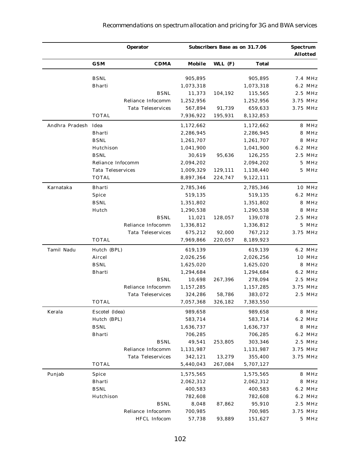### *Recommendations on spectrum allocation and pricing for 3G and BWA services*

|                     |                          | <b>Operator</b>          |           | <b>Subscribers Base as on 31.7.06</b> |           |          |           |
|---------------------|--------------------------|--------------------------|-----------|---------------------------------------|-----------|----------|-----------|
|                     | GSM                      | <b>CDMA</b>              | Mobile    | WLL (F)                               | Total     |          |           |
|                     | <b>BSNL</b>              |                          | 905,895   |                                       | 905,895   |          | 7.4 MHz   |
|                     | Bharti                   |                          | 1,073,318 |                                       | 1,073,318 |          | 6.2 MHz   |
|                     |                          | <b>BSNL</b>              | 11,373    | 104,192                               | 115,565   |          | 2.5 MHz   |
|                     |                          | Reliance Infocomm        | 1,252,956 |                                       | 1,252,956 | 3.75 MHz |           |
|                     |                          | <b>Tata Teleservices</b> | 567,894   | 91,739                                | 659,633   | 3.75 MHz |           |
|                     | <b>TOTAL</b>             |                          | 7,936,922 | 195,931                               | 8,132,853 |          |           |
| Andhra Pradesh Idea |                          |                          | 1,172,662 |                                       | 1,172,662 |          | 8 MHz     |
|                     | Bharti                   |                          | 2,286,945 |                                       | 2,286,945 |          | 8 MHz     |
|                     | <b>BSNL</b>              |                          | 1,261,707 |                                       | 1,261,707 |          | 8 MHz     |
|                     | Hutchison                |                          | 1,041,900 |                                       | 1,041,900 |          | 6.2 MHz   |
|                     | <b>BSNL</b>              |                          | 30,619    | 95,636                                | 126,255   |          | $2.5$ MHz |
|                     | Reliance Infocomm        |                          | 2,094,202 |                                       | 2,094,202 |          | 5 MHz     |
|                     | <b>Tata Teleservices</b> |                          | 1,009,329 | 129,111                               | 1,138,440 |          | 5 MHz     |
|                     | TOTAL                    |                          | 8,897,364 | 224,747                               | 9,122,111 |          |           |
| Karnataka           | <b>Bharti</b>            |                          | 2,785,346 |                                       | 2,785,346 |          | 10 MHz    |
|                     | Spice                    |                          | 519,135   |                                       | 519,135   |          | 6.2 MHz   |
|                     | <b>BSNL</b>              |                          | 1,351,802 |                                       | 1,351,802 |          | 8 MHz     |
|                     | Hutch                    |                          | 1,290,538 |                                       | 1,290,538 |          | 8 MHz     |
|                     |                          | <b>BSNL</b>              | 11,021    | 128,057                               | 139,078   |          | 2.5 MHz   |
|                     |                          | Reliance Infocomm        | 1,336,812 |                                       | 1,336,812 |          | 5 MHz     |
|                     |                          | <b>Tata Teleservices</b> | 675,212   | 92,000                                | 767,212   |          | 3.75 MHz  |
|                     | <b>TOTAL</b>             |                          | 7,969,866 | 220,057                               | 8,189,923 |          |           |
| Tamil Nadu          | Hutch (BPL)              |                          | 619,139   |                                       | 619,139   |          | 6.2 MHz   |
|                     | Aircel                   |                          | 2,026,256 |                                       | 2,026,256 |          | 10 MHz    |
|                     | <b>BSNL</b>              |                          | 1,625,020 |                                       | 1,625,020 |          | 8 MHz     |
|                     | Bharti                   |                          | 1,294,684 |                                       | 1,294,684 |          | 6.2 MHz   |
|                     |                          | <b>BSNL</b>              | 10,698    | 267,396                               | 278,094   |          | 2.5 MHz   |
|                     |                          | Reliance Infocomm        | 1,157,285 |                                       | 1,157,285 |          | 3.75 MHz  |
|                     |                          | <b>Tata Teleservices</b> | 324,286   | 58,786                                | 383,072   |          | 2.5 MHz   |
|                     | TOTAL                    |                          | 7,057,368 | 326,182                               | 7,383,550 |          |           |
| Kerala              | Escotel (Idea)           |                          | 989,658   |                                       | 989,658   |          | 8 MHz     |
|                     | Hutch (BPL)              |                          | 583,714   |                                       | 583,714   |          | 6.2 MHz   |
|                     | <b>BSNL</b>              |                          | 1,636,737 |                                       | 1,636,737 |          | 8 MHz     |
|                     | <b>Bharti</b>            |                          | 706,285   |                                       | 706,285   |          | 6.2 MHz   |
|                     |                          | <b>BSNL</b>              | 49,541    | 253,805                               | 303,346   |          | 2.5 MHz   |
|                     |                          | Reliance Infocomm        | 1,131,987 |                                       | 1,131,987 |          | 3.75 MHz  |
|                     |                          | <b>Tata Teleservices</b> | 342,121   | 13,279                                | 355,400   |          | 3.75 MHz  |
|                     | <b>TOTAL</b>             |                          | 5,440,043 | 267,084                               | 5,707,127 |          |           |
| Punjab              | Spice                    |                          | 1,575,565 |                                       | 1,575,565 |          | 8 MHz     |
|                     | Bharti                   |                          | 2,062,312 |                                       | 2,062,312 |          | 8 MHz     |
|                     | <b>BSNL</b>              |                          | 400,583   |                                       | 400,583   |          | 6.2 MHz   |
|                     | Hutchison                |                          | 782,608   |                                       | 782,608   |          | 6.2 MHz   |
|                     |                          | <b>BSNL</b>              | 8,048     | 87,862                                | 95,910    |          | 2.5 MHz   |
|                     |                          | Reliance Infocomm        | 700,985   |                                       | 700,985   |          | 3.75 MHz  |
|                     |                          | HFCL Infocom             | 57,738    | 93,889                                | 151,627   |          | 5 MHz     |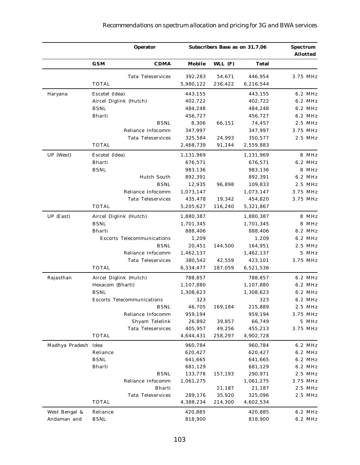|                     |                  | <b>Operator</b>                   |           | Subscribers Base as on 31.7.06 |              | <b>Spectrum</b> | <b>Allotted</b> |
|---------------------|------------------|-----------------------------------|-----------|--------------------------------|--------------|-----------------|-----------------|
|                     | <b>GSM</b>       | <b>CDMA</b>                       | Mobile    | WLL $(F)$                      | <b>Total</b> |                 |                 |
|                     |                  | <b>Tata Teleservices</b>          | 392,283   | 54,671                         | 446,954      |                 | 3.75 MHz        |
|                     | <b>TOTAL</b>     |                                   | 5,980,122 | 236,422                        | 6,216,544    |                 |                 |
| Haryana             | Escotel (Idea)   |                                   | 443,155   |                                | 443,155      |                 | 6.2 MHz         |
|                     |                  | Aircel Diglink (Hutch)            | 402,722   |                                | 402,722      |                 | 6.2 MHz         |
|                     | <b>BSNL</b>      |                                   | 484,248   |                                | 484,248      |                 | 6.2 MHz         |
|                     | Bharti           |                                   | 456,727   |                                | 456,727      |                 | 6.2 MHz         |
|                     |                  | <b>BSNL</b>                       | 8,306     | 66,151                         | 74,457       |                 | 2.5 MHz         |
|                     |                  | Reliance Infocomm                 | 347,997   |                                | 347,997      |                 | 3.75 MHz        |
|                     |                  | <b>Tata Teleservices</b>          | 325,584   | 24,993                         | 350,577      |                 | 2.5 MHz         |
|                     | <b>TOTAL</b>     |                                   | 2,468,739 | 91,144                         | 2,559,883    |                 |                 |
| UP (West)           | Escotel (Idea)   |                                   | 1,131,969 |                                | 1,131,969    |                 | 8 MHz           |
|                     | Bharti           |                                   | 676,571   |                                | 676,571      |                 | 6.2 MHz         |
|                     | <b>BSNL</b>      |                                   | 983,136   |                                | 983,136      |                 | 8 MHz           |
|                     |                  | Hutch South                       | 892,391   |                                | 892,391      |                 | 6.2 MHz         |
|                     |                  | <b>BSNL</b>                       | 12,935    | 96,898                         | 109,833      |                 | 2.5 MHz         |
|                     |                  | Reliance Infocomm                 | 1,073,147 |                                | 1,073,147    |                 | 3.75 MHz        |
|                     |                  | <b>Tata Teleservices</b>          | 435,478   | 19,342                         | 454,820      |                 | 3.75 MHz        |
|                     | <b>TOTAL</b>     |                                   | 5,205,627 | 116,240                        | 5,321,867    |                 |                 |
| UP (East)           |                  | Aircel Diglink (Hutch)            | 1,880,387 |                                | 1,880,387    |                 | 8 MHz           |
|                     | <b>BSNL</b>      |                                   | 1,701,345 |                                | 1,701,345    |                 | 8 MHz           |
|                     | <b>Bharti</b>    |                                   | 888,406   |                                | 888,406      |                 | 6.2 MHz         |
|                     |                  | <b>Escorts Telecommunications</b> | 1,209     |                                | 1,209        |                 | 6.2 MHz         |
|                     |                  | <b>BSNL</b>                       | 20,451    | 144,500                        | 164,951      |                 | 2.5 MHz         |
|                     |                  | Reliance Infocomm                 | 1,462,137 |                                | 1,462,137    |                 | 5 MHz           |
|                     |                  | Tata Teleservices                 | 380,542   | 42,559                         | 423,101      |                 | 3.75 MHz        |
|                     | <b>TOTAL</b>     |                                   | 6,334,477 | 187,059                        | 6,521,536    |                 |                 |
| Rajasthan           |                  | Aircel Diglink (Hutch)            | 788,857   |                                | 788,857      |                 | 6.2 MHz         |
|                     | Hexacom (Bharti) |                                   | 1,107,880 |                                | 1,107,880    |                 | 6.2 MHz         |
|                     | <b>BSNL</b>      |                                   | 1,308,623 |                                | 1,308,623    |                 | 6.2 MHz         |
|                     |                  | <b>Escorts Telecommunications</b> | 323       |                                | 323          |                 | 6.2 MHz         |
|                     |                  | <b>BSNL</b>                       | 46,705    | 169,184                        | 215,889      |                 | 2.5 MHz         |
|                     |                  | Reliance Infocomm                 | 959,194   |                                | 959,194      |                 | 3.75 MHz        |
|                     |                  | Shyam Telelink                    | 26,892    | 39,857                         | 66,749       |                 | 5 MHz           |
|                     |                  | <b>Tata Teleservices</b>          | 405,957   | 49,256                         | 455,213      |                 | 3.75 MHz        |
|                     | <b>TOTAL</b>     |                                   | 4,644,431 | 258,297                        | 4,902,728    |                 |                 |
| Madhya Pradesh Idea |                  |                                   | 960,784   |                                | 960,784      |                 | 6.2 MHz         |
|                     | Reliance         |                                   | 620,427   |                                | 620,427      |                 | 6.2 MHz         |
|                     | <b>BSNL</b>      |                                   | 641,665   |                                | 641,665      |                 | 6.2 MHz         |
|                     | Bharti           |                                   | 681,129   |                                | 681,129      |                 | 6.2 MHz         |
|                     |                  | <b>BSNL</b>                       | 133,778   | 157,193                        | 290,971      |                 | 2.5 MHz         |
|                     |                  | Reliance Infocomm                 | 1,061,275 |                                | 1,061,275    |                 | 3.75 MHz        |
|                     |                  | Bharti                            |           | 21,187                         | 21,187       |                 | 2.5 MHz         |
|                     |                  | <b>Tata Teleservices</b>          | 289,176   | 35,920                         | 325,096      |                 | 2.5 MHz         |
|                     | <b>TOTAL</b>     |                                   | 4,388,234 | 214,300                        | 4,602,534    |                 |                 |
| West Bengal &       | Reliance         |                                   | 420,885   |                                | 420,885      |                 | 6.2 MHz         |
| Andaman and         | <b>BSNL</b>      |                                   | 818,900   |                                | 818,900      |                 | 6.2 MHz         |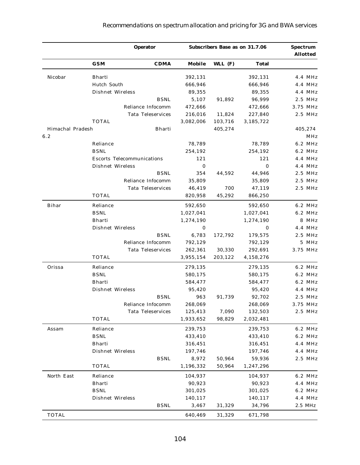|                  |                                   | <b>Operator</b>          |           | <b>Subscribers Base as on 31.7.06</b> | <b>Spectrum</b> | <b>Allotted</b> |          |
|------------------|-----------------------------------|--------------------------|-----------|---------------------------------------|-----------------|-----------------|----------|
|                  | <b>GSM</b>                        | <b>CDMA</b>              | Mobile    | WLL $(F)$                             | Total           |                 |          |
| Nicobar          | <b>Bharti</b>                     |                          | 392,131   |                                       | 392,131         |                 | 4.4 MHz  |
|                  | Hutch South                       |                          | 666,946   |                                       | 666,946         |                 | 4.4 MHz  |
|                  | <b>Dishnet Wireless</b>           |                          | 89,355    |                                       | 89,355          |                 | 4.4 MHz  |
|                  |                                   | <b>BSNL</b>              | 5,107     | 91,892                                | 96,999          |                 | 2.5 MHz  |
|                  |                                   | Reliance Infocomm        | 472,666   |                                       | 472,666         | 3.75 MHz        |          |
|                  |                                   | <b>Tata Teleservices</b> | 216,016   | 11,824                                | 227,840         |                 | 2.5 MHz  |
|                  | <b>TOTAL</b>                      |                          | 3,082,006 | 103,716                               | 3,185,722       |                 |          |
| Himachal Pradesh |                                   | <b>Bharti</b>            |           | 405,274                               |                 |                 | 405,274  |
| 6.2              |                                   |                          |           |                                       |                 |                 | MHz      |
|                  | Reliance                          |                          | 78,789    |                                       | 78,789          |                 | 6.2 MHz  |
|                  | <b>BSNL</b>                       |                          | 254,192   |                                       | 254,192         |                 | 6.2 MHz  |
|                  | <b>Escorts Telecommunications</b> |                          | 121       |                                       | 121             |                 | 4.4 MHz  |
|                  | <b>Dishnet Wireless</b>           |                          | 0         |                                       | $\mathbf{0}$    |                 | 4.4 MHz  |
|                  |                                   | <b>BSNL</b>              | 354       | 44,592                                | 44,946          |                 | 2.5 MHz  |
|                  |                                   | Reliance Infocomm        | 35,809    |                                       | 35,809          |                 | 2.5 MHz  |
|                  |                                   | <b>Tata Teleservices</b> | 46,419    | 700                                   | 47,119          |                 | 2.5 MHz  |
|                  | <b>TOTAL</b>                      |                          | 820,958   | 45,292                                | 866,250         |                 |          |
| <b>Bihar</b>     | Reliance                          |                          | 592,650   |                                       | 592,650         |                 | 6.2 MHz  |
|                  | <b>BSNL</b>                       |                          | 1,027,041 |                                       | 1,027,041       |                 | 6.2 MHz  |
|                  | <b>Bharti</b>                     |                          | 1,274,190 |                                       | 1,274,190       |                 | 8 MHz    |
|                  | <b>Dishnet Wireless</b>           |                          | 0         |                                       | $\bf{0}$        |                 | 4.4 MHz  |
|                  |                                   | <b>BSNL</b>              | 6,783     | 172,792                               | 179,575         |                 | 2.5 MHz  |
|                  |                                   | Reliance Infocomm        | 792,129   |                                       | 792,129         |                 | 5 MHz    |
|                  |                                   | <b>Tata Teleservices</b> | 262,361   | 30,330                                | 292,691         |                 | 3.75 MHz |
|                  | <b>TOTAL</b>                      |                          | 3,955,154 | 203,122                               | 4,158,276       |                 |          |
| Orissa           | Reliance                          |                          | 279,135   |                                       | 279,135         |                 | 6.2 MHz  |
|                  | <b>BSNL</b>                       |                          | 580,175   |                                       | 580,175         |                 | 6.2 MHz  |
|                  | <b>Bharti</b>                     |                          | 584,477   |                                       | 584,477         |                 | 6.2 MHz  |
|                  | <b>Dishnet Wireless</b>           |                          | 95,420    |                                       | 95,420          |                 | 4.4 MHz  |
|                  |                                   | <b>BSNL</b>              | 963       | 91,739                                | 92,702          |                 | 2.5 MHz  |
|                  |                                   | Reliance Infocomm        | 268,069   |                                       | 268,069         | 3.75 MHz        |          |
|                  |                                   | Tata Teleservices        | 125,413   | 7,090                                 | 132,503         |                 | 2.5 MHz  |
|                  | TOTAL                             |                          | 1,933,652 | 98,829                                | 2,032,481       |                 |          |
| Assam            | Reliance                          |                          | 239,753   |                                       | 239,753         |                 | 6.2 MHz  |
|                  | <b>BSNL</b>                       |                          | 433,410   |                                       | 433,410         |                 | 6.2 MHz  |
|                  | Bharti                            |                          | 316,451   |                                       | 316,451         |                 | 4.4 MHz  |
|                  | Dishnet Wireless                  |                          | 197,746   |                                       | 197,746         |                 | 4.4 MHz  |
|                  |                                   | <b>BSNL</b>              | 8,972     | 50,964                                | 59,936          |                 | 2.5 MHz  |
|                  | <b>TOTAL</b>                      |                          | 1,196,332 | 50,964                                | 1,247,296       |                 |          |
| North East       | Reliance                          |                          | 104,937   |                                       | 104,937         |                 | 6.2 MHz  |
|                  | Bharti                            |                          | 90,923    |                                       | 90,923          |                 | 4.4 MHz  |
|                  | <b>BSNL</b>                       |                          | 301,025   |                                       | 301,025         |                 | 6.2 MHz  |
|                  | <b>Dishnet Wireless</b>           |                          | 140,117   |                                       | 140,117         |                 | 4.4 MHz  |
|                  |                                   | <b>BSNL</b>              | 3,467     | 31,329                                | 34,796          |                 | 2.5 MHz  |
| <b>TOTAL</b>     |                                   |                          | 640,469   | 31,329                                | 671,798         |                 |          |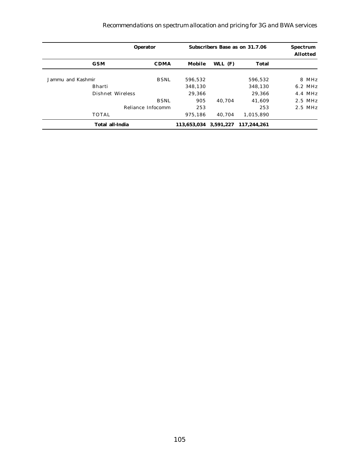### *Recommendations on spectrum allocation and pricing for 3G and BWA services*

| <b>Operator</b>                  |                       | <b>Subscribers Base as on 31.7.06</b> |             |           |
|----------------------------------|-----------------------|---------------------------------------|-------------|-----------|
| <b>GSM</b><br><b>CDMA</b>        | Mobile                | WLL $(F)$                             | Total       |           |
| Jammu and Kashmir<br><b>BSNL</b> | 596,532               |                                       | 596.532     | 8 MHz     |
| <b>Bharti</b>                    | 348.130               |                                       | 348.130     | 6.2 MHz   |
| Dishnet Wireless                 | 29,366                |                                       | 29.366      | 4.4 MHz   |
| <b>BSNL</b>                      | 905                   | 40.704                                | 41.609      | 2.5 MHz   |
| Reliance Infocomm                | 253                   |                                       | 253         | $2.5$ MHz |
| <b>TOTAL</b>                     | 975.186               | 40.704                                | 1,015,890   |           |
| <b>Total all-India</b>           | 113,653,034 3,591,227 |                                       | 117.244.261 |           |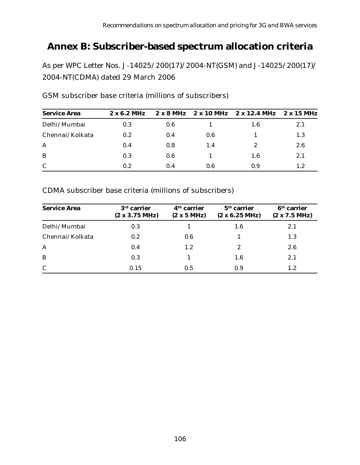# **Annex B: Subscriber-based spectrum allocation criteria**

As per WPC Letter Nos. J-14025/200(17)/2004-NT(GSM) and J-14025/200(17)/ 2004-NT(CDMA) dated 29 March 2006

| <b>Service Area</b> | $2 \times 6.2$ MHz |     |     | $2 \times 8$ MHz $2 \times 10$ MHz $2 \times 12.4$ MHz | 2 x 15 MHz |
|---------------------|--------------------|-----|-----|--------------------------------------------------------|------------|
| Delhi/Mumbai        | 0.3                | 0.6 |     | 1.6                                                    | 2.1        |
| Chennai/Kolkata     | 0.2                | 0.4 | 0.6 |                                                        | 1.3        |
| A                   | 0.4                | 0.8 | 1.4 | 2                                                      | 2.6        |
| B                   | 0.3                | 0.6 |     | 1.6                                                    | 2.1        |
| $\mathbf C$         | 0.2                | 0.4 | 0.6 | 0.9                                                    | 1.2        |

GSM subscriber base criteria (millions of subscribers)

CDMA subscriber base criteria (millions of subscribers)

| <b>Service Area</b> | $3rd$ carrier<br>(2 x 3.75 MHz) | $4th$ carrier<br>(2 x 5 MHz) | $5th$ carrier<br>$(2 \times 6.25 \text{ MHz})$ | $6th$ carrier<br>(2 x 7.5 MHz) |
|---------------------|---------------------------------|------------------------------|------------------------------------------------|--------------------------------|
| Delhi/Mumbai        | 0.3                             |                              | 1.6                                            | 2.1                            |
| Chennai/Kolkata     | 0.2                             | 0.6                          |                                                | 1.3                            |
| $\mathbf{A}$        | 0.4                             | 1.2                          | 2                                              | 2.6                            |
| B                   | 0.3                             |                              | 1.6                                            | 2.1                            |
| $\mathbf C$         | 0.15                            | 0.5                          | 0.9                                            | $1.2\,$                        |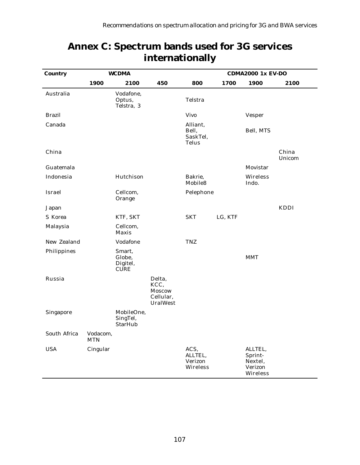| <b>Country</b>   | WCDMA                  |                                             |                                                                 | <b>CDMA2000 1x EV-DO</b>                      |         |                                                      |                 |
|------------------|------------------------|---------------------------------------------|-----------------------------------------------------------------|-----------------------------------------------|---------|------------------------------------------------------|-----------------|
|                  | 1900                   | 2100                                        | 450                                                             | 800                                           | 1700    | 1900                                                 | 2100            |
| Australia        |                        | Vodafone,<br>Optus,<br>Telstra, 3           |                                                                 | Telstra                                       |         |                                                      |                 |
| <b>Brazil</b>    |                        |                                             |                                                                 | <b>Vivo</b>                                   |         | <b>Vesper</b>                                        |                 |
| Canada           |                        |                                             |                                                                 | Alliant,<br>Bell,<br>SaskTel,<br><b>Telus</b> |         | Bell, MTS                                            |                 |
| China            |                        |                                             |                                                                 |                                               |         |                                                      | China<br>Unicom |
| Guatemala        |                        |                                             |                                                                 |                                               |         | Movistar                                             |                 |
| Indonesia        |                        | Hutchison                                   |                                                                 | Bakrie,<br>Mobile8                            |         | Wireless<br>Indo.                                    |                 |
| Israel           |                        | Cellcom,<br>Orange                          |                                                                 | Pelephone                                     |         |                                                      |                 |
| Japan            |                        |                                             |                                                                 |                                               |         |                                                      | KDDI            |
| S Korea          |                        | KTF, SKT                                    |                                                                 | <b>SKT</b>                                    | LG, KTF |                                                      |                 |
| Malaysia         |                        | Cellcom,<br>Maxis                           |                                                                 |                                               |         |                                                      |                 |
| New Zealand      |                        | Vodafone                                    |                                                                 | <b>TNZ</b>                                    |         |                                                      |                 |
| Philippines      |                        | Smart,<br>Globe,<br>Digitel,<br><b>CURE</b> |                                                                 |                                               |         | <b>MMT</b>                                           |                 |
| Russia           |                        |                                             | Delta,<br>KCC,<br><b>Moscow</b><br>Cellular,<br><b>UralWest</b> |                                               |         |                                                      |                 |
| <b>Singapore</b> |                        | MobileOne.<br>SingTel,<br><b>StarHub</b>    |                                                                 |                                               |         |                                                      |                 |
| South Africa     | Vodacom,<br><b>MTN</b> |                                             |                                                                 |                                               |         |                                                      |                 |
| <b>USA</b>       | Cingular               |                                             |                                                                 | ACS,<br>ALLTEL,<br>Verizon<br>Wireless        |         | ALLTEL,<br>Sprint-<br>Nextel,<br>Verizon<br>Wireless |                 |

# **Annex C: Spectrum bands used for 3G services internationally**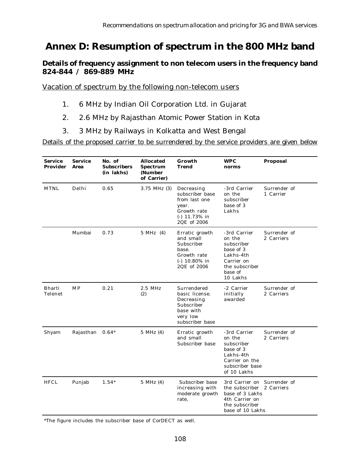## **Annex D: Resumption of spectrum in the 800 MHz band**

### **Details of frequency assignment to non telecom users in the frequency band 824-844 / 869-889 MHz**

Vacation of spectrum by the following non-telecom users

- 1. 6 MHz by Indian Oil Corporation Ltd. in Gujarat
- 2. 2.6 MHz by Rajasthan Atomic Power Station in Kota
- 3. 3 MHz by Railways in Kolkatta and West Bengal

Details of the proposed carrier to be surrendered by the service providers are given below

| <b>Service</b><br><b>Provider</b> | <b>Service</b><br>Area | No. of<br><b>Subscribers</b><br>(in lakhs) | <b>Allocated</b><br><b>Spectrum</b><br>(Number<br>of Carrier) | Growth<br>Trend                                                                                          | WPC<br>norms                                                                                                             | Proposal                   |
|-----------------------------------|------------------------|--------------------------------------------|---------------------------------------------------------------|----------------------------------------------------------------------------------------------------------|--------------------------------------------------------------------------------------------------------------------------|----------------------------|
| <b>MTNL</b>                       | Delhi                  | 0.65                                       | $3.75$ MHz $(3)$                                              | Decreasing<br>subscriber base<br>from last one<br>year.<br>Growth rate<br>$(-)$ 11.73% in<br>2QE of 2006 | -3rd Carrier<br>on the<br>subscriber<br>base of 3<br>Lakhs                                                               | Surrender of<br>1 Carrier  |
|                                   | Mumbai                 | 0.73                                       | 5 MHz (4)                                                     | Erratic growth<br>and small<br>Subscriber<br>base.<br>Growth rate<br>$(-)$ 10.80% in<br>2QE of 2006      | -3rd Carrier<br>on the<br>subscriber<br>base of 3<br>Lakhs-4th<br>Carrier on<br>the subscriber<br>base of<br>10 Lakhs    | Surrender of<br>2 Carriers |
| <b>Bharti</b><br>Telenet          | <b>MP</b>              | 0.21                                       | 2.5 MHz<br>(2)                                                | Surrendered<br>basic license.<br>Decreasing<br>Subscriber<br>base with<br>very low<br>subscriber base    | -2 Carrier<br>initially<br>awarded                                                                                       | Surrender of<br>2 Carriers |
| Shyam                             | Rajasthan              | $0.64*$                                    | 5 MHz (4)                                                     | Erratic growth<br>and small<br>Subscriber base                                                           | -3rd Carrier<br>on the<br>subscriber<br>base of 3<br>Lakhs-4th<br>Carrier on the<br>subscriber base<br>of 10 Lakhs       | Surrender of<br>2 Carriers |
| <b>HFCL</b>                       | Punjab                 | $1.54*$                                    | 5 MHz (4)                                                     | Subscriber base<br>increasing with<br>moderate growth<br>rate,                                           | 3rd Carrier on Surrender of<br>the subscriber<br>base of 3 Lakhs<br>4th Carrier on<br>the subscriber<br>base of 10 Lakhs | 2 Carriers                 |

\*The figure includes the subscriber base of CorDECT as well.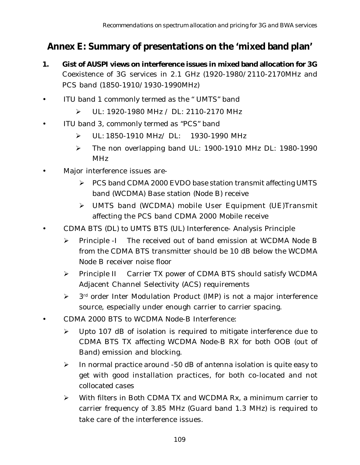# **Annex E: Summary of presentations on the 'mixed band plan'**

- **1. Gist of AUSPI views on interference issues in mixed band allocation for 3G** Coexistence of 3G services in 2.1 GHz (1920-1980/2110-2170MHz and PCS band (1850-1910/1930-1990MHz)
- ITU band 1 commonly termed as the "UMTS" band
	- $\triangleright$  UL: 1920-1980 MHz / DL: 2110-2170 MHz
- ITU band 3, commonly termed as "PCS" band
	- Ø UL: 1850-1910 MHz/ DL: 1930-1990 MHz
	- $\triangleright$  The non overlapping band UL: 1900-1910 MHz DL: 1980-1990 MHz
- Major interference issues are-
	- Ø PCS band CDMA 2000 EVDO base station transmit affecting UMTS band (WCDMA) Base station (Node B) receive
	- Ø UMTS band (WCDMA) mobile User Equipment (UE)Transmit affecting the PCS band CDMA 2000 Mobile receive
- CDMA BTS (DL) to UMTS BTS (UL) Interference- Analysis Principle
	- Ø Principle -I The received out of band emission at WCDMA Node B from the CDMA BTS transmitter should be 10 dB below the WCDMA Node B receiver noise floor
	- Ø Principle II Carrier TX power of CDMA BTS should satisfy WCDMA Adjacent Channel Selectivity (ACS) requirements
	- $\triangleright$  3<sup>rd</sup> order Inter Modulation Product (IMP) is not a major interference source, especially under enough carrier to carrier spacing.
- CDMA 2000 BTS to WCDMA Node-B Interference:
	- $\triangleright$  Upto 107 dB of isolation is required to mitigate interference due to CDMA BTS TX affecting WCDMA Node-B RX for both OOB (out of Band) emission and blocking.
	- $\triangleright$  In normal practice around -50 dB of antenna isolation is quite easy to get with good installation practices, for both co-located and not collocated cases
	- $\triangleright$  With filters in Both CDMA TX and WCDMA Rx, a minimum carrier to carrier frequency of 3.85 MHz (Guard band 1.3 MHz) is required to take care of the interference issues.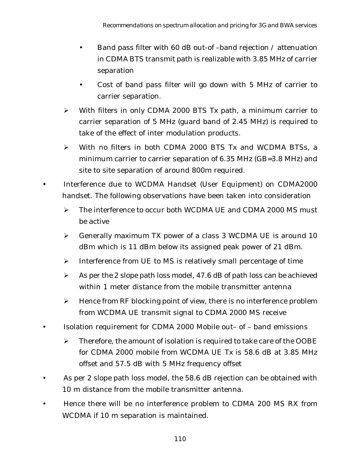- Band pass filter with 60 dB out-of –band rejection / attenuation in CDMA BTS transmit path is realizable with 3.85 MHz of carrier separation
- Cost of band pass filter will go down with 5 MHz of carrier to carrier separation.
- $\triangleright$  With filters in only CDMA 2000 BTS Tx path, a minimum carrier to carrier separation of 5 MHz (guard band of 2.45 MHz) is required to take of the effect of inter modulation products.
- Ø With no filters in both CDMA 2000 BTS Tx and WCDMA BTSs, a minimum carrier to carrier separation of 6.35 MHz (GB=3.8 MHz) and site to site separation of around 800m required.
- Interference due to WCDMA Handset (User Equipment) on CDMA2000 handset. The following observations have been taken into consideration
	- $\triangleright$  The interference to occur both WCDMA UE and CDMA 2000 MS must be active
	- Ø Generally maximum TX power of a class 3 WCDMA UE is around 10 dBm which is 11 dBm below its assigned peak power of 21 dBm.
	- $\triangleright$  Interference from UE to MS is relatively small percentage of time
	- $\triangleright$  As per the 2 slope path loss model, 47.6 dB of path loss can be achieved within 1 meter distance from the mobile transmitter antenna
	- $\triangleright$  Hence from RF blocking point of view, there is no interference problem from WCDMA UE transmit signal to CDMA 2000 MS receive
- Isolation requirement for CDMA 2000 Mobile out– of band emissions
	- $\triangleright$  Therefore, the amount of isolation is required to take care of the OOBE for CDMA 2000 mobile from WCDMA UE Tx is 58.6 dB at 3.85 MHz offset and 57.5 dB with 5 MHz frequency offset
- As per 2 slope path loss model, the 58.6 dB rejection can be obtained with 10 m distance from the mobile transmitter antenna.
- Hence there will be no interference problem to CDMA 200 MS RX from WCDMA if 10 m separation is maintained.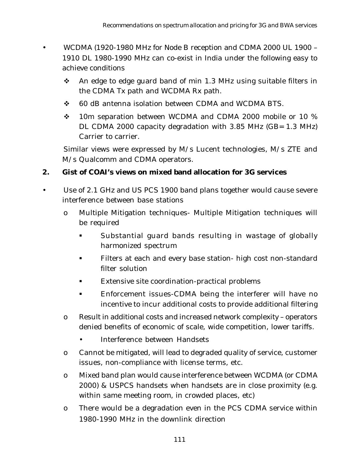- WCDMA (1920-1980 MHz for Node B reception and CDMA 2000 UL 1900 1910 DL 1980-1990 MHz can co-exist in India under the following easy to achieve conditions
	- $\cdot$  An edge to edge guard band of min 1.3 MHz using suitable filters in the CDMA Tx path and WCDMA Rx path.
	- v 60 dB antenna isolation between CDMA and WCDMA BTS.
	- $\div$  10m separation between WCDMA and CDMA 2000 mobile or 10 % DL CDMA 2000 capacity degradation with 3.85 MHz (GB= 1.3 MHz) Carrier to carrier.

Similar views were expressed by M/s Lucent technologies, M/s ZTE and M/s Qualcomm and CDMA operators.

### **2. Gist of COAI's views on mixed band allocation for 3G services**

- Use of 2.1 GHz and US PCS 1900 band plans together would cause severe interference between base stations
	- o Multiple Mitigation techniques- Multiple Mitigation techniques will be required
		- § Substantial guard bands resulting in wastage of globally harmonized spectrum
		- **Filters at each and every base station- high cost non-standard** filter solution
		- Extensive site coordination-practical problems
		- Enforcement issues-CDMA being the interferer will have no incentive to incur additional costs to provide additional filtering
	- o Result in additional costs and increased network complexity operators denied benefits of economic of scale, wide competition, lower tariffs.
		- Interference between Handsets
	- o Cannot be mitigated, will lead to degraded quality of service, customer issues, non-compliance with license terms, etc.
	- o Mixed band plan would cause interference between WCDMA (or CDMA 2000) & USPCS handsets when handsets are in close proximity (e.g. within same meeting room, in crowded places, etc)
	- o There would be a degradation even in the PCS CDMA service within 1980-1990 MHz in the downlink direction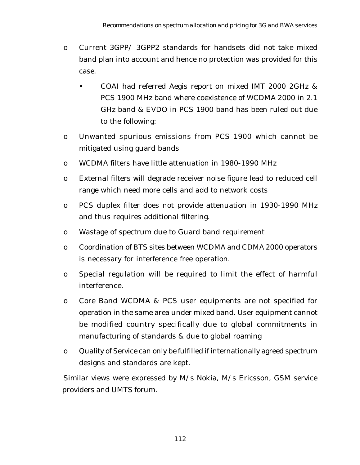- o Current 3GPP/ 3GPP2 standards for handsets did not take mixed band plan into account and hence no protection was provided for this case.
	- COAI had referred Aegis report on mixed IMT 2000 2GHz & PCS 1900 MHz band where coexistence of WCDMA 2000 in 2.1 GHz band & EVDO in PCS 1900 band has been ruled out due to the following:
- o Unwanted spurious emissions from PCS 1900 which cannot be mitigated using guard bands
- o WCDMA filters have little attenuation in 1980-1990 MHz
- o External filters will degrade receiver noise figure lead to reduced cell range which need more cells and add to network costs
- o PCS duplex filter does not provide attenuation in 1930-1990 MHz and thus requires additional filtering.
- o Wastage of spectrum due to Guard band requirement
- o Coordination of BTS sites between WCDMA and CDMA 2000 operators is necessary for interference free operation.
- o Special regulation will be required to limit the effect of harmful interference.
- o Core Band WCDMA & PCS user equipments are not specified for operation in the same area under mixed band. User equipment cannot be modified country specifically due to global commitments in manufacturing of standards & due to global roaming
- o Quality of Service can only be fulfilled if internationally agreed spectrum designs and standards are kept.

Similar views were expressed by M/s Nokia, M/s Ericsson, GSM service providers and UMTS forum.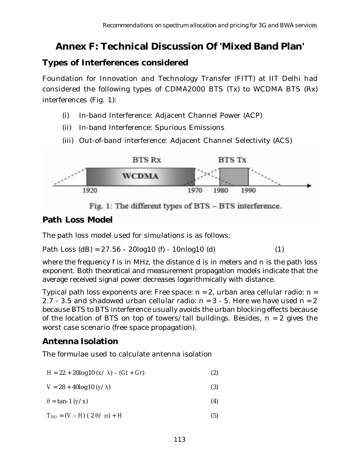# **Annex F: Technical Discussion Of 'Mixed Band Plan'**

### **Types of Interferences considered**

Foundation for Innovation and Technology Transfer (FITT) at IIT Delhi had considered the following types of CDMA2000 BTS (Tx) to WCDMA BTS (Rx) interferences (Fig. 1):

- (i) In-band Interference: Adjacent Channel Power (ACP)
- (ii) In-band Interference: Spurious Emissions
- (iii) Out-of-band interference: Adjacent Channel Selectivity (ACS)



Fig. 1: The different types of BTS - BTS interference.

### **Path Loss Model**

The path loss model used for simulations is as follows:

Path Loss  $(dB) = 27.56 - 20\log 10$  (f)  $- 10\log 10$  (d) (1)

where the frequency f is in MHz, the distance d is in meters and n is the path loss exponent. Both theoretical and measurement propagation models indicate that the average received signal power decreases logarithmically with distance.

Typical path loss exponents are: Free space:  $n = 2$ , urban area cellular radio:  $n =$ 2.7 - 3.5 and shadowed urban cellular radio:  $n = 3 - 5$ . Here we have used  $n = 2$ because BTS to BTS interference usually avoids the urban blocking effects because of the location of BTS on top of towers/tall buildings. Besides,  $n = 2$  gives the worst case scenario (free space propagation).

## **Antenna Isolation**

The formulae used to calculate antenna isolation

| $H = 22 + 20\log 10 \ (x/\lambda) - (Gt + Gr)$ |  |
|------------------------------------------------|--|
|                                                |  |

- $V = 28 + 40\log 10 \ (y/\lambda)$  (3)
- $\theta = \tan^{-1} (y/x)$  (4)
- $T_{ISO} = (V H)(2 \theta / \pi) + H$  (5)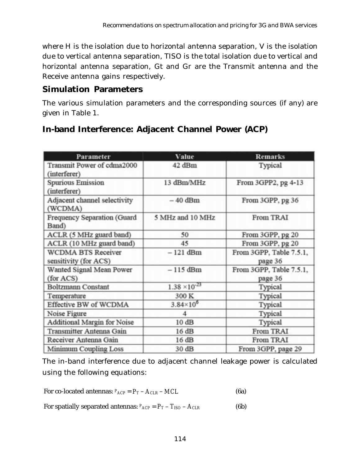where H is the isolation due to horizontal antenna separation, V is the isolation due to vertical antenna separation, TISO is the total isolation due to vertical and horizontal antenna separation, Gt and Gr are the Transmit antenna and the Receive antenna gains respectively.

### **Simulation Parameters**

The various simulation parameters and the corresponding sources (if any) are given in Table 1.

| Parameter                                          | Value                  | <b>Remarks</b>                     |
|----------------------------------------------------|------------------------|------------------------------------|
| Transmit Power of cdma2000<br>(interferer)         | 42 dBm                 | Typical                            |
| <b>Spurious Emission</b><br>(interferer)           | 13 dBm/MHz             | From 3GPP2, pg 4-13                |
| Adjacent channel selectivity<br>(WCDMA)            | $-40$ dBm              | From 3GPP, pg 36                   |
| Frequency Separation (Guard<br>Band)               | 5 MHz and 10 MHz       | <b>From TRAI</b>                   |
| ACLR (5 MHz guard band)                            | 50                     | From 3GPP, pg 20                   |
| ACLR (10 MHz guard band)                           | 45                     | From 3GPP, pg 20                   |
| <b>WCDMA BTS Receiver</b><br>sensitivity (for ACS) | $-121$ dBm             | From 3GPP, Table 7.5.1,<br>page 36 |
| Wanted Signal Mean Power<br>(for ACS)              | $-115$ dBm             | From 3GPP, Table 7.5.1,<br>page 36 |
| <b>Boltzmann Constant</b>                          | $1.38 \times 10^{-23}$ | Typical                            |
| Temperature                                        | 300 K                  | Typical                            |
| Effective BW of WCDMA                              | $3.84 \times 10^{6}$   | Typical                            |
| Noise Figure                                       | $\overline{4}$         | Typical                            |
| Additional Margin for Noise                        | 10dB                   | Typical                            |
| Transmitter Antenna Gain                           | 16 dB                  | <b>From TRAI</b>                   |
| Receiver Antenna Gain                              | 16dB                   | <b>From TRAI</b>                   |
| Minimum Coupling Loss                              | 30 dB                  | From 3GPP, page 29                 |

## **In-band Interference: Adjacent Channel Power (ACP)**

The in-band interference due to adjacent channel leakage power is calculated using the following equations:

For co-located antennas: 
$$
P_{ACP} = P_T - A_{CLR} - MCL
$$
 (6a)

For spatially separated antennas:  $P_{ACP} = P_T - T_{ISO} - A_{CLR}$  (6b)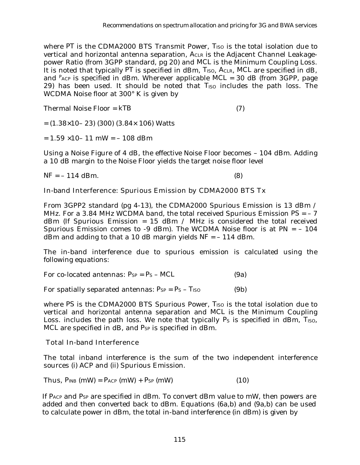where PT is the CDMA2000 BTS Transmit Power, *T<sub>ISO</sub>* is the total isolation due to vertical and horizontal antenna separation, *ACLR* is the Adjacent Channel Leakagepower Ratio (from 3GPP standard, pg 20) and *MCL* is the Minimum Coupling Loss. It is noted that typically *PT* is specified in dBm, *TISO*, *ACLR*, *MCL* are specified in dB, and *PACP* is specified in dBm. Wherever applicable *MCL* = 30 dB (from 3GPP, page 29) has been used. It should be noted that *TISO* includes the path loss. The WCDMA Noise floor at 300° K is given by

Thermal Noise Floor = *kTB* (7)

 $= (1.38 \times 10 - 23)$  (300) (3.84 $\times$  106) Watts

 $= 1.59 \times 10 - 11$  mW  $= -108$  dBm

Using a Noise Figure of 4 dB, the effective Noise Floor becomes – 104 dBm. Adding a 10 dB margin to the Noise Floor yields the target noise floor level

 $NF = -114$  dBm. (8)

In-band Interference: Spurious Emission by CDMA2000 BTS Tx

From 3GPP2 standard (pg 4-13), the CDMA2000 Spurious Emission is 13 dBm / MHz. For a 3.84 MHz WCDMA band, the total received Spurious Emission *PS* = – 7 dBm (If Spurious Emission = 15 dBm / MHz is considered the total received Spurious Emission comes to -9 dBm). The WCDMA Noise floor is at  $PN = -104$ dBm and adding to that a 10 dB margin yields *NF* = – 114 dBm.

The in-band interference due to spurious emission is calculated using the following equations:

For co-located antennas:  $P_{SP} = P_S - MCL$  (9a)

For spatially separated antennas:  $P_{SP} = P_S - T_{ISO}$  (9b)

where *PS* is the CDMA2000 BTS Spurious Power, *T<sub>ISO</sub>* is the total isolation due to vertical and horizontal antenna separation and *MCL* is the Minimum Coupling Loss. includes the path loss. We note that typically  $P_S$  is specified in dBm,  $T_{ISO}$ , *MCL* are specified in dB, and *PSP* is specified in dBm.

Total In-band Interference

The total inband interference is the sum of the two independent interference sources (i) ACP and (ii) Spurious Emission.

Thus, 
$$
P_{INB} \text{ (mW)} = P_{ACP} \text{ (mW)} + P_{SP} \text{ (mW)}
$$
 (10)

If *PACP* and *PSP* are specified in dBm. To convert dBm value to mW, then powers are added and then converted back to dBm. Equations (6a,b) and (9a,b) can be used to calculate power in dBm, the total in-band interference (in dBm) is given by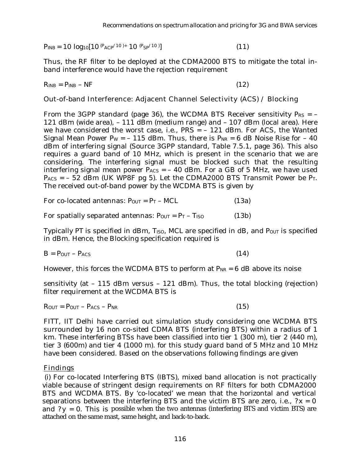$P_{INB} = 10 \log_{10}[10^{(P_{ACP}/10)+} 10^{(P_{SP}/10)}]$  $(11)$ 

Thus, the RF filter to be deployed at the CDMA2000 BTS to mitigate the total inband interference would have the rejection requirement

 $R_{I\!N\!B} = P_{I\!N\!B} - NF$  (12)

Out-of-band Interference: Adjacent Channel Selectivity (ACS) / Blocking

From the 3GPP standard (page 36), the WCDMA BTS Receiver sensitivity  $P_{RS} = -$ 121 dBm (wide area), – 111 dBm (medium range) and – 107 dBm (local area). Here we have considered the worst case, i.e., *PRS* = - 121 dBm. For ACS, the Wanted Signal Mean Power  $P_W = -115$  dBm. Thus, there is  $P_{NR} = 6$  dB Noise Rise for  $-40$ dBm of interfering signal (Source 3GPP standard, Table 7.5.1, page 36). This also requires a guard band of 10 MHz, which is present in the scenario that we are considering. The interfering signal must be blocked such that the resulting interfering signal mean power  $P_{ACS} = -40$  dBm. For a GB of 5 MHz, we have used  $P_{ACS} = -52$  dBm (UK WP8F pg 5). Let the CDMA2000 BTS Transmit Power be  $P_T$ . The received out-of-band power by the WCDMA BTS is given by

For co-located antennas:  $P_{OUT} = P_T - MCL$  (13a)

For spatially separated antennas:  $P_{OUT} = P_T - T_{ISO}$  (13b)

Typically *PT* is specified in dBm, *TISO*, *MCL* are specified in dB, and *POUT* is specified in dBm. Hence, the Blocking specification required is

 $B = P_{OUT} - P_{ACS}$  (14)

However, this forces the WCDMA BTS to perform at  $P_{NR} = 6$  dB above its noise

sensitivity (at – 115 dBm versus – 121 dBm). Thus, the total blocking (rejection) filter requirement at the WCDMA BTS is

$$
R_{OUT} = P_{OUT} - P_{ACS} - P_{NR}
$$
 (15)

FITT, IIT Delhi have carried out simulation study considering one WCDMA BTS surrounded by 16 non co-sited CDMA BTS (interfering BTS) within a radius of 1 km. These interfering BTSs have been classified into tier 1 (300 m), tier 2 (440 m), tier 3 (600m) and tier 4 (1000 m). for this study guard band of 5 MHz and 10 MHz have been considered. Based on the observations following findings are given

#### **Findings**

 (i) For co-located Interfering BTS (IBTS), mixed band allocation is not practically viable because of stringent design requirements on RF filters for both CDMA2000 BTS and WCDMA BTS. By 'co-located' we mean that the horizontal and vertical separations between the interfering BTS and the victim BTS are zero, i.e.,  $2x = 0$ and  $?y = 0$ . This is possible when the two antennas (interfering BTS and victim BTS) are attached on the same mast, same height, and back-to-back.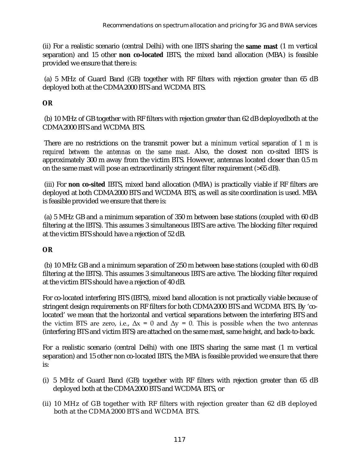(ii) For a realistic scenario (central Delhi) with one IBTS sharing the **same mast** (1 m vertical separation) and 15 other **non co-located** IBTS, the mixed band allocation (MBA) is feasible provided we ensure that there is:

 (a) 5 MHz of Guard Band (GB) together with RF filters with rejection greater than 65 dB deployed both at the CDMA2000 BTS and WCDMA BTS.

### **OR**

 (b) 10 MHz of GB together with RF filters with rejection greater than 62 dB deployedboth at the CDMA2000 BTS and WCDMA BTS.

 There are no restrictions on the transmit power but a *minimum vertical separation of 1 m is required between the antennas on the same mast*. Also, the closest non co-sited IBTS is approximately 300 m away from the victim BTS. However, antennas located closer than 0.5 m on the same mast will pose an extraordinarily stringent filter requirement (>65 dB).

 (iii) For **non co-sited** IBTS, mixed band allocation (MBA) is practically viable if RF filters are deployed at both CDMA2000 BTS and WCDMA BTS, as well as site coordination is used. MBA is feasible provided we ensure that there is:

 (a) 5 MHz GB and a minimum separation of 350 m between base stations (coupled with 60 dB filtering at the IBTS). This assumes 3 simultaneous IBTS are active. The blocking filter required at the victim BTS should have a rejection of 52 dB.

### **OR**

 (b) 10 MHz GB and a minimum separation of 250 m between base stations (coupled with 60 dB filtering at the IBTS). This assumes 3 simultaneous IBTS are active. The blocking filter required at the victim BTS should have a rejection of 40 dB.

For co-located interfering BTS (IBTS), mixed band allocation is not practically viable because of stringent design requirements on RF filters for both CDMA2000 BTS and WCDMA BTS. By 'colocated' we mean that the horizontal and vertical separations between the interfering BTS and the victim BTS are zero, i.e.,  $\Delta x = 0$  and  $\Delta y = 0$ . This is possible when the two antennas (interfering BTS and victim BTS) are attached on the same mast, same height, and back-to-back.

For a realistic scenario (central Delhi) with one IBTS sharing the same mast (1 m vertical separation) and 15 other non co-located IBTS, the MBA is feasible provided we ensure that there is:

- (i) 5 MHz of Guard Band (GB) together with RF filters with rejection greater than 65 dB deployed both at the CDMA2000 BTS and WCDMA BTS, or
- (ii) 10 MHz of GB together with RF filters with rejection greater than 62 dB deployed both at the CDMA2000 BTS and WCDMA BTS.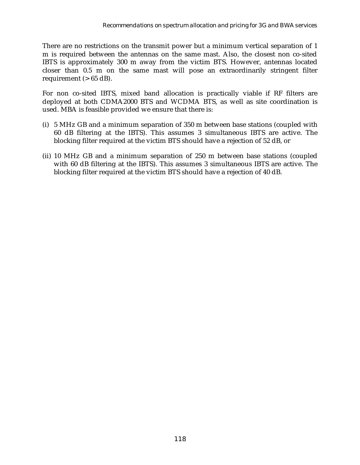There are no restrictions on the transmit power but a minimum vertical separation of 1 m is required between the antennas on the same mast. Also, the closest non co-sited IBTS is approximately 300 m away from the victim BTS. However, antennas located closer than 0.5 m on the same mast will pose an extraordinarily stringent filter requirement  $(> 65$  dB).

For non co-sited IBTS, mixed band allocation is practically viable if RF filters are deployed at both CDMA2000 BTS and WCDMA BTS, as well as site coordination is used. MBA is feasible provided we ensure that there is:

- (i) 5 MHz GB and a minimum separation of 350 m between base stations (coupled with 60 dB filtering at the IBTS). This assumes 3 simultaneous IBTS are active. The blocking filter required at the victim BTS should have a rejection of 52 dB, or
- (ii) 10 MHz GB and a minimum separation of 250 m between base stations (coupled with 60 dB filtering at the IBTS). This assumes 3 simultaneous IBTS are active. The blocking filter required at the victim BTS should have a rejection of 40 dB.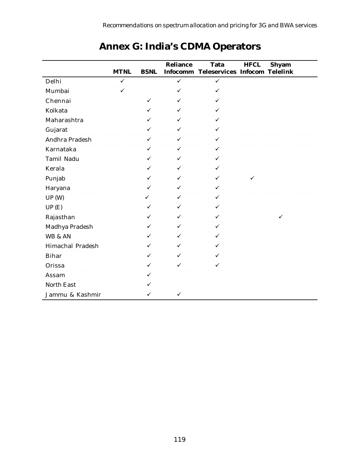|                         | <b>MTNL</b> | <b>BSNL</b> | <b>Reliance</b> | <b>Tata</b><br>Infocomm Teleservices Infocom Telelink | <b>HFCL</b> | <b>Shyam</b> |
|-------------------------|-------------|-------------|-----------------|-------------------------------------------------------|-------------|--------------|
| Delhi                   | ✓           |             | ✓               | ✓                                                     |             |              |
| Mumbai                  |             |             |                 |                                                       |             |              |
| Chennai                 |             |             |                 |                                                       |             |              |
| Kolkata                 |             |             |                 |                                                       |             |              |
| Maharashtra             |             |             |                 |                                                       |             |              |
| Gujarat                 |             |             |                 |                                                       |             |              |
| Andhra Pradesh          |             |             |                 |                                                       |             |              |
| Karnataka               |             |             |                 |                                                       |             |              |
| <b>Tamil Nadu</b>       |             |             |                 |                                                       |             |              |
| Kerala                  |             |             |                 |                                                       |             |              |
| Punjab                  |             |             |                 |                                                       |             |              |
| Haryana                 |             |             |                 |                                                       |             |              |
| UP(W)                   |             |             |                 |                                                       |             |              |
| UP(E)                   |             |             |                 |                                                       |             |              |
| Rajasthan               |             |             |                 |                                                       |             |              |
| Madhya Pradesh          |             |             |                 |                                                       |             |              |
| WB & AN                 |             |             |                 |                                                       |             |              |
| <b>Himachal Pradesh</b> |             |             |                 |                                                       |             |              |
| <b>Bihar</b>            |             |             |                 |                                                       |             |              |
| Orissa                  |             |             |                 |                                                       |             |              |
| Assam                   |             |             |                 |                                                       |             |              |
| <b>North East</b>       |             |             |                 |                                                       |             |              |
| Jammu & Kashmir         |             |             |                 |                                                       |             |              |

# **Annex G: India's CDMA Operators**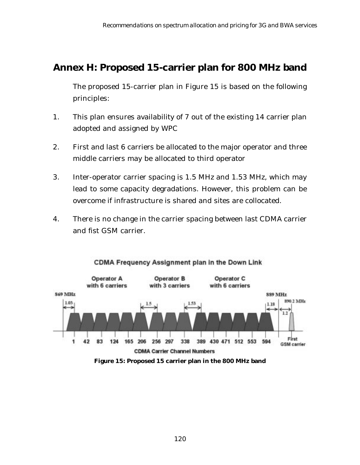# **Annex H: Proposed 15-carrier plan for 800 MHz band**

The proposed 15-carrier plan in Figure 15 is based on the following principles:

- 1. This plan ensures availability of 7 out of the existing 14 carrier plan adopted and assigned by WPC
- 2. First and last 6 carriers be allocated to the major operator and three middle carriers may be allocated to third operator
- 3. Inter-operator carrier spacing is 1.5 MHz and 1.53 MHz, which may lead to some capacity degradations. However, this problem can be overcome if infrastructure is shared and sites are collocated.
- 4. There is no change in the carrier spacing between last CDMA carrier and fist GSM carrier.



#### CDMA Frequency Assignment plan in the Down Link

**Figure 15: Proposed 15 carrier plan in the 800 MHz band**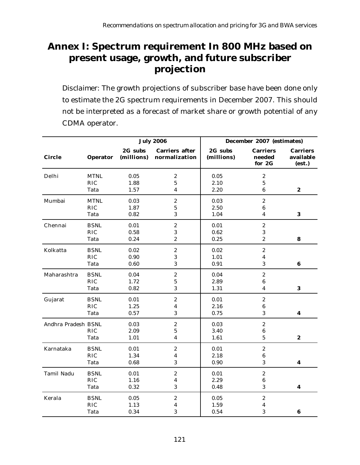# **Annex I: Spectrum requirement In 800 MHz based on present usage, growth, and future subscriber projection**

*Disclaimer*: The growth projections of subscriber base have been done only to estimate the 2G spectrum requirements in December 2007. This should not be interpreted as a forecast of market share or growth potential of any CDMA operator.

|                     |             |                       | <b>July 2006</b>                       | December 2007 (estimates) |                                     |                                        |  |
|---------------------|-------------|-----------------------|----------------------------------------|---------------------------|-------------------------------------|----------------------------------------|--|
| <b>Circle</b>       | Operator    | 2G subs<br>(millions) | <b>Carriers after</b><br>normalization | 2G subs<br>(millions)     | <b>Carriers</b><br>needed<br>for 2G | <b>Carriers</b><br>available<br>(est.) |  |
| Delhi               | <b>MTNL</b> | 0.05                  | $\boldsymbol{2}$                       | 0.05                      | $\boldsymbol{2}$                    |                                        |  |
|                     | <b>RIC</b>  | 1.88                  | $\mathbf 5$                            | 2.10                      | $\bf 5$                             |                                        |  |
|                     | Tata        | 1.57                  | $\boldsymbol{4}$                       | 2.20                      | $\bf 6$                             | $\boldsymbol{2}$                       |  |
| Mumbai              | <b>MTNL</b> | 0.03                  | $\boldsymbol{2}$                       | 0.03                      | $\boldsymbol{2}$                    |                                        |  |
|                     | <b>RIC</b>  | 1.87                  | $\mathbf 5$                            | 2.50                      | 6                                   |                                        |  |
|                     | Tata        | 0.82                  | 3                                      | 1.04                      | 4                                   | $\bf{3}$                               |  |
| Chennai             | <b>BSNL</b> | 0.01                  | $\boldsymbol{2}$                       | 0.01                      | $\boldsymbol{2}$                    |                                        |  |
|                     | <b>RIC</b>  | 0.58                  | 3                                      | 0.62                      | 3                                   |                                        |  |
|                     | Tata        | 0.24                  | $\boldsymbol{2}$                       | 0.25                      | $\boldsymbol{2}$                    | 8                                      |  |
| Kolkatta            | <b>BSNL</b> | 0.02                  | $\boldsymbol{2}$                       | 0.02                      | $\boldsymbol{2}$                    |                                        |  |
|                     | <b>RIC</b>  | 0.90                  | 3                                      | 1.01                      | 4                                   |                                        |  |
|                     | Tata        | 0.60                  | 3                                      | 0.91                      | $\bf 3$                             | 6                                      |  |
| Maharashtra         | <b>BSNL</b> | 0.04                  | $\boldsymbol{2}$                       | 0.04                      | $\boldsymbol{2}$                    |                                        |  |
|                     | <b>RIC</b>  | 1.72                  | $\bf 5$                                | 2.89                      | $\bf 6$                             |                                        |  |
|                     | Tata        | 0.82                  | 3                                      | 1.31                      | 4                                   | 3                                      |  |
| Gujarat             | <b>BSNL</b> | 0.01                  | $\boldsymbol{2}$                       | 0.01                      | $\boldsymbol{2}$                    |                                        |  |
|                     | <b>RIC</b>  | 1.25                  | 4                                      | 2.16                      | $\bf 6$                             |                                        |  |
|                     | Tata        | 0.57                  | 3                                      | 0.75                      | 3                                   | $\boldsymbol{4}$                       |  |
| Andhra Pradesh BSNL |             | 0.03                  | $\boldsymbol{2}$                       | 0.03                      | $\boldsymbol{2}$                    |                                        |  |
|                     | <b>RIC</b>  | 2.09                  | $\bf 5$                                | 3.40                      | $\bf 6$                             |                                        |  |
|                     | Tata        | 1.01                  | $\boldsymbol{4}$                       | 1.61                      | $\bf 5$                             | $\boldsymbol{2}$                       |  |
| Karnataka           | <b>BSNL</b> | 0.01                  | $\boldsymbol{2}$                       | 0.01                      | $\boldsymbol{2}$                    |                                        |  |
|                     | <b>RIC</b>  | 1.34                  | $\boldsymbol{4}$                       | 2.18                      | 6                                   |                                        |  |
|                     | Tata        | 0.68                  | 3                                      | 0.90                      | 3                                   | 4                                      |  |
| Tamil Nadu          | <b>BSNL</b> | 0.01                  | $\boldsymbol{2}$                       | 0.01                      | $\boldsymbol{2}$                    |                                        |  |
|                     | <b>RIC</b>  | 1.16                  | $\overline{\mathbf{4}}$                | 2.29                      | 6                                   |                                        |  |
|                     | Tata        | 0.32                  | 3                                      | 0.48                      | 3                                   | 4                                      |  |
| Kerala              | <b>BSNL</b> | 0.05                  | $\boldsymbol{2}$                       | 0.05                      | $\boldsymbol{2}$                    |                                        |  |
|                     | <b>RIC</b>  | 1.13                  | $\boldsymbol{4}$                       | 1.59                      | 4                                   |                                        |  |
|                     | Tata        | 0.34                  | 3                                      | 0.54                      | 3                                   | 6                                      |  |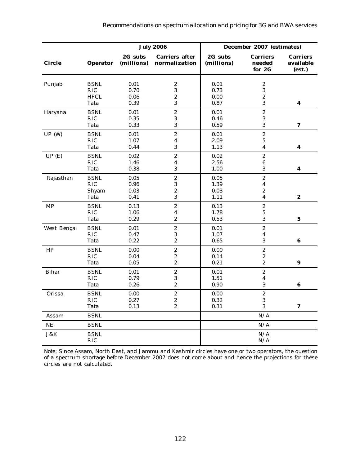|               |                     |                       | <b>July 2006</b>                       | December 2007 (estimates) |                                     |                                        |
|---------------|---------------------|-----------------------|----------------------------------------|---------------------------|-------------------------------------|----------------------------------------|
| <b>Circle</b> | Operator            | 2G subs<br>(millions) | <b>Carriers after</b><br>normalization | 2G subs<br>(millions)     | <b>Carriers</b><br>needed<br>for 2G | <b>Carriers</b><br>available<br>(est.) |
| Punjab        | <b>BSNL</b>         | 0.01                  | $\boldsymbol{2}$                       | 0.01                      | $\boldsymbol{2}$                    |                                        |
|               | <b>RIC</b>          | 0.70                  | 3                                      | 0.73                      | 3                                   |                                        |
|               | <b>HFCL</b><br>Tata | 0.06<br>0.39          | $\boldsymbol{2}$<br>3                  | 0.00<br>0.87              | $\boldsymbol{2}$<br>3               | $\boldsymbol{4}$                       |
| Haryana       | <b>BSNL</b>         | 0.01                  | $\boldsymbol{2}$                       | 0.01                      | $\boldsymbol{2}$                    |                                        |
|               | <b>RIC</b>          | 0.35                  | $\bf 3$                                | 0.46                      | $\bf 3$                             |                                        |
|               | Tata                | 0.33                  | 3                                      | 0.59                      | 3                                   | 7                                      |
| UP(W)         | <b>BSNL</b>         | 0.01                  | $\boldsymbol{2}$                       | 0.01                      | $\boldsymbol{2}$                    |                                        |
|               | <b>RIC</b>          | 1.07                  | $\overline{\mathbf{4}}$                | 2.09                      | $\bf 5$                             |                                        |
|               | Tata                | 0.44                  | 3                                      | 1.13                      | $\overline{\mathbf{4}}$             | $\overline{\mathbf{4}}$                |
| UP(E)         | <b>BSNL</b>         | 0.02                  | $\overline{c}$                         | 0.02                      | $\overline{c}$                      |                                        |
|               | <b>RIC</b>          | 1.46                  | 4                                      | 2.56                      | $\bf 6$                             |                                        |
|               | Tata                | 0.38                  | 3                                      | 1.00                      | 3                                   | $\boldsymbol{4}$                       |
| Rajasthan     | <b>BSNL</b>         | $0.05\,$              | $\boldsymbol{2}$                       | 0.05                      | $\boldsymbol{2}$                    |                                        |
|               | RIC                 | 0.96                  | 3                                      | 1.39                      | $\boldsymbol{4}$                    |                                        |
|               | Shyam               | 0.03                  | $\overline{\mathbf{c}}$                | 0.03                      | $\boldsymbol{2}$                    |                                        |
|               | Tata                | 0.41                  | 3                                      | 1.11                      | 4                                   | $\boldsymbol{2}$                       |
| <b>MP</b>     | <b>BSNL</b>         | 0.13                  | $\boldsymbol{2}$                       | 0.13                      | $\boldsymbol{2}$                    |                                        |
|               | <b>RIC</b>          | 1.06                  | 4                                      | 1.78                      | $\bf 5$                             |                                        |
|               | Tata                | 0.29                  | $\boldsymbol{2}$                       | 0.53                      | 3                                   | $\bf{5}$                               |
| West Bengal   | <b>BSNL</b>         | 0.01                  | $\boldsymbol{2}$                       | 0.01                      | $\boldsymbol{2}$                    |                                        |
|               | <b>RIC</b>          | 0.47                  | 3                                      | 1.07                      | 4                                   |                                        |
|               | Tata                | 0.22                  | $\boldsymbol{2}$                       | 0.65                      | 3                                   | 6                                      |
| HP            | <b>BSNL</b>         | 0.00                  | $\boldsymbol{2}$                       | 0.00                      | $\boldsymbol{2}$                    |                                        |
|               | <b>RIC</b>          | 0.04                  | $\boldsymbol{2}$                       | 0.14                      | $\boldsymbol{2}$                    |                                        |
|               | Tata                | 0.05                  | $\boldsymbol{2}$                       | 0.21                      | $\boldsymbol{2}$                    | 9                                      |
| <b>Bihar</b>  | <b>BSNL</b>         | $0.01\,$              | $\boldsymbol{2}$                       | 0.01                      | $\boldsymbol{2}$                    |                                        |
|               | <b>RIC</b>          | 0.79                  | $\bf 3$                                | 1.51                      | 4                                   |                                        |
|               | Tata                | 0.26                  | $\boldsymbol{2}$                       | 0.90                      | $\sqrt{3}$                          | 6                                      |
| Orissa        | <b>BSNL</b>         | 0.00                  | $\boldsymbol{2}$                       | 0.00                      | $\overline{c}$                      |                                        |
|               | <b>RIC</b>          | 0.27                  | $\boldsymbol{2}$                       | 0.32                      | $\bf 3$                             |                                        |
|               | Tata                | 0.13                  | $\boldsymbol{2}$                       | 0.31                      | 3                                   | 7                                      |
| Assam         | <b>BSNL</b>         |                       |                                        |                           | N/A                                 |                                        |
| NE            | <b>BSNL</b>         |                       |                                        |                           | N/A                                 |                                        |
| J&K           | <b>BSNL</b>         |                       |                                        |                           | N/A                                 |                                        |
|               | <b>RIC</b>          |                       |                                        |                           | N/A                                 |                                        |

*Note*: Since Assam, North East, and Jammu and Kashmir circles have one or two operators, the question of a spectrum shortage before December 2007 does not come about and hence the projections for these circles are not calculated.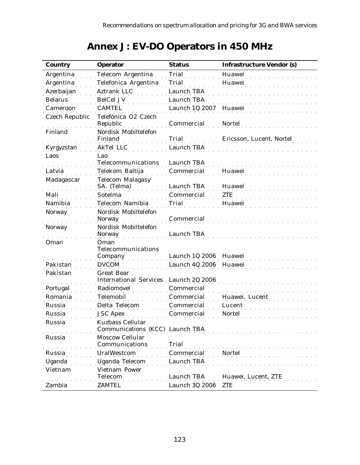| <b>Annex J: EV-DO Operators in 450 MHz</b> |  |  |
|--------------------------------------------|--|--|
|--------------------------------------------|--|--|

| <b>Country</b>        | <b>Operator</b>                       | <b>Status</b>     | <b>Infrastructure Vendor (s)</b> |
|-----------------------|---------------------------------------|-------------------|----------------------------------|
| Argentina             | Telecom Argentina                     | <b>Trial</b>      | Huawei                           |
| Argentina             | Telefonica Argentina                  | <b>Trial</b>      | Huawei                           |
| Azerbaijan            | Aztrank LLC                           | Launch TBA        |                                  |
| <b>Belarus</b>        | <b>BelCel JV</b>                      | Launch TBA        |                                  |
| Cameroon              | <b>CAMTEL</b>                         | Launch 1Q 2007    | Huawei                           |
| <b>Czech Republic</b> | Telefónica O2 Czech<br>Republic       | Commercial        | <b>Nortel</b>                    |
| Finland               | Nordisk Mobiltelefon                  |                   |                                  |
|                       | Finland                               | Trial             | Ericsson, Lucent, Nortel         |
| Kyrgyzstan            | <b>AkTel LLC</b>                      | <b>Launch TBA</b> |                                  |
| Laos                  | Lao<br>Telecommunications             | Launch TBA        |                                  |
| Latvia                | Telekom Baltija                       | Commercial        | Huawei                           |
| Madagascar            | <b>Telecom Malagasy</b>               |                   |                                  |
|                       | SA. (Telma)                           | Launch TBA        | Huawei                           |
| Mali                  | Sotelma                               | Commercial        | ZTE                              |
| Namibia               | <b>Telecom Namibia</b>                | Trial             | Huawei                           |
| <b>Norway</b>         | Nordisk Mobiltelefon                  |                   |                                  |
|                       | <b>Norway</b>                         | Commercial        |                                  |
| <b>Norway</b>         | Nordisk Mobiltelefon<br><b>Norway</b> | Launch TBA        |                                  |
| Oman                  | Oman                                  |                   |                                  |
|                       | Telecommunications                    |                   |                                  |
|                       | Company                               | Launch 1Q 2006    | Huawei                           |
| Pakistan              | <b>DVCOM</b>                          | Launch 4Q 2006    | Huawei                           |
| Pakistan              | <b>Great Bear</b>                     |                   |                                  |
|                       | <b>International Services</b>         | Launch 2Q 2006    |                                  |
| Portugal              | Radiomovel                            | Commercial        |                                  |
| Romania               | <b>Telemobil</b>                      | Commercial        | Huawei, Lucent                   |
| Russia                | Delta Telecom                         | Commercial        | Lucent                           |
| Russia                | <b>JSC Apex</b>                       | Commercial        | <b>Nortel</b>                    |
| Russia                | <b>Kuzbass Cellular</b>               |                   |                                  |
|                       | Communications (KCC) Launch TBA       |                   |                                  |
| Russia                | <b>Moscow Cellular</b>                |                   |                                  |
|                       | Communications                        | Trial             |                                  |
| Russia                | <b>UralWestcom</b>                    | Commercial        | Nortel                           |
| Uganda                | <b>Uganda Telecom</b>                 | Launch TBA        |                                  |
| Vietnam               | Vietnam Power                         |                   |                                  |
|                       | Telecom                               | Launch TBA        | Huawei, Lucent, ZTE              |
| Zambia                | <b>ZAMTEL</b>                         | Launch 3Q 2006    | ZTE                              |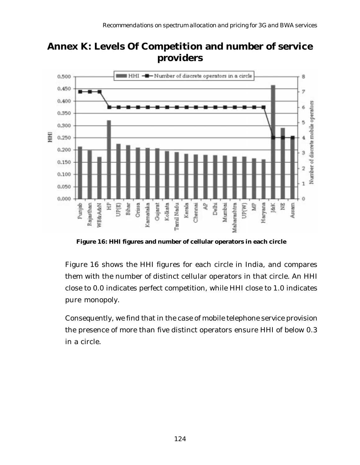

**Annex K: Levels Of Competition and number of service providers**

**Figure 16: HHI figures and number of cellular operators in each circle**

Figure 16 shows the HHI figures for each circle in India, and compares them with the number of distinct cellular operators in that circle. An HHI close to 0.0 indicates perfect competition, while HHI close to 1.0 indicates pure monopoly.

Consequently, we find that in the case of mobile telephone service provision the presence of more than five distinct operators ensure HHI of below 0.3 in a circle.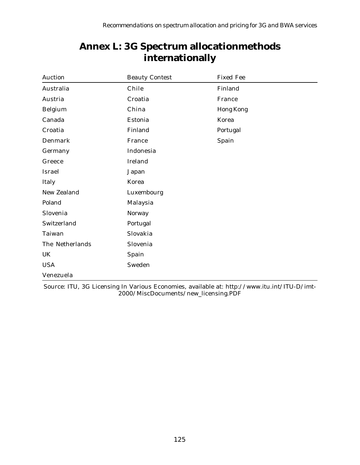| Auction            | <b>Beauty Contest</b> | <b>Fixed Fee</b> |
|--------------------|-----------------------|------------------|
| Australia          | Chile                 | Finland          |
| Austria            | Croatia               | France           |
| Belgium            | China                 | <b>Hong Kong</b> |
| Canada             | Estonia               | Korea            |
| Croatia            | Finland               | Portugal         |
| Denmark            | France                | Spain            |
| Germany            | Indonesia             |                  |
| Greece             | Ireland               |                  |
| Israel             | Japan                 |                  |
| Italy              | Korea                 |                  |
| <b>New Zealand</b> | Luxembourg            |                  |
| Poland             | Malaysia              |                  |
| Slovenia           | Norway                |                  |
| Switzerland        | Portugal              |                  |
| Taiwan             | Slovakia              |                  |
| The Netherlands    | Slovenia              |                  |
| UK                 | Spain                 |                  |
| <b>USA</b>         | Sweden                |                  |
| Venezuela          |                       |                  |

# **Annex L: 3G Spectrum allocationmethods internationally**

Source: ITU, 3G Licensing In Various Economies, available at: http://www.itu.int/ITU-D/imt-2000/MiscDocuments/new\_licensing.PDF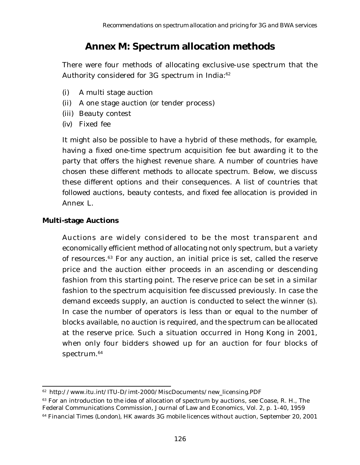# **Annex M: Spectrum allocation methods**

There were four methods of allocating exclusive-use spectrum that the Authority considered for 3G spectrum in India:<sup>62</sup>

- (i) A multi stage auction
- (ii) A one stage auction (or tender process)
- (iii) Beauty contest
- (iv) Fixed fee

It might also be possible to have a hybrid of these methods, for example, having a fixed one-time spectrum acquisition fee but awarding it to the party that offers the highest revenue share. A number of countries have chosen these different methods to allocate spectrum. Below, we discuss these different options and their consequences. A list of countries that followed auctions, beauty contests, and fixed fee allocation is provided in Annex L.

### **Multi-stage Auctions**

Auctions are widely considered to be the most transparent and economically efficient method of allocating not only spectrum, but a variety of resources.63 For any auction, an initial price is set, called the reserve price and the auction either proceeds in an ascending or descending fashion from this starting point. The reserve price can be set in a similar fashion to the spectrum acquisition fee discussed previously. In case the demand exceeds supply, an auction is conducted to select the winner (s). In case the number of operators is less than or equal to the number of blocks available, no auction is required, and the spectrum can be allocated at the reserve price. Such a situation occurred in Hong Kong in 2001, when only four bidders showed up for an auction for four blocks of spectrum.<sup>64</sup>

<sup>62</sup> http://www.itu.int/ITU-D/imt-2000/MiscDocuments/new\_licensing.PDF

 $63$  For an introduction to the idea of allocation of spectrum by auctions, see Coase, R. H., The Federal Communications Commission, Journal of Law and Economics, Vol. 2, p. 1-40, 1959

<sup>&</sup>lt;sup>64</sup> Financial Times (London), HK awards 3G mobile licences without auction, September 20, 2001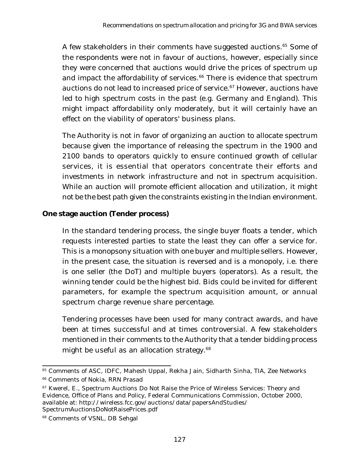A few stakeholders in their comments have suggested auctions.<sup>65</sup> Some of the respondents were not in favour of auctions, however, especially since they were concerned that auctions would drive the prices of spectrum up and impact the affordability of services.<sup>66</sup> There is evidence that spectrum auctions do not lead to increased price of service.<sup>67</sup> However, auctions have led to high spectrum costs in the past (e.g. Germany and England). This might impact affordability only moderately, but it will certainly have an effect on the viability of operators' business plans.

The Authority is not in favor of organizing an auction to allocate spectrum because given the importance of releasing the spectrum in the 1900 and 2100 bands to operators quickly to ensure continued growth of cellular services, it is essential that operators concentrate their efforts and investments in network infrastructure and not in spectrum acquisition. While an auction will promote efficient allocation and utilization, it might not be the best path given the constraints existing in the Indian environment.

### **One stage auction (Tender process)**

In the standard tendering process, the single buyer floats a tender, which requests interested parties to state the least they can offer a service for. This is a monopsony situation with one buyer and multiple sellers. However, in the present case, the situation is reversed and is a monopoly, i.e. there is one seller (the DoT) and multiple buyers (operators). As a result, the winning tender could be the highest bid. Bids could be invited for different parameters, for example the spectrum acquisition amount, or annual spectrum charge revenue share percentage.

Tendering processes have been used for many contract awards, and have been at times successful and at times controversial. A few stakeholders mentioned in their comments to the Authority that a tender bidding process might be useful as an allocation strategy.<sup>68</sup>

<sup>&</sup>lt;sup>65</sup> Comments of ASC, IDFC, Mahesh Uppal, Rekha Jain, Sidharth Sinha, TIA, Zee Networks

<sup>&</sup>lt;sup>66</sup> Comments of Nokia, RRN Prasad

<sup>&</sup>lt;sup>67</sup> Kwerel, E., Spectrum Auctions Do Not Raise the Price of Wireless Services: Theory and Evidence, Office of Plans and Policy, Federal Communications Commission, October 2000, available at: http://wireless.fcc.gov/auctions/data/papersAndStudies/ SpectrumAuctionsDoNotRaisePrices.pdf

<sup>68</sup> Comments of VSNL, DB Sehgal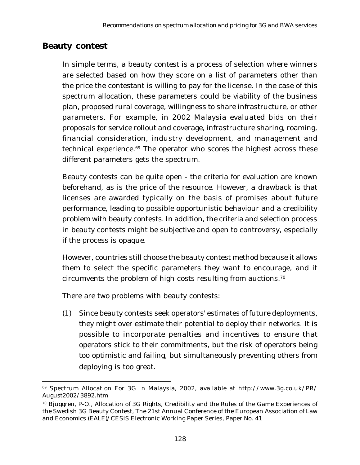### **Beauty contest**

In simple terms, a beauty contest is a process of selection where winners are selected based on how they score on a list of parameters other than the price the contestant is willing to pay for the license. In the case of this spectrum allocation, these parameters could be viability of the business plan, proposed rural coverage, willingness to share infrastructure, or other parameters. For example, in 2002 Malaysia evaluated bids on their proposals for service rollout and coverage, infrastructure sharing, roaming, financial consideration, industry development, and management and technical experience.<sup>69</sup> The operator who scores the highest across these different parameters gets the spectrum.

Beauty contests can be quite open - the criteria for evaluation are known beforehand, as is the price of the resource. However, a drawback is that licenses are awarded typically on the basis of promises about future performance, leading to possible opportunistic behaviour and a credibility problem with beauty contests. In addition, the criteria and selection process in beauty contests might be subjective and open to controversy, especially if the process is opaque.

However, countries still choose the beauty contest method because it allows them to select the specific parameters they want to encourage, and it circumvents the problem of high costs resulting from auctions.70

There are two problems with beauty contests:

(1) Since beauty contests seek operators' estimates of future deployments, they might over estimate their potential to deploy their networks. It is possible to incorporate penalties and incentives to ensure that operators stick to their commitments, but the risk of operators being too optimistic and failing, but simultaneously preventing others from deploying is too great.

<sup>69</sup> Spectrum Allocation For 3G In Malaysia, 2002, available at http://www.3g.co.uk/PR/ August2002/3892.htm

 $70$  Bjuggren, P-O., Allocation of 3G Rights, Credibility and the Rules of the Game Experiences of the Swedish 3G Beauty Contest, The 21st Annual Conference of the European Association of Law and Economics (EALE)/CESIS Electronic Working Paper Series, Paper No. 41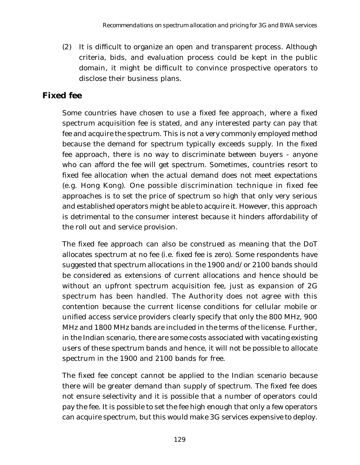(2) It is difficult to organize an open and transparent process. Although criteria, bids, and evaluation process could be kept in the public domain, it might be difficult to convince prospective operators to disclose their business plans.

## **Fixed fee**

Some countries have chosen to use a fixed fee approach, where a fixed spectrum acquisition fee is stated, and any interested party can pay that fee and acquire the spectrum. This is not a very commonly employed method because the demand for spectrum typically exceeds supply. In the fixed fee approach, there is no way to discriminate between buyers - anyone who can afford the fee will get spectrum. Sometimes, countries resort to fixed fee allocation when the actual demand does not meet expectations (e.g. Hong Kong). One possible discrimination technique in fixed fee approaches is to set the price of spectrum so high that only very serious and established operators might be able to acquire it. However, this approach is detrimental to the consumer interest because it hinders affordability of the roll out and service provision.

The fixed fee approach can also be construed as meaning that the DoT allocates spectrum at no fee (i.e. fixed fee is zero). Some respondents have suggested that spectrum allocations in the 1900 and/or 2100 bands should be considered as extensions of current allocations and hence should be without an upfront spectrum acquisition fee, just as expansion of 2G spectrum has been handled. The Authority does not agree with this contention because the current license conditions for cellular mobile or unified access service providers clearly specify that only the 800 MHz, 900 MHz and 1800 MHz bands are included in the terms of the license. Further, in the Indian scenario, there are some costs associated with vacating existing users of these spectrum bands and hence, it will not be possible to allocate spectrum in the 1900 and 2100 bands for free.

The fixed fee concept cannot be applied to the Indian scenario because there will be greater demand than supply of spectrum. The fixed fee does not ensure selectivity and it is possible that a number of operators could pay the fee. It is possible to set the fee high enough that only a few operators can acquire spectrum, but this would make 3G services expensive to deploy.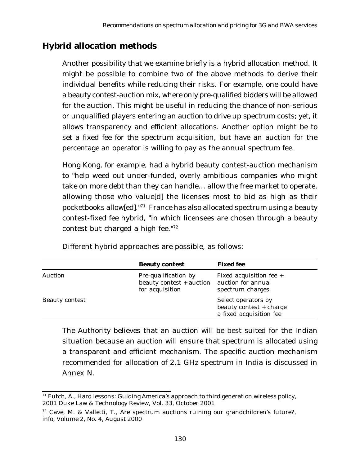## **Hybrid allocation methods**

Another possibility that we examine briefly is a hybrid allocation method. It might be possible to combine two of the above methods to derive their individual benefits while reducing their risks. For example, one could have a beauty contest-auction mix, where only pre-qualified bidders will be allowed for the auction. This might be useful in reducing the chance of non-serious or unqualified players entering an auction to drive up spectrum costs; yet, it allows transparency and efficient allocations. Another option might be to set a fixed fee for the spectrum acquisition, but have an auction for the percentage an operator is willing to pay as the annual spectrum fee.

Hong Kong, for example, had a hybrid beauty contest-auction mechanism to "help weed out under-funded, overly ambitious companies who might take on more debt than they can handle… allow the free market to operate, allowing those who value[d] the licenses most to bid as high as their pocketbooks allow[ed]."71 France has also allocated spectrum using a beauty contest-fixed fee hybrid, "in which licensees are chosen through a beauty contest but charged a high fee."72

|                       | <b>Beauty contest</b>                                               | <b>Fixed fee</b>                                                          |
|-----------------------|---------------------------------------------------------------------|---------------------------------------------------------------------------|
| Auction               | Pre-qualification by<br>beauty contest + auction<br>for acquisition | Fixed acquisition fee +<br>auction for annual<br>spectrum charges         |
| <b>Beauty contest</b> |                                                                     | Select operators by<br>beauty contest + charge<br>a fixed acquisition fee |

Different hybrid approaches are possible, as follows:

The Authority believes that an auction will be best suited for the Indian situation because an auction will ensure that spectrum is allocated using a transparent and efficient mechanism. The specific auction mechanism recommended for allocation of 2.1 GHz spectrum in India is discussed in Annex N.

 $71$  Futch, A., Hard lessons: Guiding America's approach to third generation wireless policy, 2001 Duke Law & Technology Review, Vol. 33, October 2001

 $72$  Cave, M. & Valletti, T., Are spectrum auctions ruining our grandchildren's future?, info, Volume 2, No. 4, August 2000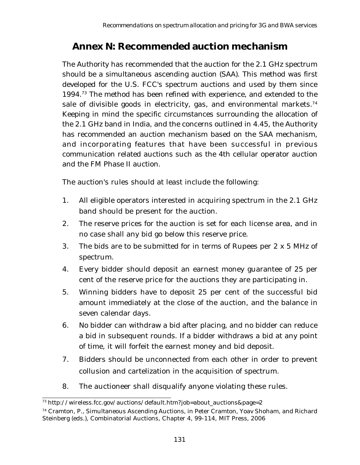# **Annex N: Recommended auction mechanism**

The Authority has recommended that the auction for the 2.1 GHz spectrum should be a simultaneous ascending auction (SAA). This method was first developed for the U.S. FCC's spectrum auctions and used by them since 1994.73 The method has been refined with experience, and extended to the sale of divisible goods in electricity, gas, and environmental markets.<sup>74</sup> Keeping in mind the specific circumstances surrounding the allocation of the 2.1 GHz band in India, and the concerns outlined in 4.45, the Authority has recommended an auction mechanism based on the SAA mechanism, and incorporating features that have been successful in previous communication related auctions such as the 4th cellular operator auction and the FM Phase II auction.

The auction's rules should at least include the following:

- 1. All eligible operators interested in acquiring spectrum in the 2.1 GHz band should be present for the auction.
- 2. The reserve prices for the auction is set for each license area, and in no case shall any bid go below this reserve price.
- 3. The bids are to be submitted for in terms of Rupees per 2 x 5 MHz of spectrum.
- 4. Every bidder should deposit an earnest money guarantee of 25 per cent of the reserve price for the auctions they are participating in.
- 5. Winning bidders have to deposit 25 per cent of the successful bid amount immediately at the close of the auction, and the balance in seven calendar days.
- 6. No bidder can withdraw a bid after placing, and no bidder can reduce a bid in subsequent rounds. If a bidder withdraws a bid at any point of time, it will forfeit the earnest money and bid deposit.
- 7. Bidders should be unconnected from each other in order to prevent collusion and cartelization in the acquisition of spectrum.
- 8. The auctioneer shall disqualify anyone violating these rules.

<sup>73</sup> http://wireless.fcc.gov/auctions/default.htm?job=about\_auctions&page=2

<sup>74</sup> Cramton, P., Simultaneous Ascending Auctions, in Peter Cramton, Yoav Shoham, and Richard Steinberg (eds.), Combinatorial Auctions, Chapter 4, 99-114, MIT Press, 2006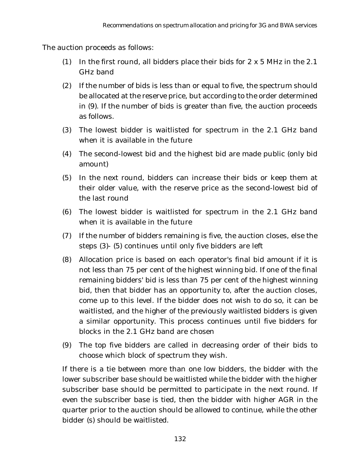The auction proceeds as follows:

- (1) In the first round, all bidders place their bids for 2 x 5 MHz in the 2.1 GHz band
- (2) If the number of bids is less than or equal to five, the spectrum should be allocated at the reserve price, but according to the order determined in (9). If the number of bids is greater than five, the auction proceeds as follows.
- (3) The lowest bidder is waitlisted for spectrum in the 2.1 GHz band when it is available in the future
- (4) The second-lowest bid and the highest bid are made public (only bid amount)
- (5) In the next round, bidders can increase their bids or keep them at their older value, with the reserve price as the second-lowest bid of the last round
- (6) The lowest bidder is waitlisted for spectrum in the 2.1 GHz band when it is available in the future
- (7) If the number of bidders remaining is five, the auction closes, else the steps (3)- (5) continues until only five bidders are left
- (8) Allocation price is based on each operator's final bid amount if it is not less than 75 per cent of the highest winning bid. If one of the final remaining bidders' bid is less than 75 per cent of the highest winning bid, then that bidder has an opportunity to, after the auction closes, come up to this level. If the bidder does not wish to do so, it can be waitlisted, and the higher of the previously waitlisted bidders is given a similar opportunity. This process continues until five bidders for blocks in the 2.1 GHz band are chosen
- (9) The top five bidders are called in decreasing order of their bids to choose which block of spectrum they wish.

If there is a tie between more than one low bidders, the bidder with the lower subscriber base should be waitlisted while the bidder with the higher subscriber base should be permitted to participate in the next round. If even the subscriber base is tied, then the bidder with higher AGR in the quarter prior to the auction should be allowed to continue, while the other bidder (s) should be waitlisted.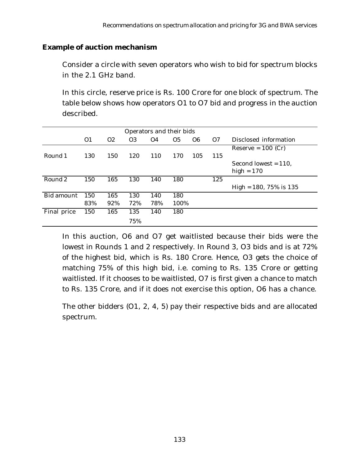#### **Example of auction mechanism**

Consider a circle with seven operators who wish to bid for spectrum blocks in the 2.1 GHz band.

In this circle, reserve price is Rs. 100 Crore for one block of spectrum. The table below shows how operators O1 to O7 bid and progress in the auction described.

|                   | Operators and their bids |                |                |           |                |                |     |                                         |
|-------------------|--------------------------|----------------|----------------|-----------|----------------|----------------|-----|-----------------------------------------|
|                   | O <sub>1</sub>           | O <sub>2</sub> | O <sub>3</sub> | <b>O4</b> | O <sub>5</sub> | O <sub>6</sub> | O7  | Disclosed information                   |
| Round 1           | 130                      | 150            | 120            | 110       | 170            | 105            | 115 | Reserve = $100$ (Cr)                    |
|                   |                          |                |                |           |                |                |     | Second lowest $= 110$ .<br>high = $170$ |
| Round 2           | 150                      | 165            | 130            | 140       | 180            |                | 125 |                                         |
|                   |                          |                |                |           |                |                |     | High = $180, 75\%$ is $135$             |
| <b>Bid amount</b> | 150                      | 165            | 130            | 140       | 180            |                |     |                                         |
|                   | 83%                      | 92%            | 72%            | 78%       | 100%           |                |     |                                         |
| Final price       | 150                      | 165            | 135            | 140       | 180            |                |     |                                         |
|                   |                          |                | 75%            |           |                |                |     |                                         |

In this auction, O6 and O7 get waitlisted because their bids were the lowest in Rounds 1 and 2 respectively. In Round 3, O3 bids and is at 72% of the highest bid, which is Rs. 180 Crore. Hence, O3 gets the choice of matching 75% of this high bid, i.e. coming to Rs. 135 Crore or getting waitlisted. If it chooses to be waitlisted, O7 is first given a chance to match to Rs. 135 Crore, and if it does not exercise this option, O6 has a chance.

The other bidders (O1, 2, 4, 5) pay their respective bids and are allocated spectrum.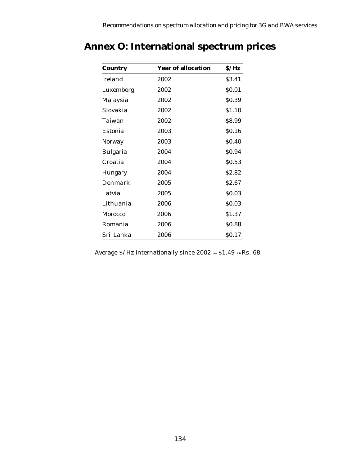| <b>Country</b>  | <b>Year of allocation</b> | S/Hz              |
|-----------------|---------------------------|-------------------|
| Ireland         | 2002                      | \$3.41            |
| Luxemborg       | 2002                      | \$0.01            |
| Malaysia        | 2002                      | \$0.39            |
| Slovakia        | 2002                      | \$1.10            |
| Taiwan          | 2002                      | \$8.99            |
| <b>Estonia</b>  | 2003                      | \$0.16            |
| <b>Norway</b>   | 2003                      | \$0.40            |
| <b>Bulgaria</b> | 2004                      | \$0.94            |
| Croatia         | 2004                      | \$0.53            |
| Hungary         | 2004                      | S <sub>2.82</sub> |
| Denmark         | 2005                      | S <sub>2.67</sub> |
| Latvia          | 2005                      | \$0.03            |
| Lithuania       | 2006                      | \$0.03            |
| <b>Morocco</b>  | 2006                      | \$1.37            |
| Romania         | 2006                      | \$0.88            |
| Sri Lanka       | 2006                      | \$0.17            |

# **Annex O: International spectrum prices**

Average  $\frac{\text{S}}{\text{Hz}}$  internationally since  $2002 = \text{S1.49} \approx \text{Rs.} 68$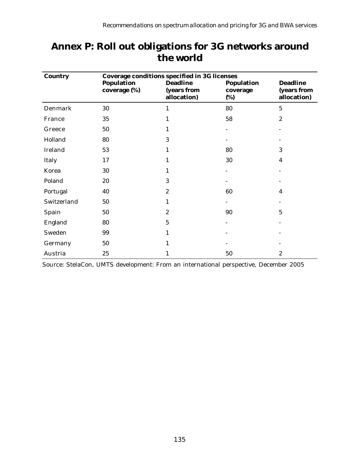| <b>Country</b> | <b>Coverage conditions specified in 3G licenses</b> |                                               |                                      |                                               |  |  |  |  |  |
|----------------|-----------------------------------------------------|-----------------------------------------------|--------------------------------------|-----------------------------------------------|--|--|--|--|--|
|                | <b>Population</b><br>coverage (%)                   | <b>Deadline</b><br>(years from<br>allocation) | <b>Population</b><br>coverage<br>(%) | <b>Deadline</b><br>(years from<br>allocation) |  |  |  |  |  |
| Denmark        | 30                                                  | 1                                             | 80                                   | $\overline{5}$                                |  |  |  |  |  |
| France         | 35                                                  | 1                                             | 58                                   | $\boldsymbol{2}$                              |  |  |  |  |  |
| Greece         | 50                                                  | 1                                             |                                      |                                               |  |  |  |  |  |
| Holland        | 80                                                  | 3                                             |                                      |                                               |  |  |  |  |  |
| Ireland        | 53                                                  | 1                                             | 80                                   | 3                                             |  |  |  |  |  |
| Italy          | 17                                                  | 1                                             | 30                                   | $\boldsymbol{4}$                              |  |  |  |  |  |
| Korea          | 30                                                  | 1                                             |                                      |                                               |  |  |  |  |  |
| Poland         | 20                                                  | 3                                             |                                      |                                               |  |  |  |  |  |
| Portugal       | 40                                                  | $\boldsymbol{2}$                              | 60                                   | $\overline{4}$                                |  |  |  |  |  |
| Switzerland    | 50                                                  | 1                                             |                                      |                                               |  |  |  |  |  |
| Spain          | 50                                                  | $\boldsymbol{2}$                              | 90                                   | 5                                             |  |  |  |  |  |
| England        | 80                                                  | 5                                             |                                      |                                               |  |  |  |  |  |
| Sweden         | 99                                                  | 1                                             |                                      |                                               |  |  |  |  |  |
| Germany        | 50                                                  |                                               |                                      |                                               |  |  |  |  |  |
| Austria        | 25                                                  | 1                                             | 50                                   | $\boldsymbol{2}$                              |  |  |  |  |  |

# **Annex P: Roll out obligations for 3G networks around the world**

Source: StelaCon, UMTS development: From an international perspective, December 2005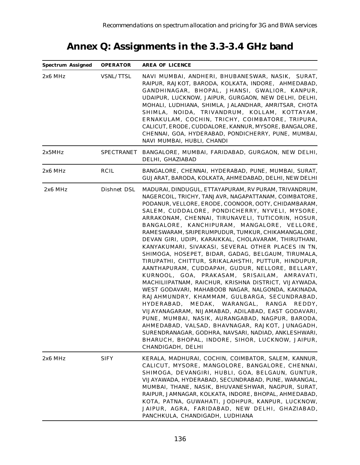# **Annex Q: Assignments in the 3.3-3.4 GHz band**

| <b>Spectrum Assigned</b> | <b>OPERATOR</b>   | <b>AREA OF LICENCE</b>                                                                                                                                                                                                                                                                                                                                                                                                                                                                                                                                                                                                                                                                                                                                                                                                                                                                                                                                                                                                                                                                                                                                                                                                     |
|--------------------------|-------------------|----------------------------------------------------------------------------------------------------------------------------------------------------------------------------------------------------------------------------------------------------------------------------------------------------------------------------------------------------------------------------------------------------------------------------------------------------------------------------------------------------------------------------------------------------------------------------------------------------------------------------------------------------------------------------------------------------------------------------------------------------------------------------------------------------------------------------------------------------------------------------------------------------------------------------------------------------------------------------------------------------------------------------------------------------------------------------------------------------------------------------------------------------------------------------------------------------------------------------|
| 2x6 MHz                  | <b>VSNL/TTSL</b>  | NAVI MUMBAI, ANDHERI, BHUBANESWAR, NASIK, SURAT,<br>RAIPUR, RAJKOT, BARODA, KOLKATA, INDORE, AHMEDABAD,<br>GANDHINAGAR, BHOPAL, JHANSI, GWALIOR, KANPUR,<br>UDAIPUR, LUCKNOW, JAIPUR, GURGAON, NEW DELHI, DELHI,<br>MOHALI, LUDHIANA, SHIMLA, JALANDHAR, AMRITSAR, CHOTA<br>SHIMLA, NOIDA, TRIVANDRUM, KOLLAM, KOTTAYAM,<br>ERNAKULAM, COCHIN, TRICHY, COIMBATORE, TRIPURA,<br>CALICUT, ERODE, CUDDALORE, KANNUR, MYSORE, BANGALORE,<br>CHENNAI, GOA, HYDERABAD, PONDICHERRY, PUNE, MUMBAI,<br>NAVI MUMBAI, HUBLI, CHANDI                                                                                                                                                                                                                                                                                                                                                                                                                                                                                                                                                                                                                                                                                                  |
| 2x5MHz                   | <b>SPECTRANET</b> | BANGALORE, MUMBAI, FARIDABAD, GURGAON, NEW DELHI,<br>DELHI, GHAZIABAD                                                                                                                                                                                                                                                                                                                                                                                                                                                                                                                                                                                                                                                                                                                                                                                                                                                                                                                                                                                                                                                                                                                                                      |
| 2x6 MHz                  | <b>RCIL</b>       | BANGALORE, CHENNAI, HYDERABAD, PUNE, MUMBAI, SURAT,<br>GUJARAT, BARODA, KOLKATA, AHMEDABAD, DELHI, NEW DELHI                                                                                                                                                                                                                                                                                                                                                                                                                                                                                                                                                                                                                                                                                                                                                                                                                                                                                                                                                                                                                                                                                                               |
| $2x6$ MHz                | Dishnet DSL       | MADURAI, DINDUGUL, ETTAYAPURAM, RV PURAM, TRIVANDRUM,<br>NAGERCOIL, TRICHY, TANJAVR, NAGAPATTANAM, COIMBATORE,<br>PODANUR, VELLORE, ERODE, COONOOR, OOTY, CHIDAMBARAM,<br>SALEM, CUDDALORE, PONDICHERRY, NYVELI, MYSORE,<br>ARRAKONAM, CHENNAI, TIRUNAVELI, TUTICORIN, HOSUR,<br>BANGALORE, KANCHIPURAM, MANGALORE, VELLORE,<br>RAMESWARAM, SRIPERUMPUDUR, TUMKUR, CHIKAMANGALORE,<br>DEVAN GIRI, UDIPI, KARAIKKAL, CHOLAVARAM, THIRUTHANI,<br>KANYAKUMARI, SIVAKASI, SEVERAL OTHER PLACES IN TN,<br>SHIMOGA, HOSEPET, BIDAR, GADAG, BELGAUM, TIRUMALA,<br>TIRUPATHI, CHITTUR, SRIKALAHSTHI, PUTTUR, HINDUPUR,<br>AANTHAPURAM, CUDDAPAH, GUDUR, NELLORE, BELLARY,<br>KURNOOL, GOA, PRAKASAM, SRISAILAM, AMRAVATI,<br>MACHILIIPATNAM, RAICHUR, KRISHNA DISTRICT, VIJAYWADA,<br>WEST GODAVARI, MAHABOOB NAGAR, NALGONDA, KAKINADA,<br>RAJAHMUNDRY, KHAMMAM, GULBARGA, SECUNDRABAD,<br>HYDERABAD, MEDAK, WARANGAL, RANGA REDDY,<br>VIJAYANAGARAM, NIJAMABAD, ADILABAD, EAST GODAVARI,<br>PUNE, MUMBAI, NASIK, AURANGABAD, NAGPUR, BARODA,<br>AHMEDABAD, VALSAD, BHAVNAGAR, RAJKOT, JUNAGADH,<br>SURENDRANAGAR, GODHRA, NAVSARI, NADIAD, ANKLESHWARI,<br>BHARUCH, BHOPAL, INDORE, SIHOR, LUCKNOW, JAIPUR,<br>CHANDIGADH, DELHI |
| 2x6 MHz                  | <b>SIFY</b>       | KERALA, MADHURAI, COCHIN, COIMBATOR, SALEM, KANNUR,<br>CALICUT, MYSORE, MANGOLORE, BANGALORE, CHENNAI,<br>SHIMOGA, DEVANGIRI, HUBLI, GOA, BELGAUN, GUNTUR,<br>VIJAYAWADA, HYDERABAD, SECUNDRABAD, PUNE, WARANGAL,<br>MUMBAI, THANE, NASIK, BHUVANESHWAR, NAGPUR, SURAT,<br>RAIPUR, JAMNAGAR, KOLKATA, INDORE, BHOPAL, AHMEDABAD,<br>KOTA, PATNA, GUWAHATI, JODHPUR, KANPUR, LUCKNOW,<br>JAIPUR, AGRA, FARIDABAD, NEW DELHI, GHAZIABAD,<br>PANCHKULA, CHANDIGADH, LUDHIANA                                                                                                                                                                                                                                                                                                                                                                                                                                                                                                                                                                                                                                                                                                                                                  |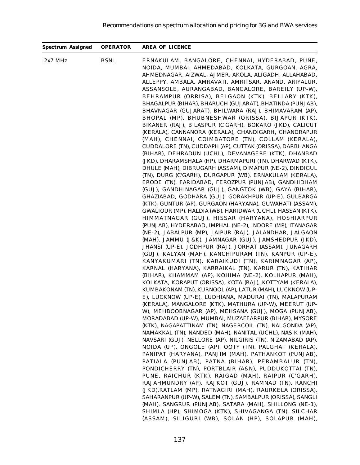| <b>Spectrum Assigned</b> | <b>OPERATOR</b> | <b>AREA OF LICENCE</b>                                                                                                                                                                                                                                                                                                                                                                                                                                                                                                                                                                                                                                                                                                                                                                                                                                                                                                                                                                                                                                                                                                                                                                                                                                                                                                                                                                                                                                                                                                                                                                                                                                                                                                                                                                                                                                                                                                                                                                                                                                                                                                                                                                                                                                                                                                                                                                                                                                                                                                                                                                                       |
|--------------------------|-----------------|--------------------------------------------------------------------------------------------------------------------------------------------------------------------------------------------------------------------------------------------------------------------------------------------------------------------------------------------------------------------------------------------------------------------------------------------------------------------------------------------------------------------------------------------------------------------------------------------------------------------------------------------------------------------------------------------------------------------------------------------------------------------------------------------------------------------------------------------------------------------------------------------------------------------------------------------------------------------------------------------------------------------------------------------------------------------------------------------------------------------------------------------------------------------------------------------------------------------------------------------------------------------------------------------------------------------------------------------------------------------------------------------------------------------------------------------------------------------------------------------------------------------------------------------------------------------------------------------------------------------------------------------------------------------------------------------------------------------------------------------------------------------------------------------------------------------------------------------------------------------------------------------------------------------------------------------------------------------------------------------------------------------------------------------------------------------------------------------------------------------------------------------------------------------------------------------------------------------------------------------------------------------------------------------------------------------------------------------------------------------------------------------------------------------------------------------------------------------------------------------------------------------------------------------------------------------------------------------------------------|
| $2x7$ MHz                | <b>BSNL</b>     | ERNAKULAM, BANGALORE, CHENNAI, HYDERABAD, PUNE,<br>NOIDA, MUMBAI, AHMEDABAD, KOLKATA, GURGOAN, AGRA,<br>AHMEDNAGAR, AIZWAL, AJMER, AKOLA, ALIGADH, ALLAHABAD,<br>ALLEPPY, AMBALA, AMRAVATI, AMRITSAR, ANAND, ARIYALUR,<br>ASSANSOLE, AURANGABAD, BANGALORE, BAREILY (UP-W),<br>BEHRAMPUR (ORRISA), BELGAON (KTK), BELLARY (KTK),<br>BHAGALPUR (BIHAR), BHARUCH (GUJARAT), BHATINDA (PUNJAB),<br>BHAVNAGAR (GUJARAT), BHILWARA (RAJ), BHIMAVARAM (AP),<br>BHOPAL (MP), BHUBNESHWAR (ORISSA), BIJAPUR (KTK),<br>BIKANER (RAJ), BILASPUR (C'GARH), BOKARO (JKD), CALICUT<br>(KERALA), CANNANORA (KERALA), CHANDIGARH, CHANDRAPUR<br>(MAH), CHENNAI, COIMBATORE (TN), COLLAM (KERALA),<br>CUDDALORE (TN), CUDDAPH (AP), CUTTAK (ORISSA), DARBHANGA<br>(BIHAR), DEHRADUN (UCHL), DEVANAGERE (KTK), DHANBAD<br>(JKD), DHARAMSHALA (HP), DHARMAPURI (TN), DHARWAD (KTK),<br>DHULE (MAH), DIBRUGARH (ASSAM), DIMAPUR (NE-2), DINDIGUL<br>(TN), DURG (C'GARH), DURGAPUR (WB), ERNAKULAM (KERALA),<br>ERODE (TN), FARIDABAD, FEROZPUR (PUNJAB), GANDHIDHAM<br>(GUJ), GANDHINAGAR (GUJ), GANGTOK (WB), GAYA (BIHAR),<br>GHAZIABAD, GODHARA (GUJ), GORAKHPUR (UP-E), GULBARGA<br>(KTK), GUNTUR (AP), GURGAON (HARYANA), GUWAHATI (ASSAM),<br>GWALIOUR (MP), HALDIA (WB), HARIDWAR (UCHL), HASSAN (KTK),<br>HIMMATNAGAR (GUJ), HISSAR (HARYANA), HOSHIARPUR<br>(PUNJAB), HYDERABAD, IMPHAL (NE-2), INDORE (MP), ITANAGAR<br>(NE-2), JABALPUR (MP), JAIPUR (RAJ), JALANDHAR, JALGAON<br>(MAH), JAMMU (J&K), JAMNAGAR (GUJ), JAMSHEDPUR (JKD),<br>JHANSI (UP-E), JODHPUR (RAJ), JORHAT (ASSAM), JUNAGARH<br>(GUJ), KALYAN (MAH), KANCHIPURAM (TN), KANPUR (UP-E),<br>KANYAKUMARI (TN), KARAIKUDI (TN), KARIMNAGAR (AP),<br>KARNAL (HARYANA), KARRAIKAL (TN), KARUR (TN), KATIHAR<br>(BIHAR), KHAMMAM (AP), KOHIMA (NE-2), KOLHAPUR (MAH),<br>KOLKATA, KORAPUT (ORISSA), KOTA (RAJ), KOTTYAM (KERALA),<br>KUMBAKONAM (TN), KURNOOL (AP), LATUR (MAH), LUCKNOW (UP-<br>E), LUCKNOW (UP-E), LUDHIANA, MADURAI (TN), MALAPURAM<br>(KERALA), MANGALORE (KTK), MATHURA (UP-W), MEERUT (UP-<br>W), MEHBOOBNAGAR (AP), MEHSANA (GUJ), MOGA (PUNJAB),<br>MORADABAD (UP-W), MUMBAI, MUZAFFARPUR (BIHAR), MYSORE<br>(KTK), NAGAPATTINAM (TN), NAGERCOIL (TN), NALGONDA (AP),<br>NAMAKKAL (TN), NANDED (MAH), NANITAL (UCHL), NASIK (MAH),<br>NAVSARI (GUJ), NELLORE (AP), NILGIRIS (TN), NIZAMABAD (AP),<br>NOIDA (UP), ONGOLE (AP), OOTY (TN), PALGHAT (KERALA),<br>PANIPAT (HARYANA), PANJIM (MAH), PATHANKOT (PUNJAB),<br>PATIALA (PUNJAB), PATNA (BIHAR), PERAMBALUR (TN),<br>PONDICHERRY (TN), PORTBLAIR (A&N), PUDDUKOTTAI (TN), |
|                          |                 | PUNE, RAICHUR (KTK), RAIGAD (MAH), RAIPUR (C'GARH),                                                                                                                                                                                                                                                                                                                                                                                                                                                                                                                                                                                                                                                                                                                                                                                                                                                                                                                                                                                                                                                                                                                                                                                                                                                                                                                                                                                                                                                                                                                                                                                                                                                                                                                                                                                                                                                                                                                                                                                                                                                                                                                                                                                                                                                                                                                                                                                                                                                                                                                                                          |
|                          |                 | RAJAHMUNDRY (AP), RAJKOT (GUJ), RAMNAD (TN), RANCHI<br>(JKD), RATLAM (MP), RATNAGIRI (MAH), RAURKELA (ORISSA),<br>SAHARANPUR (UP-W), SALEM (TN), SAMBALPUR (ORISSA), SANGLI                                                                                                                                                                                                                                                                                                                                                                                                                                                                                                                                                                                                                                                                                                                                                                                                                                                                                                                                                                                                                                                                                                                                                                                                                                                                                                                                                                                                                                                                                                                                                                                                                                                                                                                                                                                                                                                                                                                                                                                                                                                                                                                                                                                                                                                                                                                                                                                                                                  |
|                          |                 | (MAH), SANGRUR (PUNJAB), SATARA (MAH), SHILLONG (NE-1),<br>SHIMLA (HP), SHIMOGA (KTK), SHIVAGANGA (TN), SILCHAR                                                                                                                                                                                                                                                                                                                                                                                                                                                                                                                                                                                                                                                                                                                                                                                                                                                                                                                                                                                                                                                                                                                                                                                                                                                                                                                                                                                                                                                                                                                                                                                                                                                                                                                                                                                                                                                                                                                                                                                                                                                                                                                                                                                                                                                                                                                                                                                                                                                                                              |
|                          |                 | (ASSAM), SILIGURI (WB), SOLAN (HP), SOLAPUR (MAH),                                                                                                                                                                                                                                                                                                                                                                                                                                                                                                                                                                                                                                                                                                                                                                                                                                                                                                                                                                                                                                                                                                                                                                                                                                                                                                                                                                                                                                                                                                                                                                                                                                                                                                                                                                                                                                                                                                                                                                                                                                                                                                                                                                                                                                                                                                                                                                                                                                                                                                                                                           |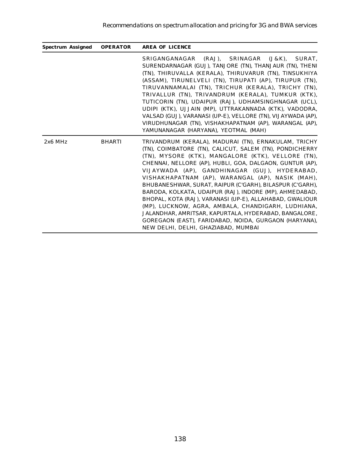| <b>Spectrum Assigned</b> | <b>OPERATOR</b> | <b>AREA OF LICENCE</b>                                                                                                                                                                                                                                                                                                                                                                                                                                                                                                                                                                                                                                                                                                                   |
|--------------------------|-----------------|------------------------------------------------------------------------------------------------------------------------------------------------------------------------------------------------------------------------------------------------------------------------------------------------------------------------------------------------------------------------------------------------------------------------------------------------------------------------------------------------------------------------------------------------------------------------------------------------------------------------------------------------------------------------------------------------------------------------------------------|
|                          |                 | (RAJ), SRINAGAR<br>SRIGANGANAGAR<br>$(J & K)$ .<br>SURAT.<br>SURENDARNAGAR (GUJ), TANJORE (TN), THANJAUR (TN), THENI<br>(TN), THIRUVALLA (KERALA), THIRUVARUR (TN), TINSUKHIYA<br>(ASSAM), TIRUNELVELI (TN), TIRUPATI (AP), TIRUPUR (TN),<br>TIRUVANNAMALAI (TN). TRICHUR (KERALA). TRICHY (TN).<br>TRIVALLUR (TN), TRIVANDRUM (KERALA), TUMKUR (KTK),<br>TUTICORIN (TN), UDAIPUR (RAJ), UDHAMSINGHNAGAR (UCL),<br>UDIPI (KTK), UJJAIN (MP), UTTRAKANNADA (KTK), VADODRA,<br>VALSAD (GUJ), VARANASI (UP-E), VELLORE (TN), VIJAYWADA (AP),<br>VIRUDHUNAGAR (TN), VISHAKHAPATNAM (AP), WARANGAL (AP),<br>YAMUNANAGAR (HARYANA), YEOTMAL (MAH)                                                                                              |
| $2x6$ MHz                | <b>BHARTI</b>   | TRIVANDRUM (KERALA), MADURAI (TN), ERNAKULAM, TRICHY<br>(TN), COIMBATORE (TN), CALICUT, SALEM (TN), PONDICHERRY<br>(TN). MYSORE (KTK). MANGALORE (KTK). VELLORE (TN).<br>CHENNAI, NELLORE (AP), HUBLI, GOA, DALGAON, GUNTUR (AP),<br>VIJAYWADA (AP), GANDHINAGAR (GUJ), HYDERABAD,<br>VISHAKHAPATNAM (AP), WARANGAL (AP), NASIK (MAH),<br>BHUBANESHWAR, SURAT, RAIPUR (C'GARH), BILASPUR (C'GARH),<br>BARODA, KOLKATA, UDAIPUR (RAJ), INDORE (MP), AHMEDABAD,<br>BHOPAL, KOTA (RAJ), VARANASI (UP-E), ALLAHABAD, GWALIOUR<br>(MP), LUCKNOW, AGRA, AMBALA, CHANDIGARH, LUDHIANA,<br>JALANDHAR, AMRITSAR, KAPURTALA, HYDERABAD, BANGALORE,<br>GOREGAON (EAST), FARIDABAD, NOIDA, GURGAON (HARYANA).<br>NEW DELHI, DELHI, GHAZIABAD, MUMBAI |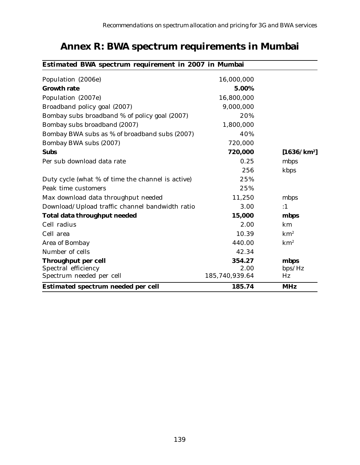| <b>Estimated BWA spectrum requirement in 2007 in Mumbai</b> |                |                 |
|-------------------------------------------------------------|----------------|-----------------|
| Population (2006e)                                          | 16,000,000     |                 |
| <b>Growth rate</b>                                          | 5.00%          |                 |
| Population (2007e)                                          | 16,800,000     |                 |
| Broadband policy goal (2007)                                | 9,000,000      |                 |
| Bombay subs broadband % of policy goal (2007)               | 20%            |                 |
| Bombay subs broadband (2007)                                | 1,800,000      |                 |
| Bombay BWA subs as % of broadband subs (2007)               | 40%            |                 |
| Bombay BWA subs (2007)                                      | 720,000        |                 |
| <b>Subs</b>                                                 | 720,000        | $[1636/km^2]$   |
| Per sub download data rate                                  | 0.25           | mbps            |
|                                                             | 256            | kbps            |
| Duty cycle (what % of time the channel is active)           | 25%            |                 |
| Peak time customers                                         | 25%            |                 |
| Max download data throughput needed                         | 11,250         | mbps            |
| Download/Upload traffic channel bandwidth ratio             | 3.00           | :1              |
| <b>Total data throughput needed</b>                         | 15,000         | mbps            |
| Cell radius                                                 | 2.00           | km              |
| Cell area                                                   | 10.39          | km <sup>2</sup> |
| <b>Area of Bombay</b>                                       | 440.00         | km <sup>2</sup> |
| Number of cells                                             | 42.34          |                 |
| <b>Throughput per cell</b>                                  | 354.27         | mbps            |
| Spectral efficiency                                         | 2.00           | bps/Hz          |
| Spectrum needed per cell                                    | 185,740,939.64 | Hz              |
| <b>Estimated spectrum needed per cell</b>                   | 185.74         | <b>MHz</b>      |

# **Annex R: BWA spectrum requirements in Mumbai**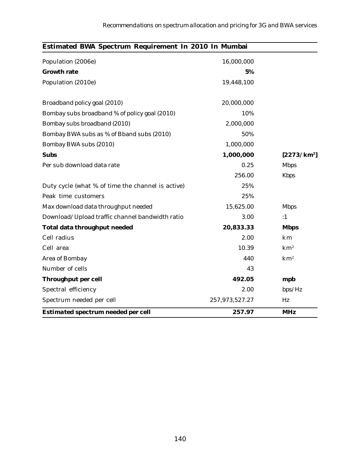| Estimated BWA Spectrum Requirement In 2010 In Mumbai |                |                         |
|------------------------------------------------------|----------------|-------------------------|
| Population (2006e)                                   | 16,000,000     |                         |
| <b>Growth rate</b>                                   | 5%             |                         |
| Population (2010e)                                   | 19,448,100     |                         |
| Broadband policy goal (2010)                         | 20,000,000     |                         |
| Bombay subs broadband % of policy goal (2010)        | 10%            |                         |
| Bombay subs broadband (2010)                         | 2,000,000      |                         |
| Bombay BWA subs as % of Bband subs (2010)            | 50%            |                         |
| Bombay BWA subs (2010)                               | 1,000,000      |                         |
| <b>Subs</b>                                          | 1,000,000      | [2273/km <sup>2</sup> ] |
| Per sub download data rate                           | 0.25           | <b>Mbps</b>             |
|                                                      | 256.00         | <b>Kbps</b>             |
| Duty cycle (what % of time the channel is active)    | 25%            |                         |
| Peak time customers                                  | 25%            |                         |
| Max download data throughput needed                  | 15,625.00      | <b>Mbps</b>             |
| Download/Upload traffic channel bandwidth ratio      | 3.00           | :1                      |
| <b>Total data throughput needed</b>                  | 20,833.33      | <b>Mbps</b>             |
| Cell radius                                          | 2.00           | km                      |
| Cell area                                            | 10.39          | km <sup>2</sup>         |
| <b>Area of Bombay</b>                                | 440            | km <sup>2</sup>         |
| Number of cells                                      | 43             |                         |
| <b>Throughput per cell</b>                           | 492.05         | mpb                     |
| Spectral efficiency                                  | 2.00           | bps/Hz                  |
| Spectrum needed per cell                             | 257,973,527.27 | Hz                      |
| <b>Estimated spectrum needed per cell</b>            | 257.97         | <b>MHz</b>              |

#### 140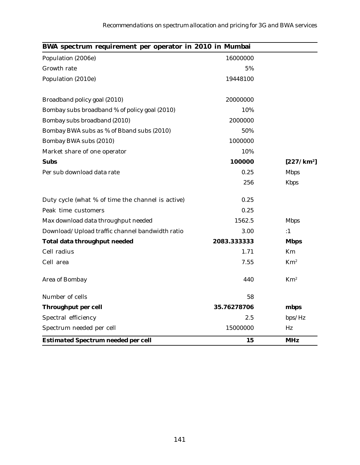| BWA spectrum requirement per operator in 2010 in Mumbai |             |                        |
|---------------------------------------------------------|-------------|------------------------|
| Population (2006e)                                      | 16000000    |                        |
| <b>Growth rate</b>                                      | 5%          |                        |
| Population (2010e)                                      | 19448100    |                        |
| Broadband policy goal (2010)                            | 20000000    |                        |
| Bombay subs broadband % of policy goal (2010)           | 10%         |                        |
| Bombay subs broadband (2010)                            | 2000000     |                        |
| Bombay BWA subs as % of Bband subs (2010)               | 50%         |                        |
| Bombay BWA subs (2010)                                  | 1000000     |                        |
| Market share of one operator                            | 10%         |                        |
| <b>Subs</b>                                             | 100000      | [227/km <sup>2</sup> ] |
| Per sub download data rate                              | 0.25        | <b>Mbps</b>            |
|                                                         | 256         | <b>Kbps</b>            |
| Duty cycle (what % of time the channel is active)       | 0.25        |                        |
| Peak time customers                                     | 0.25        |                        |
| Max download data throughput needed                     | 1562.5      | <b>Mbps</b>            |
| Download/Upload traffic channel bandwidth ratio         | 3.00        | :1                     |
| <b>Total data throughput needed</b>                     | 2083.333333 | <b>Mbps</b>            |
| Cell radius                                             | 1.71        | <b>Km</b>              |
| Cell area                                               | 7.55        | $Km^2$                 |
| <b>Area of Bombay</b>                                   | 440         | Km <sup>2</sup>        |
| Number of cells                                         | 58          |                        |
| <b>Throughput per cell</b>                              | 35.76278706 | mbps                   |
| Spectral efficiency                                     | 2.5         | bps/Hz                 |
| Spectrum needed per cell                                | 15000000    | Hz                     |
| <b>Estimated Spectrum needed per cell</b>               | 15          | <b>MHz</b>             |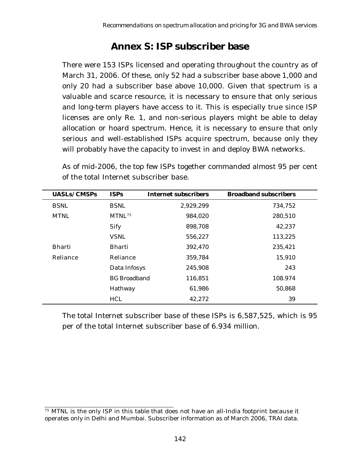## **Annex S: ISP subscriber base**

There were 153 ISPs licensed and operating throughout the country as of March 31, 2006. Of these, only 52 had a subscriber base above 1,000 and only 20 had a subscriber base above 10,000. Given that spectrum is a valuable and scarce resource, it is necessary to ensure that only serious and long-term players have access to it. This is especially true since ISP licenses are only Re. 1, and non-serious players might be able to delay allocation or hoard spectrum. Hence, it is necessary to ensure that only serious and well-established ISPs acquire spectrum, because only they will probably have the capacity to invest in and deploy BWA networks.

As of mid-2006, the top few ISPs together commanded almost 95 per cent of the total Internet subscriber base.

| <b>UASLs/CMSPs</b> | <b>ISPs</b>         | <b>Internet subscribers</b> | <b>Broadband subscribers</b> |  |
|--------------------|---------------------|-----------------------------|------------------------------|--|
| <b>BSNL</b>        | <b>BSNL</b>         | 2,929,299                   | 734,752                      |  |
| <b>MTNL</b>        | MTNL <sup>75</sup>  | 984,020                     | 280,510                      |  |
|                    | <b>Sify</b>         | 898,708                     | 42,237                       |  |
|                    | <b>VSNL</b>         | 556,227                     | 113,225                      |  |
| <b>Bharti</b>      | <b>Bharti</b>       | 392,470                     | 235,421                      |  |
| Reliance           | Reliance            | 359,784                     | 15,910                       |  |
|                    | Data Infosys        | 245,908                     | 243                          |  |
|                    | <b>BG</b> Broadband | 116,851                     | 108.974                      |  |
|                    | Hathway             | 61,986                      | 50,868                       |  |
|                    | <b>HCL</b>          | 42,272                      | 39                           |  |

The total Internet subscriber base of these ISPs is 6,587,525, which is 95 per of the total Internet subscriber base of 6.934 million.

<sup>&</sup>lt;sup>75</sup> MTNL is the only ISP in this table that does not have an all-India footprint because it operates only in Delhi and Mumbai. Subscriber information as of March 2006, TRAI data.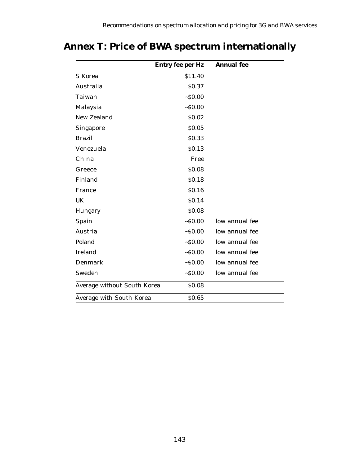# **Annex T: Price of BWA spectrum internationally**

|                             | <b>Entry fee per Hz</b> | <b>Annual</b> fee |
|-----------------------------|-------------------------|-------------------|
| <b>S</b> Korea              | \$11.40                 |                   |
| Australia                   | \$0.37                  |                   |
| Taiwan                      | ~50.00                  |                   |
| Malaysia                    | ~50.00                  |                   |
| <b>New Zealand</b>          | \$0.02                  |                   |
| <b>Singapore</b>            | \$0.05                  |                   |
| <b>Brazil</b>               | \$0.33                  |                   |
| Venezuela                   | \$0.13                  |                   |
| China                       | Free                    |                   |
| Greece                      | \$0.08                  |                   |
| Finland                     | \$0.18                  |                   |
| France                      | \$0.16                  |                   |
| UK                          | \$0.14                  |                   |
| Hungary                     | \$0.08                  |                   |
| Spain                       | ~50.00                  | low annual fee    |
| Austria                     | ~50.00                  | low annual fee    |
| Poland                      | ~50.00                  | low annual fee    |
| <b>Ireland</b>              | ~50.00                  | low annual fee    |
| <b>Denmark</b>              | ~50.00                  | low annual fee    |
| Sweden                      | ~50.00                  | low annual fee    |
| Average without South Korea | \$0.08                  |                   |
| Average with South Korea    | \$0.65                  |                   |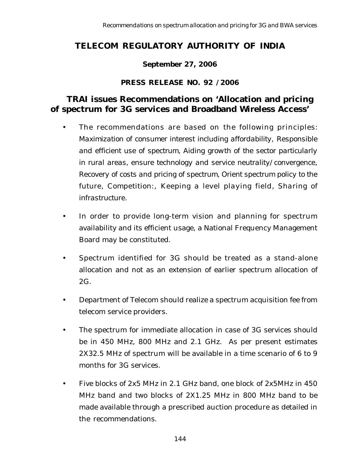## **TELECOM REGULATORY AUTHORITY OF INDIA**

### **September 27, 2006**

#### **PRESS RELEASE NO. 92 /2006**

### **TRAI issues Recommendations on 'Allocation and pricing of spectrum for 3G services and Broadband Wireless Access'**

- The recommendations are based on the following principles: *Maximization of consumer interest including affordability*, *Responsible and efficient use of spectrum, Aiding growth of the sector particularly in rural areas, ensure technology and service neutrality/convergence, Recovery of costs and pricing of spectrum, Orient spectrum policy to the future, Competition*:, *Keeping a level playing field, Sharing of infrastructure.*
- In order to provide long-term vision and planning for spectrum availability and its efficient usage, a National Frequency Management Board may be constituted.
- Spectrum identified for 3G should be treated as a stand-alone allocation and not as an extension of earlier spectrum allocation of 2G.
- Department of Telecom should realize a spectrum acquisition fee from telecom service providers.
- The spectrum for immediate allocation in case of 3G services should be in 450 MHz, 800 MHz and 2.1 GHz. As per present estimates 2X32.5 MHz of spectrum will be available in a time scenario of 6 to 9 months for 3G services.
- Five blocks of 2x5 MHz in 2.1 GHz band, one block of 2x5MHz in 450 MHz band and two blocks of 2X1.25 MHz in 800 MHz band to be made available through a prescribed auction procedure as detailed in the recommendations.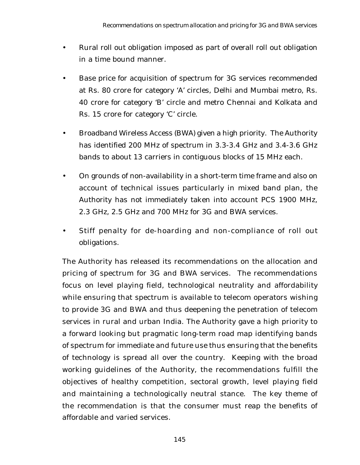- Rural roll out obligation imposed as part of overall roll out obligation in a time bound manner.
- Base price for acquisition of spectrum for 3G services recommended at Rs. 80 crore for category 'A' circles, Delhi and Mumbai metro, Rs. 40 crore for category 'B' circle and metro Chennai and Kolkata and Rs. 15 crore for category 'C' circle.
- Broadband Wireless Access (BWA) given a high priority. The Authority has identified 200 MHz of spectrum in 3.3-3.4 GHz and 3.4-3.6 GHz bands to about 13 carriers in contiguous blocks of 15 MHz each.
- On grounds of non-availability in a short-term time frame and also on account of technical issues particularly in mixed band plan, the Authority has not immediately taken into account PCS 1900 MHz, 2.3 GHz, 2.5 GHz and 700 MHz for 3G and BWA services.
- Stiff penalty for de-hoarding and non-compliance of roll out obligations.

The Authority has released its recommendations on the allocation and pricing of spectrum for 3G and BWA services. The recommendations focus on level playing field, technological neutrality and affordability while ensuring that spectrum is available to telecom operators wishing to provide 3G and BWA and thus deepening the penetration of telecom services in rural and urban India. The Authority gave a high priority to a forward looking but pragmatic long-term road map identifying bands of spectrum for immediate and future use thus ensuring that the benefits of technology is spread all over the country. Keeping with the broad working guidelines of the Authority, the recommendations fulfill the objectives of healthy competition, sectoral growth, level playing field and maintaining a technologically neutral stance. The key theme of the recommendation is that the consumer must reap the benefits of affordable and varied services.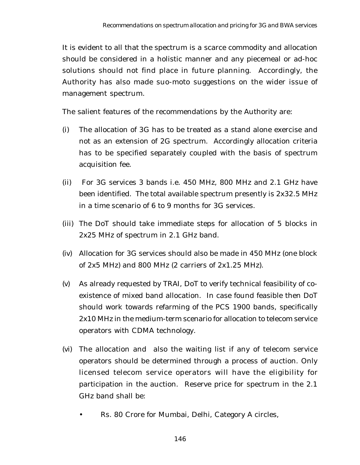It is evident to all that the spectrum is a scarce commodity and allocation should be considered in a holistic manner and any piecemeal or ad-hoc solutions should not find place in future planning. Accordingly, the Authority has also made suo-moto suggestions on the wider issue of management spectrum.

The salient features of the recommendations by the Authority are:

- (i) The allocation of 3G has to be treated as a stand alone exercise and not as an extension of 2G spectrum. Accordingly allocation criteria has to be specified separately coupled with the basis of spectrum acquisition fee.
- (ii) For 3G services 3 bands i.e. 450 MHz, 800 MHz and 2.1 GHz have been identified. The total available spectrum presently is 2x32.5 MHz in a time scenario of 6 to 9 months for 3G services.
- (iii) The DoT should take immediate steps for allocation of 5 blocks in 2x25 MHz of spectrum in 2.1 GHz band.
- (iv) Allocation for 3G services should also be made in 450 MHz (one block of 2x5 MHz) and 800 MHz (2 carriers of 2x1.25 MHz).
- (v) As already requested by TRAI, DoT to verify technical feasibility of coexistence of mixed band allocation. In case found feasible then DoT should work towards refarming of the PCS 1900 bands, specifically 2x10 MHz in the medium-term scenario for allocation to telecom service operators with CDMA technology.
- (vi) The allocation and also the waiting list if any of telecom service operators should be determined through a process of auction. Only licensed telecom service operators will have the eligibility for participation in the auction. Reserve price for spectrum in the 2.1 GHz band shall be:
	- Rs. 80 Crore for Mumbai, Delhi, Category A circles,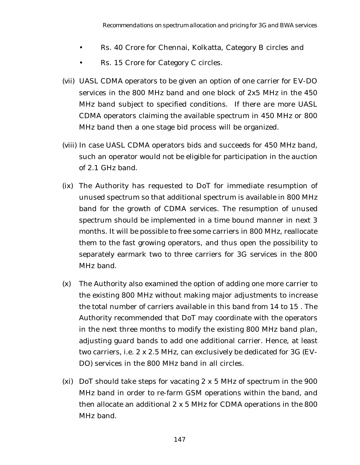- Rs. 40 Crore for Chennai, Kolkatta, Category B circles and
- Rs. 15 Crore for Category C circles.
- (vii) UASL CDMA operators to be given an option of one carrier for EV-DO services in the 800 MHz band and one block of 2x5 MHz in the 450 MHz band subject to specified conditions. If there are more UASL CDMA operators claiming the available spectrum in 450 MHz or 800 MHz band then a one stage bid process will be organized.
- (viii) In case UASL CDMA operators bids and succeeds for 450 MHz band, such an operator would not be eligible for participation in the auction of 2.1 GHz band.
- (ix) The Authority has requested to DoT for immediate resumption of unused spectrum so that additional spectrum is available in 800 MHz band for the growth of CDMA services. The resumption of unused spectrum should be implemented in a time bound manner in next 3 months. It will be possible to free some carriers in 800 MHz, reallocate them to the fast growing operators, and thus open the possibility to separately earmark two to three carriers for 3G services in the 800 MHz band.
- (x) The Authority also examined the option of adding one more carrier to the existing 800 MHz without making major adjustments to increase the total number of carriers available in this band from 14 to 15 . The Authority recommended that DoT may coordinate with the operators in the next three months to modify the existing 800 MHz band plan, adjusting guard bands to add one additional carrier. Hence, at least two carriers, i.e. 2 x 2.5 MHz, can exclusively be dedicated for 3G (EV-DO) services in the 800 MHz band in all circles.
- (xi) DoT should take steps for vacating 2 x 5 MHz of spectrum in the 900 MHz band in order to re-farm GSM operations within the band, and then allocate an additional 2 x 5 MHz for CDMA operations in the 800 MHz band.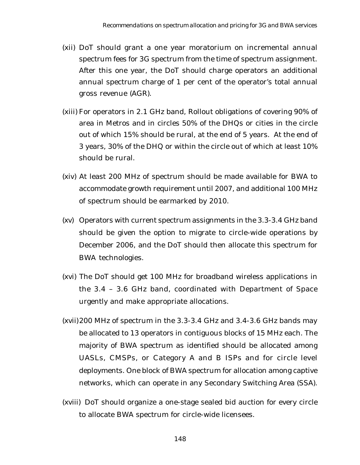- (xii) DoT should grant a one year moratorium on incremental annual spectrum fees for 3G spectrum from the time of spectrum assignment. After this one year, the DoT should charge operators an additional annual spectrum charge of 1 per cent of the operator's total annual gross revenue (AGR).
- (xiii) For operators in 2.1 GHz band, Rollout obligations of covering 90% of area in Metros and in circles 50% of the DHQs or cities in the circle out of which 15% should be rural, at the end of 5 years. At the end of 3 years, 30% of the DHQ or within the circle out of which at least 10% should be rural.
- (xiv) At least 200 MHz of spectrum should be made available for BWA to accommodate growth requirement until 2007, and additional 100 MHz of spectrum should be earmarked by 2010.
- (xv) Operators with current spectrum assignments in the 3.3-3.4 GHz band should be given the option to migrate to circle-wide operations by December 2006, and the DoT should then allocate this spectrum for BWA technologies.
- (xvi) The DoT should get 100 MHz for broadband wireless applications in the 3.4 – 3.6 GHz band, coordinated with Department of Space urgently and make appropriate allocations.
- (xvii)200 MHz of spectrum in the 3.3-3.4 GHz and 3.4-3.6 GHz bands may be allocated to 13 operators in contiguous blocks of 15 MHz each. The majority of BWA spectrum as identified should be allocated among UASLs, CMSPs, or Category A and B ISPs and for circle level deployments. One block of BWA spectrum for allocation among captive networks, which can operate in any Secondary Switching Area (SSA).
- (xviii) DoT should organize a one-stage sealed bid auction for every circle to allocate BWA spectrum for circle-wide licensees.